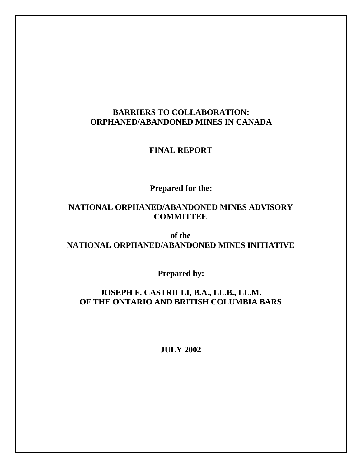# **BARRIERS TO COLLABORATION: ORPHANED/ABANDONED MINES IN CANADA**

# **FINAL REPORT**

# **Prepared for the:**

# **NATIONAL ORPHANED/ABANDONED MINES ADVISORY COMMITTEE**

# **of the NATIONAL ORPHANED/ABANDONED MINES INITIATIVE**

**Prepared by:**

# **JOSEPH F. CASTRILLI, B.A., LL.B., LL.M. OF THE ONTARIO AND BRITISH COLUMBIA BARS**

**JULY 2002**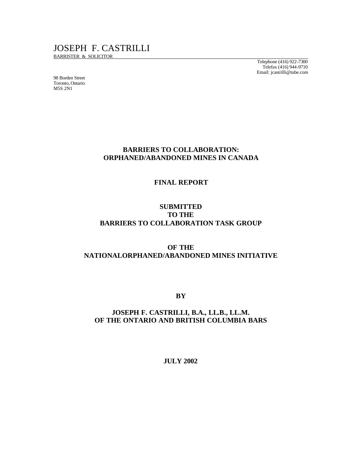# JOSEPH F. CASTRILLI

BARRISTER & SOLICITOR

98 Borden Street Toronto, Ontario M5S 2N1

Telephone (416) 922-7300 Telefax (416) 944-9710 Email: jcastrilli@tube.com

# **BARRIERS TO COLLABORATION: ORPHANED/ABANDONED MINES IN CANADA**

## **FINAL REPORT**

# **SUBMITTED TO THE BARRIERS TO COLLABORATION TASK GROUP**

# **OF THE NATIONALORPHANED/ABANDONED MINES INITIATIVE**

**BY**

# **JOSEPH F. CASTRILLI, B.A., LL.B., LL.M. OF THE ONTARIO AND BRITISH COLUMBIA BARS**

**JULY 2002**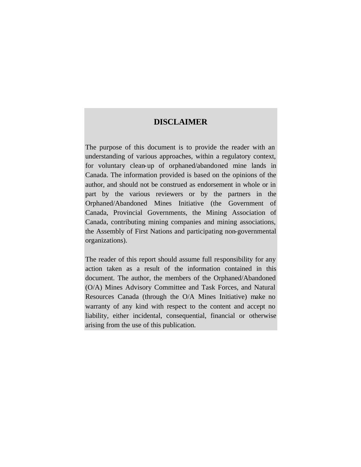# **DISCLAIMER**

The purpose of this document is to provide the reader with an understanding of various approaches, within a regulatory context, for voluntary clean-up of orphaned/abandoned mine lands in Canada. The information provided is based on the opinions of the author, and should not be construed as endorsement in whole or in part by the various reviewers or by the partners in the Orphaned/Abandoned Mines Initiative (the Government of Canada, Provincial Governments, the Mining Association of Canada, contributing mining companies and mining associations, the Assembly of First Nations and participating non-governmental organizations).

The reader of this report should assume full responsibility for any action taken as a result of the information contained in this document. The author, the members of the Orphaned/Abandoned (O/A) Mines Advisory Committee and Task Forces, and Natural Resources Canada (through the O/A Mines Initiative) make no warranty of any kind with respect to the content and accept no liability, either incidental, consequential, financial or otherwise arising from the use of this publication.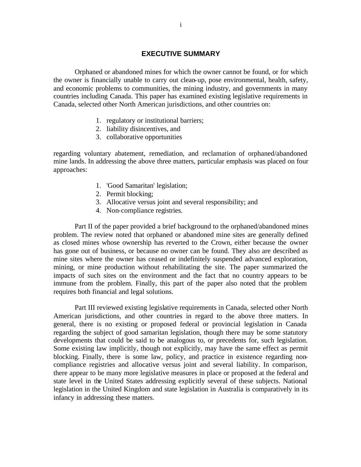## **EXECUTIVE SUMMARY**

Orphaned or abandoned mines for which the owner cannot be found, or for which the owner is financially unable to carry out clean-up, pose environmental, health, safety, and economic problems to communities, the mining industry, and governments in many countries including Canada. This paper has examined existing legislative requirements in Canada, selected other North American jurisdictions, and other countries on:

- 1. regulatory or institutional barriers;
- 2. liability disincentives, and
- 3. collaborative opportunities

regarding voluntary abatement, remediation, and reclamation of orphaned/abandoned mine lands. In addressing the above three matters, particular emphasis was placed on four approaches:

- 1. 'Good Samaritan' legislation;
- 2. Permit blocking;
- 3. Allocative versus joint and several responsibility; and
- 4. Non-compliance registries.

Part II of the paper provided a brief background to the orphaned/abandoned mines problem. The review noted that orphaned or abandoned mine sites are generally defined as closed mines whose ownership has reverted to the Crown, either because the owner has gone out of business, or because no owner can be found. They also are described as mine sites where the owner has ceased or indefinitely suspended advanced exploration, mining, or mine production without rehabilitating the site. The paper summarized the impacts of such sites on the environment and the fact that no country appears to be immune from the problem. Finally, this part of the paper also noted that the problem requires both financial and legal solutions.

Part III reviewed existing legislative requirements in Canada, selected other North American jurisdictions, and other countries in regard to the above three matters. In general, there is no existing or proposed federal or provincial legislation in Canada regarding the subject of good samaritan legislation, though there may be some statutory developments that could be said to be analogous to, or precedents for, such legislation. Some existing law implicitly, though not explicitly, may have the same effect as permit blocking. Finally, there is some law, policy, and practice in existence regarding noncompliance registries and allocative versus joint and several liability. In comparison, there appear to be many more legislative measures in place or proposed at the federal and state level in the United States addressing explicitly several of these subjects. National legislation in the United Kingdom and state legislation in Australia is comparatively in its infancy in addressing these matters.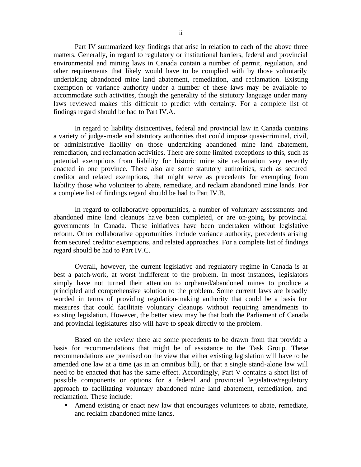Part IV summarized key findings that arise in relation to each of the above three matters. Generally, in regard to regulatory or institutional barriers, federal and provincial environmental and mining laws in Canada contain a number of permit, regulation, and other requirements that likely would have to be complied with by those voluntarily undertaking abandoned mine land abatement, remediation, and reclamation. Existing exemption or variance authority under a number of these laws may be available to accommodate such activities, though the generality of the statutory language under many laws reviewed makes this difficult to predict with certainty. For a complete list of findings regard should be had to Part IV.A.

In regard to liability disincentives, federal and provincial law in Canada contains a variety of judge-made and statutory authorities that could impose quasi-criminal, civil, or administrative liability on those undertaking abandoned mine land abatement, remediation, and reclamation activities. There are some limited exceptions to this, such as potential exemptions from liability for historic mine site reclamation very recently enacted in one province. There also are some statutory authorities, such as secured creditor and related exemptions, that might serve as precedents for exempting from liability those who volunteer to abate, remediate, and reclaim abandoned mine lands. For a complete list of findings regard should be had to Part IV.B.

In regard to collaborative opportunities, a number of voluntary assessments and abandoned mine land cleanups have been completed, or are on-going, by provincial governments in Canada. These initiatives have been undertaken without legislative reform. Other collaborative opportunities include variance authority, precedents arising from secured creditor exemptions, and related approaches. For a complete list of findings regard should be had to Part IV.C.

Overall, however, the current legislative and regulatory regime in Canada is at best a patch-work, at worst indifferent to the problem. In most instances, legislators simply have not turned their attention to orphaned/abandoned mines to produce a principled and comprehensive solution to the problem. Some current laws are broadly worded in terms of providing regulation-making authority that could be a basis for measures that could facilitate voluntary cleanups without requiring amendments to existing legislation. However, the better view may be that both the Parliament of Canada and provincial legislatures also will have to speak directly to the problem.

Based on the review there are some precedents to be drawn from that provide a basis for recommendations that might be of assistance to the Task Group. These recommendations are premised on the view that either existing legislation will have to be amended one law at a time (as in an omnibus bill), or that a single stand-alone law will need to be enacted that has the same effect. Accordingly, Part V contains a short list of possible components or options for a federal and provincial legislative/regulatory approach to facilitating voluntary abandoned mine land abatement, remediation, and reclamation. These include:

Amend existing or enact new law that encourages volunteers to abate, remediate, and reclaim abandoned mine lands,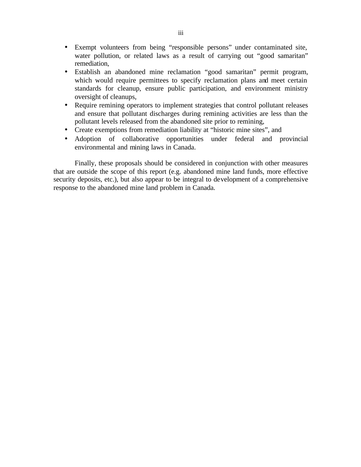- Exempt volunteers from being "responsible persons" under contaminated site, water pollution, or related laws as a result of carrying out "good samaritan" remediation,
- Establish an abandoned mine reclamation "good samaritan" permit program, which would require permittees to specify reclamation plans and meet certain standards for cleanup, ensure public participation, and environment ministry oversight of cleanups,
- Require remining operators to implement strategies that control pollutant releases and ensure that pollutant discharges during remining activities are less than the pollutant levels released from the abandoned site prior to remining,
- Create exemptions from remediation liability at "historic mine sites", and
- Adoption of collaborative opportunities under federal and provincial environmental and mining laws in Canada.

Finally, these proposals should be considered in conjunction with other measures that are outside the scope of this report (e.g. abandoned mine land funds, more effective security deposits, etc.), but also appear to be integral to development of a comprehensive response to the abandoned mine land problem in Canada.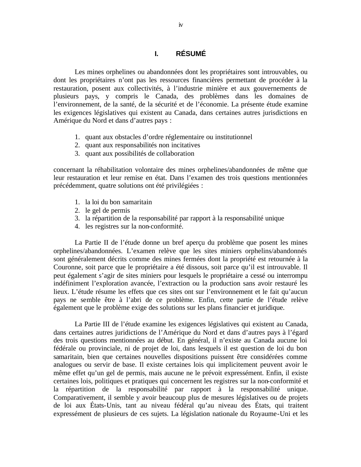# **I. RÉSUMÉ**

Les mines orphelines ou abandonnées dont les propriétaires sont introuvables, ou dont les propriétaires n'ont pas les ressources financières permettant de procéder à la restauration, posent aux collectivités, à l'industrie minière et aux gouvernements de plusieurs pays, y compris le Canada, des problèmes dans les domaines de l'environnement, de la santé, de la sécurité et de l'économie. La présente étude examine les exigences législatives qui existent au Canada, dans certaines autres jurisdictions en Amérique du Nord et dans d'autres pays :

- 1. quant aux obstacles d'ordre réglementaire ou institutionnel
- 2. quant aux responsabilités non incitatives
- 3. quant aux possibilités de collaboration

concernant la réhabilitation volontaire des mines orphelines/abandonnées de même que leur restauration et leur remise en état. Dans l'examen des trois questions mentionnées précédemment, quatre solutions ont été privilégiées :

- 1. la loi du bon samaritain
- 2. le gel de permis
- 3. la répartition de la responsabilité par rapport à la responsabilité unique
- 4. les registres sur la non-conformité.

La Partie II de l'étude donne un bref aperçu du problème que posent les mines orphelines/abandonnées. L'examen relève que les sites miniers orphelins/abandonnés sont généralement décrits comme des mines fermées dont la propriété est retournée à la Couronne, soit parce que le propriétaire a été dissous, soit parce qu'il est introuvable. Il peut également s'agir de sites miniers pour lesquels le propriétaire a cessé ou interrompu indéfiniment l'exploration avancée, l'extraction ou la production sans avoir restauré les lieux. L'étude résume les effets que ces sites ont sur l'environnement et le fait qu'aucun pays ne semble être à l'abri de ce problème. Enfin, cette partie de l'étude relève également que le problème exige des solutions sur les plans financier et juridique.

La Partie III de l'étude examine les exigences législatives qui existent au Canada, dans certaines autres juridictions de l'Amérique du Nord et dans d'autres pays à l'égard des trois questions mentionnées au début. En général, il n'existe au Canada aucune loi fédérale ou provinciale, ni de projet de loi, dans lesquels il est question de loi du bon samaritain, bien que certaines nouvelles dispositions puissent être considérées comme analogues ou servir de base. Il existe certaines lois qui implicitement peuvent avoir le même effet qu'un gel de permis, mais aucune ne le prévoit expressément. Enfin, il existe certaines lois, politiques et pratiques qui concernent les registres sur la non-conformité et la répartition de la responsabilité par rapport à la responsabilité unique. Comparativement, il semble y avoir beaucoup plus de mesures législatives ou de projets de loi aux États-Unis, tant au niveau fédéral qu'au niveau des États, qui traitent expressément de plusieurs de ces sujets. La législation nationale du Royaume-Uni et les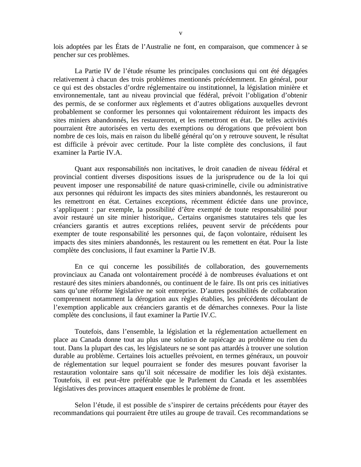lois adoptées par les États de l'Australie ne font, en comparaison, que commencer à se pencher sur ces problèmes.

La Partie IV de l'étude résume les principales conclusions qui ont été dégagées relativement à chacun des trois problèmes mentionnés précédemment. En général, pour ce qui est des obstacles d'ordre réglementaire ou institutionnel, la législation minière et environnementale, tant au niveau provincial que fédéral, prévoit l'obligation d'obtenir des permis, de se conformer aux règlements et d'autres obligations auxquelles devront probablement se conformer les personnes qui volontairement réduiront les impacts des sites miniers abandonnés, les restaureront, et les remettront en état. De telles activités pourraient être autorisées en vertu des exemptions ou dérogations que prévoient bon nombre de ces lois, mais en raison du libellé général qu'on y retrouve souvent, le résultat est difficile à prévoir avec certitude. Pour la liste complète des conclusions, il faut examiner la Partie IV.A.

Quant aux responsabilités non incitatives, le droit canadien de niveau fédéral et provincial contient diverses dispositions issues de la jurisprudence ou de la loi qui peuvent imposer une responsabilité de nature quasi-criminelle, civile ou administrative aux personnes qui réduiront les impacts des sites miniers abandonnés, les restaureront ou les remettront en état. Certaines exceptions, récemment édictée dans une province, s'appliquent : par exemple, la possibilité d'être exempté de toute responsabilité pour avoir restauré un site minier historique,. Certains organismes statutaires tels que les créanciers garantis et autres exceptions reliées, peuvent servir de précédents pour exempter de toute responsabilité les personnes qui, de façon volontaire, réduisent les impacts des sites miniers abandonnés, les restaurent ou les remettent en état. Pour la liste complète des conclusions, il faut examiner la Partie IV.B.

En ce qui concerne les possibilités de collaboration, des gouvernements provinciaux au Canada ont volontairement procédé à de nombreuses évaluations et ont restauré des sites miniers abandonnés, ou continuent de le faire. Ils ont pris ces initiatives sans qu'une réforme législative ne soit entreprise. D'autres possibilités de collaboration comprennent notamment la dérogation aux règles établies, les précédents découlant de l'exemption applicable aux créanciers garantis et de démarches connexes. Pour la liste complète des conclusions, il faut examiner la Partie IV.C.

Toutefois, dans l'ensemble, la législation et la réglementation actuellement en place au Canada donne tout au plus une solution de rapiécage au problème ou rien du tout. Dans la plupart des cas, les législateurs ne se sont pas attardés à trouver une solution durable au problème. Certaines lois actuelles prévoient, en termes généraux, un pouvoir de réglementation sur lequel pourraient se fonder des mesures pouvant favoriser la restauration volontaire sans qu'il soit nécessaire de modifier les lois déjà existantes. Toutefois, il est peut-être préférable que le Parlement du Canada et les assemblées législatives des provinces attaquent ensembles le problème de front.

Selon l'étude, il est possible de s'inspirer de certains précédents pour étayer des recommandations qui pourraient être utiles au groupe de travail. Ces recommandations se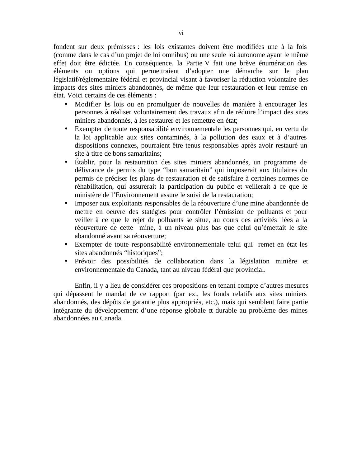fondent sur deux prémisses : les lois existantes doivent être modifiées une à la fois (comme dans le cas d'un projet de loi omnibus) ou une seule loi autonome ayant le même effet doit être édictée. En conséquence, la Partie V fait une brève énumération des éléments ou options qui permettraient d'adopter une démarche sur le plan législatif/réglementaire fédéral et provincial visant à favoriser la réduction volontaire des impacts des sites miniers abandonnés, de même que leur restauration et leur remise en état. Voici certains de ces éléments :

- Modifier les lois ou en promulguer de nouvelles de manière à encourager les personnes à réaliser volontairement des travaux afin de réduire l'impact des sites miniers abandonnés, à les restaurer et les remettre en état;
- Exempter de toute responsabilité environnementale les personnes qui, en vertu de la loi applicable aux sites contaminés, à la pollution des eaux et à d'autres dispositions connexes, pourraient être tenus responsables après avoir restauré un site à titre de bons samaritains;
- Établir, pour la restauration des sites miniers abandonnés, un programme de délivrance de permis du type "bon samaritain" qui imposerait aux titulaires du permis de préciser les plans de restauration et de satisfaire à certaines normes de réhabilitation, qui assurerait la participation du public et veillerait à ce que le ministère de l'Environnement assure le suivi de la restauration;
- Imposer aux exploitants responsables de la réouverture d'une mine abandonnée de mettre en oeuvre des statégies pour contrôler l'émission de polluants et pour veiller à ce que le rejet de polluants se situe, au cours des activités liées a la réouverture de cette mine, à un niveau plus bas que celui qu'émettait le site abandonné avant sa réouverture;
- Exempter de toute responsabilité environnementale celui qui remet en état les sites abandonnés "historiques";
- Prévoir des possibilités de collaboration dans la législation minière et environnementale du Canada, tant au niveau fédéral que provincial.

Enfin, il y a lieu de considérer ces propositions en tenant compte d'autres mesures qui dépassent le mandat de ce rapport (par ex., les fonds relatifs aux sites miniers abandonnés, des dépôts de garantie plus appropriés, etc.), mais qui semblent faire partie intégrante du développement d'une réponse globale et durable au problème des mines abandonnées au Canada.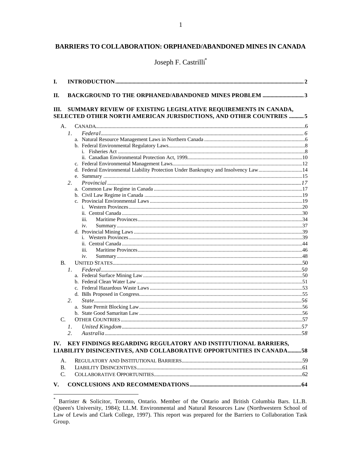# BARRIERS TO COLLABORATION: ORPHANED/ABANDONED MINES IN CANADA

Joseph F. Castrilli\*

| I.             |              |                                                                                                                                       |  |
|----------------|--------------|---------------------------------------------------------------------------------------------------------------------------------------|--|
| П.             |              |                                                                                                                                       |  |
| Ш.             |              | SUMMARY REVIEW OF EXISTING LEGISLATIVE REQUIREMENTS IN CANADA,<br>SELECTED OTHER NORTH AMERICAN JURISDICTIONS, AND OTHER COUNTRIES  5 |  |
| A <sub>1</sub> |              |                                                                                                                                       |  |
|                | $l_{\rm{L}}$ |                                                                                                                                       |  |
|                |              |                                                                                                                                       |  |
|                |              |                                                                                                                                       |  |
|                |              |                                                                                                                                       |  |
|                |              |                                                                                                                                       |  |
|                |              |                                                                                                                                       |  |
|                |              | d. Federal Environmental Liability Protection Under Bankruptcy and Insolvency Law14                                                   |  |
|                |              |                                                                                                                                       |  |
|                | 2.           |                                                                                                                                       |  |
|                |              |                                                                                                                                       |  |
|                |              |                                                                                                                                       |  |
|                |              |                                                                                                                                       |  |
|                |              |                                                                                                                                       |  |
|                |              | iii.                                                                                                                                  |  |
|                |              | iv.                                                                                                                                   |  |
|                |              |                                                                                                                                       |  |
|                |              |                                                                                                                                       |  |
|                |              |                                                                                                                                       |  |
|                |              | iii.                                                                                                                                  |  |
|                |              | iv.                                                                                                                                   |  |
| <b>B.</b>      |              |                                                                                                                                       |  |
|                | $l_{\cdot}$  |                                                                                                                                       |  |
|                |              |                                                                                                                                       |  |
|                |              |                                                                                                                                       |  |
|                |              |                                                                                                                                       |  |
|                |              |                                                                                                                                       |  |
|                | 2.           |                                                                                                                                       |  |
|                |              |                                                                                                                                       |  |
|                |              |                                                                                                                                       |  |
| C.             |              |                                                                                                                                       |  |
|                | 1.           |                                                                                                                                       |  |
|                | 2.           |                                                                                                                                       |  |
| IV.            |              | KEY FINDINGS REGARDING REGULATORY AND INSTITUTIONAL BARRIERS,                                                                         |  |
|                |              | LIABILITY DISINCENTIVES, AND COLLABORATIVE OPPORTUNITIES IN CANADA58                                                                  |  |
| A.             |              |                                                                                                                                       |  |
| <b>B.</b>      |              |                                                                                                                                       |  |
| $C_{\cdot}$    |              |                                                                                                                                       |  |
| V.             |              |                                                                                                                                       |  |

<sup>\*</sup> Barrister & Solicitor, Toronto, Ontario. Member of the Ontario and British Columbia Bars. LL.B.<br>(Queen's University, 1984); LL.M. Environmental and Natural Resources Law (Northwestern School of Law of Lewis and Clark College, 1997). This report was prepared for the Barriers to Collaboration Task Group.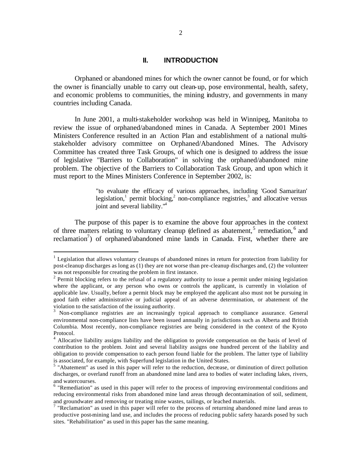## **II. INTRODUCTION**

Orphaned or abandoned mines for which the owner cannot be found, or for which the owner is financially unable to carry out clean-up, pose environmental, health, safety, and economic problems to communities, the mining industry, and governments in many countries including Canada.

In June 2001, a multi-stakeholder workshop was held in Winnipeg, Manitoba to review the issue of orphaned/abandoned mines in Canada. A September 2001 Mines Ministers Conference resulted in an Action Plan and establishment of a national multistakeholder advisory committee on Orphaned/Abandoned Mines. The Advisory Committee has created three Task Groups, of which one is designed to address the issue of legislative "Barriers to Collaboration" in solving the orphaned/abandoned mine problem. The objective of the Barriers to Collaboration Task Group, and upon which it must report to the Mines Ministers Conference in September 2002, is:

> "to evaluate the efficacy of various approaches, including 'Good Samaritan' legislation,<sup>1</sup> permit blocking,<sup>2</sup> non-compliance registries,<sup>3</sup> and allocative versus joint and several liability."<sup>4</sup>

The purpose of this paper is to examine the above four approaches in the context of three matters relating to voluntary cleanup (defined as abatement,<sup>5</sup> remediation,<sup>6</sup> and reclamation<sup>7</sup>) of orphaned/abandoned mine lands in Canada. First, whether there are

<sup>&</sup>lt;sup>1</sup> Legislation that allows voluntary cleanups of abandoned mines in return for protection from liability for post-cleanup discharges as long as (1) they are not worse than pre-cleanup discharges and, (2) the volunteer was not responsible for creating the problem in first instance.

<sup>&</sup>lt;sup>2</sup> Permit blocking refers to the refusal of a regulatory authority to issue a permit under mining legislation where the applicant, or any person who owns or controls the applicant, is currently in violation of applicable law. Usually, before a permit block may be employed the applicant also must not be pursuing in good faith either administrative or judicial appeal of an adverse determination, or abatement of the violation to the satisfaction of the issuing authority.

<sup>&</sup>lt;sup>3</sup> Non-compliance registries are an increasingly typical approach to compliance assurance. General environmental non-compliance lists have been issued annually in jurisdictions such as Alberta and British Columbia. Most recently, non-compliance registries are being considered in the context of the Kyoto Protocol.

<sup>&</sup>lt;sup>4</sup> Allocative liability assigns liability and the obligation to provide compensation on the basis of level of contribution to the problem. Joint and several liability assigns one hundred percent of the liability and obligation to provide compensation to each person found liable for the problem. The latter type of liability is associated, for example, with Superfund legislation in the United States.

<sup>&</sup>lt;sup>5</sup> "Abatement" as used in this paper will refer to the reduction, decrease, or diminution of direct pollution discharges, or overland runoff from an abandoned mine land area to bodies of water including lakes, rivers, and watercourses.

 $6$  "Remediation" as used in this paper will refer to the process of improving environmental conditions and reducing environmental risks from abandoned mine land areas through decontamination of soil, sediment, and groundwater and removing or treating mine wastes, tailings, or leached materials.

<sup>&</sup>lt;sup>7</sup> "Reclamation" as used in this paper will refer to the process of returning abandoned mine land areas to productive post-mining land use, and includes the process of reducing public safety hazards posed by such sites. "Rehabilitation" as used in this paper has the same meaning.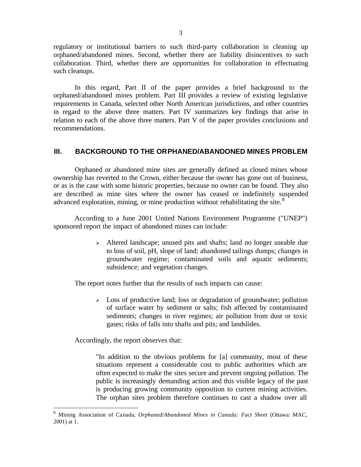regulatory or institutional barriers to such third-party collaboration in cleaning up orphaned/abandoned mines. Second, whether there are liability disincentives to such collaboration. Third, whether there are opportunities for collaboration in effectuating such cleanups.

In this regard, Part II of the paper provides a brief background to the orphaned/abandoned mines problem. Part III provides a review of existing legislative requirements in Canada, selected other North American jurisdictions, and other countries in regard to the above three matters. Part IV summarizes key findings that arise in relation to each of the above three matters. Part V of the paper provides conclusions and recommendations.

#### **III. BACKGROUND TO THE ORPHANED/ABANDONED MINES PROBLEM**

Orphaned or abandoned mine sites are generally defined as closed mines whose ownership has reverted to the Crown, either because the owner has gone out of business, or as is the case with some historic properties, because no owner can be found. They also are described as mine sites where the owner has ceased or indefinitely suspended advanced exploration, mining, or mine production without rehabilitating the site.<sup>8</sup>

According to a June 2001 United Nations Environment Programme ("UNEP") sponsored report the impact of abandoned mines can include:

> <sup>ÿ</sup> Altered landscape; unused pits and shafts; land no longer useable due to loss of soil, pH, slope of land; abandoned tailings dumps; changes in groundwater regime; contaminated soils and aquatic sediments; subsidence; and vegetation changes.

The report notes further that the results of such impacts can cause:

 $\geq$  Loss of productive land; loss or degradation of groundwater; pollution of surface water by sediment or salts; fish affected by contaminated sediments; changes in river regimes; air pollution from dust or toxic gases; risks of falls into shafts and pits; and landslides.

Accordingly, the report observes that:

 $\overline{a}$ 

"In addition to the obvious problems for [a] community, most of these situations represent a considerable cost to public authorities which are often expected to make the sites secure and prevent ongoing pollution. The public is increasingly demanding action and this visible legacy of the past is producing growing community opposition to current mining activities. The orphan sites problem therefore continues to cast a shadow over all

<sup>8</sup> Mining Association of Canada, *Orphaned/Abandoned Mines in Canada: Fact Sheet* (Ottawa: MAC, 2001) at 1.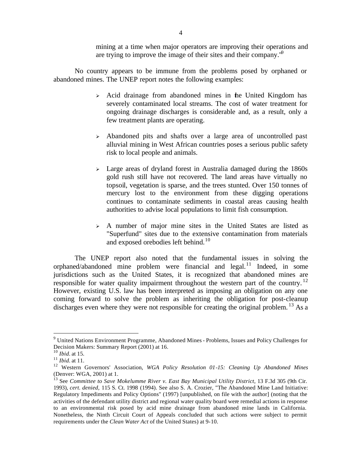mining at a time when major operators are improving their operations and are trying to improve the image of their sites and their company. $\theta$ 

No country appears to be immune from the problems posed by orphaned or abandoned mines. The UNEP report notes the following examples:

- $\geq$  Acid drainage from abandoned mines in the United Kingdom has severely contaminated local streams. The cost of water treatment for ongoing drainage discharges is considerable and, as a result, only a few treatment plants are operating.
- <sup>ÿ</sup> Abandoned pits and shafts over a large area of uncontrolled past alluvial mining in West African countries poses a serious public safety risk to local people and animals.
- $\geq$  Large areas of dryland forest in Australia damaged during the 1860s gold rush still have not recovered. The land areas have virtually no topsoil, vegetation is sparse, and the trees stunted. Over 150 tonnes of mercury lost to the environment from these digging operations continues to contaminate sediments in coastal areas causing health authorities to advise local populations to limit fish consumption.
- $\geq$  A number of major mine sites in the United States are listed as "Superfund" sites due to the extensive contamination from materials and exposed orebodies left behind.<sup>10</sup>

The UNEP report also noted that the fundamental issues in solving the orphaned/abandoned mine problem were financial and legal. $11$  Indeed, in some jurisdictions such as the United States, it is recognized that abandoned mines are responsible for water quality impairment throughout the western part of the country.  $12$ However, existing U.S. law has been interpreted as imposing an obligation on any one coming forward to solve the problem as inheriting the obligation for post-cleanup discharges even where they were not responsible for creating the original problem.<sup>13</sup> As a

<sup>&</sup>lt;sup>9</sup> United Nations Environment Programme, Abandoned Mines - Problems, Issues and Policy Challenges for Decision Makers: Summary Report (2001) at 16.

<sup>10</sup> *Ibid.* at 15.

<sup>11</sup> *Ibid.* at 11.

<sup>12</sup> Western Governors' Association, *WGA Policy Resolution 01-15: Cleaning Up Abandoned Mines* (Denver: WGA, 2001) at 1.

<sup>&</sup>lt;sup>13</sup> See *Committee to Save Mokelumme River v. East Bay Municipal Utility District*, 13 F.3d 305 (9th Cir. 1993), *cert. denied,* 115 S. Ct. 1998 (1994). See also S. A. Crozier, "The Abandoned Mine Land Initiative: Regulatory Impediments and Policy Options" (1997) [unpublished, on file with the author] (noting that the activities of the defendant utility district and regional water quality board were remedial actions in response to an environmental risk posed by acid mine drainage from abandoned mine lands in California. Nonetheless, the Ninth Circuit Court of Appeals concluded that such actions were subject to permit requirements under the *Clean Water Act* of the United States) at 9-10.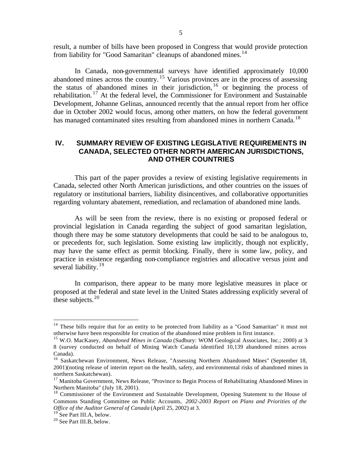result, a number of bills have been proposed in Congress that would provide protection from liability for "Good Samaritan" cleanups of abandoned mines.<sup>14</sup>

In Canada, non-governmental surveys have identified approximately 10,000 abandoned mines across the country.<sup>15</sup> Various provinces are in the process of assessing the status of abandoned mines in their jurisdiction, <sup>16</sup> or beginning the process of rehabilitation.<sup>17</sup> At the federal level, the Commissioner for Environment and Sustainable Development, Johanne Gelinas, announced recently that the annual report from her office due in October 2002 would focus, among other matters, on how the federal government has managed contaminated sites resulting from abandoned mines in northern Canada.<sup>18</sup>

# **IV. SUMMARY REVIEW OF EXISTING LEGISLATIVE REQUIREMENTS IN CANADA, SELECTED OTHER NORTH AMERICAN JURISDICTIONS, AND OTHER COUNTRIES**

This part of the paper provides a review of existing legislative requirements in Canada, selected other North American jurisdictions, and other countries on the issues of regulatory or institutional barriers, liability disincentives, and collaborative opportunities regarding voluntary abatement, remediation, and reclamation of abandoned mine lands.

As will be seen from the review, there is no existing or proposed federal or provincial legislation in Canada regarding the subject of good samaritan legislation, though there may be some statutory developments that could be said to be analogous to, or precedents for, such legislation. Some existing law implicitly, though not explicitly, may have the same effect as permit blocking. Finally, there is some law, policy, and practice in existence regarding non-compliance registries and allocative versus joint and several liability.<sup>19</sup>

In comparison, there appear to be many more legislative measures in place or proposed at the federal and state level in the United States addressing explicitly several of these subjects. $20$ 

<sup>&</sup>lt;sup>14</sup> These bills require that for an entity to be protected from liability as a "Good Samaritan" it must not otherwise have been responsible for creation of the abandoned mine problem in first instance.

<sup>15</sup> W.O. MacKasey, *Abandoned Mines in Canada* (Sudbury: WOM Geological Associates, Inc.; 2000) at 3- 8 (survey conducted on behalf of Mining Watch Canada identified 10,139 abandoned mines across Canada).

<sup>&</sup>lt;sup>16</sup> Saskatchewan Environment, News Release, "Assessing Northern Abandoned Mines" (September 18, 2001)(noting release of interim report on the health, safety, and environmental risks of abandoned mines in northern Saskatchewan).

<sup>&</sup>lt;sup>17</sup> Manitoba Government, News Release, "Province to Begin Process of Rehabilitating Abandoned Mines in Northern Manitoba" (July 18, 2001).

<sup>&</sup>lt;sup>18</sup> Commissioner of the Environment and Sustainable Development, Opening Statement to the House of Commons Standing Committee on Public Accounts, *2002-2003 Report on Plans and Priorities of the Office of the Auditor General of Canada* (April 25, 2002) at 3.

See Part III.A, below.

<sup>20</sup> See Part III.B, below.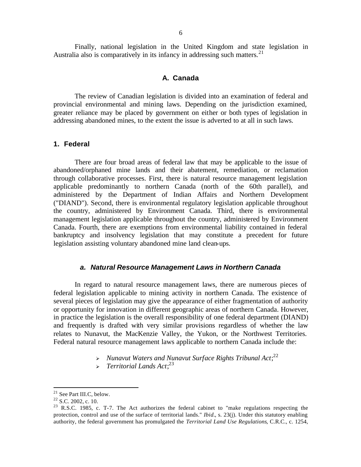Finally, national legislation in the United Kingdom and state legislation in Australia also is comparatively in its infancy in addressing such matters.<sup>21</sup>

#### **A. Canada**

The review of Canadian legislation is divided into an examination of federal and provincial environmental and mining laws. Depending on the jurisdiction examined, greater reliance may be placed by government on either or both types of legislation in addressing abandoned mines, to the extent the issue is adverted to at all in such laws.

#### **1. Federal**

There are four broad areas of federal law that may be applicable to the issue of abandoned/orphaned mine lands and their abatement, remediation, or reclamation through collaborative processes. First, there is natural resource management legislation applicable predominantly to northern Canada (north of the 60th parallel), and administered by the Department of Indian Affairs and Northern Development ("DIAND"). Second, there is environmental regulatory legislation applicable throughout the country, administered by Environment Canada. Third, there is environmental management legislation applicable throughout the country, administered by Environment Canada. Fourth, there are exemptions from environmental liability contained in federal bankruptcy and insolvency legislation that may constitute a precedent for future legislation assisting voluntary abandoned mine land clean-ups.

#### *a. Natural Resource Management Laws in Northern Canada*

In regard to natural resource management laws, there are numerous pieces of federal legislation applicable to mining activity in northern Canada. The existence of several pieces of legislation may give the appearance of either fragmentation of authority or opportunity for innovation in different geographic areas of northern Canada. However, in practice the legislation is the overall responsibility of one federal department (DIAND) and frequently is drafted with very similar provisions regardless of whether the law relates to Nunavut, the MacKenzie Valley, the Yukon, or the Northwest Territories. Federal natural resource management laws applicable to northern Canada include the:

- > Nunavut Waters and Nunavut Surface Rights Tribunal Act;<sup>22</sup>
- <sup>ÿ</sup> *Territorial Lands Act*; 23

<sup>&</sup>lt;sup>21</sup> See Part III.C, below.

 $22$  S.C. 2002, c. 10.

<sup>&</sup>lt;sup>23</sup> R.S.C. 1985, c. T-7. The Act authorizes the federal cabinet to "make regulations respecting the protection, control and use of the surface of territorial lands." *Ibid.*, s. 23(j). Under this statutory enabling authority, the federal government has promulgated the *Territorial Land Use Regulations*, C.R.C., c. 1254,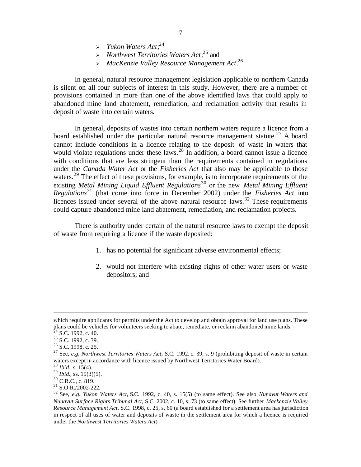- <sup>ÿ</sup> *Yukon Waters Act*; 24
- <sup>ÿ</sup> *Northwest Territories Waters Act*; <sup>25</sup> and
- <sup>ÿ</sup> *MacKenzie Valley Resource Management Act*. 26

In general, natural resource management legislation applicable to northern Canada is silent on all four subjects of interest in this study. However, there are a number of provisions contained in more than one of the above identified laws that could apply to abandoned mine land abatement, remediation, and reclamation activity that results in deposit of waste into certain waters.

In general, deposits of wastes into certain northern waters require a licence from a board established under the particular natural resource management statute.<sup>27</sup> A board cannot include conditions in a licence relating to the deposit of waste in waters that would violate regulations under these laws.<sup>28</sup> In addition, a board cannot issue a licence with conditions that are less stringent than the requirements contained in regulations under the *Canada Water Act* or the *Fisheries Act* that also may be applicable to those waters.<sup>29</sup> The effect of these provisions, for example, is to incorporate requirements of the existing *Metal Mining Liquid Effluent Regulations*<sup>30</sup> or the new *Metal Mining Effluent Regulations*<sup>31</sup> (that come into force in December 2002) under the *Fisheries Act* into licences issued under several of the above natural resource laws.<sup>32</sup> These requirements could capture abandoned mine land abatement, remediation, and reclamation projects.

There is authority under certain of the natural resource laws to exempt the deposit of waste from requiring a licence if the waste deposited:

- 1. has no potential for significant adverse environmental effects;
- 2. would not interfere with existing rights of other water users or waste depositors; and

 $\overline{a}$ 

 $31$  S.O.R./2002-222.

which require applicants for permits under the Act to develop and obtain approval for land use plans. These plans could be vehicles for volunteers seeking to abate, remediate, or reclaim abandoned mine lands.

 $2^2$  S.C. 1992, c. 40.

<sup>&</sup>lt;sup>25</sup> S.C. 1992, c. 39.

<sup>&</sup>lt;sup>26</sup> S.C. 1998, c. 25.

<sup>27</sup> See, *e.g. Northwest Territories Waters Act*, S.C. 1992, c. 39, s. 9 (prohibiting deposit of waste in certain waters except in accordance with licence issued by Northwest Territories Water Board).

<sup>28</sup> *Ibid.*, s. 15(4).

<sup>29</sup> *Ibid.*, ss. 15(3)(5).

<sup>&</sup>lt;sup>30</sup> C.R.C., c. 819.

<sup>32</sup> See, *e.g. Yukon Waters Act*, S.C. 1992, c. 40, s. 15(5) (to same effect). See also *Nunavut Waters and Nunavut Surface Rights Tribunal Act*, S.C. 2002, c. 10, s. 73 (to same effect). See further *Mackenzie Valley Resource Management Act*, S.C. 1998, c. 25, s. 60 (a board established for a settlement area has jurisdiction in respect of all uses of water and deposits of waste in the settlement area for which a licence is required under the *Northwest Territories Waters Act*).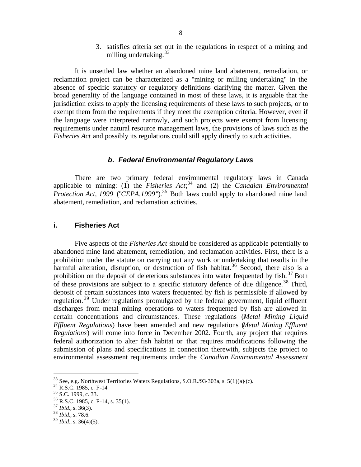3. satisfies criteria set out in the regulations in respect of a mining and milling undertaking.<sup>33</sup>

It is unsettled law whether an abandoned mine land abatement, remediation, or reclamation project can be characterized as a "mining or milling undertaking" in the absence of specific statutory or regulatory definitions clarifying the matter. Given the broad generality of the language contained in most of these laws, it is arguable that the jurisdiction exists to apply the licensing requirements of these laws to such projects, or to exempt them from the requirements if they meet the exemption criteria. However, even if the language were interpreted narrowly, and such projects were exempt from licensing requirements under natural resource management laws, the provisions of laws such as the *Fisheries Act* and possibly its regulations could still apply directly to such activities.

## *b. Federal Environmental Regulatory Laws*

There are two primary federal environmental regulatory laws in Canada applicable to mining: (1) the *Fisheries Act*; <sup>34</sup> and (2) the *Canadian Environmental Protection Act, 1999* ("*CEPA, 1999*").<sup>35</sup> Both laws could apply to abandoned mine land abatement, remediation, and reclamation activities.

## **i. Fisheries Act**

Five aspects of the *Fisheries Act* should be considered as applicable potentially to abandoned mine land abatement, remediation, and reclamation activities. First, there is a prohibition under the statute on carrying out any work or undertaking that results in the harmful alteration, disruption, or destruction of fish habitat.<sup>36</sup> Second, there also is a prohibition on the deposit of deleterious substances into water frequented by fish.<sup>37</sup> Both of these provisions are subject to a specific statutory defence of due diligence.<sup>38</sup> Third, deposit of certain substances into waters frequented by fish is permissible if allowed by regulation.<sup>39</sup> Under regulations promulgated by the federal government, liquid effluent discharges from metal mining operations to waters frequented by fish are allowed in certain concentrations and circumstances. These regulations (*Metal Mining Liquid Effluent Regulations*) have been amended and new regulations (*Metal Mining Effluent Regulations*) will come into force in December 2002. Fourth, any project that requires federal authorization to alter fish habitat or that requires modifications following the submission of plans and specifications in connection therewith, subjects the project to environmental assessment requirements under the *Canadian Environmental Assessment* 

 $33$  See, e.g. Northwest Territories Waters Regulations, S.O.R./93-303a, s.  $5(1)(a)$ -(c).

<sup>&</sup>lt;sup>34</sup> R.S.C. 1985, c. F-14.

<sup>&</sup>lt;sup>35</sup> S.C. 1999, c. 33.

<sup>36</sup> R.S.C. 1985, c. F-14, s. 35(1).

<sup>37</sup> *Ibid.*, s. 36(3).

<sup>38</sup> *Ibid.*, s. 78.6.

 $39$  *Ibid.*, s. 36(4)(5).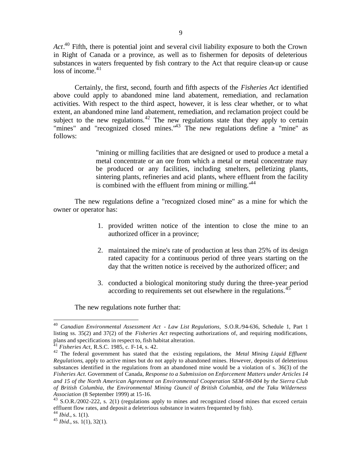*Act*. <sup>40</sup> Fifth, there is potential joint and several civil liability exposure to both the Crown in Right of Canada or a province, as well as to fishermen for deposits of deleterious substances in waters frequented by fish contrary to the Act that require clean-up or cause  $loss of income.<sup>41</sup>$ 

Certainly, the first, second, fourth and fifth aspects of the *Fisheries Act* identified above could apply to abandoned mine land abatement, remediation, and reclamation activities. With respect to the third aspect, however, it is less clear whether, or to what extent, an abandoned mine land abatement, remediation, and reclamation project could be subject to the new regulations.<sup>42</sup> The new regulations state that they apply to certain "mines" and "recognized closed mines."<sup>43</sup> The new regulations define a "mine" as follows:

> "mining or milling facilities that are designed or used to produce a metal a metal concentrate or an ore from which a metal or metal concentrate may be produced or any facilities, including smelters, pelletizing plants, sintering plants, refineries and acid plants, where effluent from the facility is combined with the effluent from mining or milling. $44$

The new regulations define a "recognized closed mine" as a mine for which the owner or operator has:

- 1. provided written notice of the intention to close the mine to an authorized officer in a province;
- 2. maintained the mine's rate of production at less than 25% of its design rated capacity for a continuous period of three years starting on the day that the written notice is received by the authorized officer; and
- 3. conducted a biological monitoring study during the three-year period according to requirements set out elsewhere in the regulations.<sup>45</sup>

The new regulations note further that:

<sup>40</sup> *Canadian Environmental Assessment Act - Law List Regulations,* S.O.R./94-636, Schedule 1, Part 1 listing ss. 35(2) and 37(2) of the *Fisheries Act* respecting authorizations of, and requiring modifications, plans and specifications in respect to, fish habitat alteration.

<sup>41</sup> *Fisheries Act,* R.S.C. 1985, c. F-14, s. 42.

<sup>42</sup> The federal government has stated that the existing regulations, the *Metal Mining Liquid Effluent Regulations*, apply to active mines but do not apply to abandoned mines. However, deposits of deleterious substances identified in the regulations from an abandoned mine would be a violation of s. 36(3) of the *Fisheries Act*. Government of Canada, *Response to a Submission on Enforcement Matters under Articles 14 and 15 of the North American Agreement on Environmental Cooperation SEM-98-004 by the Sierra Club of British Columbia, the Environmental Mining Council of British Columbia, and the Taku Wilderness Association* (8 September 1999) at 15-16.

<sup>&</sup>lt;sup>43</sup> S.O.R./2002-222, s. 2(1) (regulations apply to mines and recognized closed mines that exceed certain effluent flow rates, and deposit a deleterious substance in waters frequented by fish).

<sup>44</sup> *Ibid.*, s. 1(1).

<sup>45</sup> *Ibid.*, ss. 1(1), 32(1).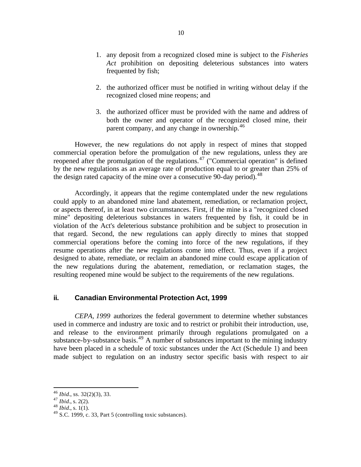- 1. any deposit from a recognized closed mine is subject to the *Fisheries Act* prohibition on depositing deleterious substances into waters frequented by fish;
- 2. the authorized officer must be notified in writing without delay if the recognized closed mine reopens; and
- 3. the authorized officer must be provided with the name and address of both the owner and operator of the recognized closed mine, their parent company, and any change in ownership.<sup>46</sup>

However, the new regulations do not apply in respect of mines that stopped commercial operation before the promulgation of the new regulations, unless they are reopened after the promulgation of the regulations.<sup>47</sup> ("Commercial operation" is defined by the new regulations as an average rate of production equal to or greater than 25% of the design rated capacity of the mine over a consecutive 90-day period).<sup>48</sup>

Accordingly, it appears that the regime contemplated under the new regulations could apply to an abandoned mine land abatement, remediation, or reclamation project, or aspects thereof, in at least two circumstances. First, if the mine is a "recognized closed mine" depositing deleterious substances in waters frequented by fish, it could be in violation of the Act's deleterious substance prohibition and be subject to prosecution in that regard. Second, the new regulations can apply directly to mines that stopped commercial operations before the coming into force of the new regulations, if they resume operations after the new regulations come into effect. Thus, even if a project designed to abate, remediate, or reclaim an abandoned mine could escape application of the new regulations during the abatement, remediation, or reclamation stages, the resulting reopened mine would be subject to the requirements of the new regulations.

# **ii. Canadian Environmental Protection Act, 1999**

*CEPA, 1999* authorizes the federal government to determine whether substances used in commerce and industry are toxic and to restrict or prohibit their introduction, use, and release to the environment primarily through regulations promulgated on a substance-by-substance basis.<sup>49</sup> A number of substances important to the mining industry have been placed in a schedule of toxic substances under the Act (Schedule 1) and been made subject to regulation on an industry sector specific basis with respect to air

<sup>46</sup> *Ibid.*, ss. 32(2)(3), 33.

<sup>47</sup> *Ibid.*, s. 2(2).

 $48$  *Ibid.*, s. 1(1).

 $^{49}$  S.C. 1999, c. 33, Part 5 (controlling toxic substances).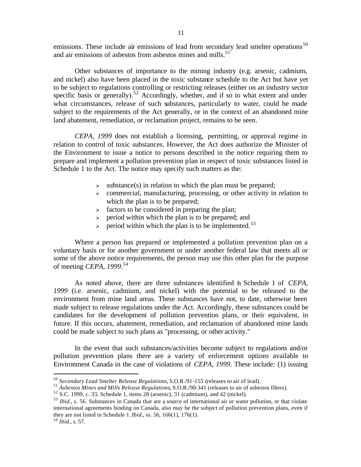emissions. These include air emissions of lead from secondary lead smelter operations<sup>50</sup> and air emissions of asbestos from asbestos mines and mills. $51$ 

Other substances of importance to the mining industry (e.g. arsenic, cadmium, and nickel) also have been placed in the toxic substance schedule to the Act but have yet to be subject to regulations controlling or restricting releases (either on an industry sector specific basis or generally).<sup>52</sup> Accordingly, whether, and if so to what extent and under what circumstances, release of such substances, particularly to water, could be made subject to the requirements of the Act generally, or in the context of an abandoned mine land abatement, remediation, or reclamation project, remains to be seen.

*CEPA, 1999* does not establish a licensing, permitting, or approval regime in relation to control of toxic substances. However, the Act does authorize the Minister of the Environment to issue a notice to persons described in the notice requiring them to prepare and implement a pollution prevention plan in respect of toxic substances listed in Schedule 1 to the Act. The notice may specify such matters as the:

- $\geq$  substance(s) in relation to which the plan must be prepared;
- $\geq$  commercial, manufacturing, processing, or other activity in relation to which the plan is to be prepared;
- $\triangleright$  factors to be considered in preparing the plan;
- $\ge$  period within which the plan is to be prepared; and
- $\ge$  period within which the plan is to be implemented.<sup>53</sup>

Where a person has prepared or implemented a pollution prevention plan on a voluntary basis or for another government or under another federal law that meets all or some of the above notice requirements, the person may use this other plan for the purpose of meeting *CEPA, 1999*. 54

As noted above, there are three substances identified in Schedule 1 of *CEPA, 1999* (i.e. arsenic, cadmium, and nickel) with the potential to be released to the environment from mine land areas. These substances have not, to date, otherwise been made subject to release regulations under the Act. Accordingly, these substances could be candidates for the development of pollution prevention plans, or their equivalent, in future. If this occurs, abatement, remediation, and reclamation of abandoned mine lands could be made subject to such plans as "processing, or other activity."

In the event that such substances/activities become subject to regulations and/or pollution prevention plans there are a variety of enforcement options available to Environment Canada in the case of violations of *CEPA, 1999*. These include: (1) issuing

<sup>50</sup> *Secondary Lead Smelter Release Regulations*, S.O.R./91-155 (releases to air of lead).

<sup>51</sup> *Asbestos Mines and Mills Release Regulations*, S.O.R./90-341 (releases to air of asbestos fibres).

 $52$  S.C. 1999, c. 33, Schedule 1, items  $28$  (arsenic), 31 (cadmium), and 42 (nickel).

<sup>53</sup> *Ibid.*, s. 56. Substances in Canada that are a source of international air or water pollution, or that violate international agreements binding on Canada, also may be the subject of pollution prevention plans, even if they are not listed in Schedule 1. *Ibid.*, ss. 56, 166(1), 176(1).

<sup>54</sup> *Ibid.*, s. 57.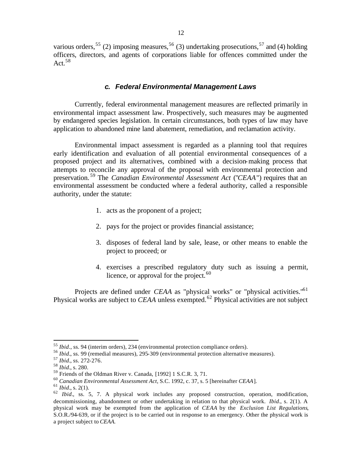various orders,<sup>55</sup> (2) imposing measures,<sup>56</sup> (3) undertaking prosecutions,<sup>57</sup> and (4) holding officers, directors, and agents of corporations liable for offences committed under the Act.  $58$ 

#### *c. Federal Environmental Management Laws*

Currently, federal environmental management measures are reflected primarily in environmental impact assessment law. Prospectively, such measures may be augmented by endangered species legislation. In certain circumstances, both types of law may have application to abandoned mine land abatement, remediation, and reclamation activity.

Environmental impact assessment is regarded as a planning tool that requires early identification and evaluation of all potential environmental consequences of a proposed project and its alternatives, combined with a decision-making process that attempts to reconcile any approval of the proposal with environmental protection and preservation. <sup>59</sup> The *Canadian Environmental Assessment Act* ("*CEAA*") requires that an environmental assessment be conducted where a federal authority, called a responsible authority, under the statute:

- 1. acts as the proponent of a project;
- 2. pays for the project or provides financial assistance;
- 3. disposes of federal land by sale, lease, or other means to enable the project to proceed; or
- 4. exercises a prescribed regulatory duty such as issuing a permit, licence, or approval for the project. $60$

Projects are defined under *CEAA* as "physical works" or "physical activities."<sup>61</sup> Physical works are subject to *CEAA* unless exempted.<sup>62</sup> Physical activities are not subject

<sup>55</sup> *Ibid*., ss. 94 (interim orders), 234 (environmental protection compliance orders).

<sup>56</sup> *Ibid.*, ss. 99 (remedial measures), 295-309 (environmental protection alternative measures).

<sup>57</sup> *Ibid.*, ss. 272-276.

<sup>58</sup> *Ibid.*, s. 280.

<sup>59</sup> Friends of the Oldman River v. Canada, [1992] 1 S.C.R. 3, 71.

<sup>60</sup> *Canadian Environmental Assessment Act*, S.C. 1992, c. 37, s. 5 [hereinafter *CEAA*].

<sup>61</sup> *Ibid.*, s. 2(1).

<sup>&</sup>lt;sup>62</sup> *Ibid.*, ss. 5, 7. A physical work includes any proposed construction, operation, modification, decommissioning, abandonment or other undertaking in relation to that physical work. *Ibid.*, s. 2(1). A physical work may be exempted from the application of *CEAA* by the *Exclusion List Regulations*, S.O.R./94-639, or if the project is to be carried out in response to an emergency. Other the physical work is a project subject to *CEAA.*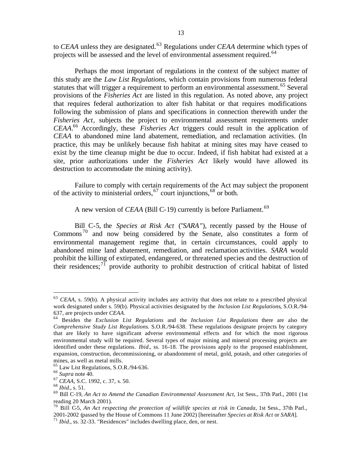to *CEAA* unless they are designated.<sup>63</sup> Regulations under *CEAA* determine which types of projects will be assessed and the level of environmental assessment required.<sup>64</sup>

Perhaps the most important of regulations in the context of the subject matter of this study are the *Law List Regulations*, which contain provisions from numerous federal statutes that will trigger a requirement to perform an environmental assessment.<sup>65</sup> Several provisions of the *Fisheries Act* are listed in this regulation. As noted above, any project that requires federal authorization to alter fish habitat or that requires modifications following the submission of plans and specifications in connection therewith under the *Fisheries Act*, subjects the project to environmental assessment requirements under *CEAA*. <sup>66</sup> Accordingly, these *Fisheries Act* triggers could result in the application of *CEAA* to abandoned mine land abatement, remediation, and reclamation activities. (In practice, this may be unlikely because fish habitat at mining sites may have ceased to exist by the time cleanup might be due to occur. Indeed, if fish habitat had existed at a site, prior authorizations under the *Fisheries Act* likely would have allowed its destruction to accommodate the mining activity).

Failure to comply with certain requirements of the Act may subject the proponent of the activity to ministerial orders,  $67$  court injunctions,  $68$  or both.

A new version of *CEAA* (Bill C-19) currently is before Parliament.<sup>69</sup>

Bill C-5, the *Species at Risk Act* ("*SARA*"), recently passed by the House of Commons <sup>70</sup> and now being considered by the Senate, also constitutes a form of environmental management regime that, in certain circumstances, could apply to abandoned mine land abatement, remediation, and reclamation activities. *SARA* would prohibit the killing of extirpated, endangered, or threatened species and the destruction of their residences;  $^{7}$  provide authority to prohibit destruction of critical habitat of listed

<sup>63</sup> *CEAA*, s. 59(b). A physical activity includes any activity that does not relate to a prescribed physical work designated under s. 59(b). Physical activities designated by the *Inclusion List Regulations*, S.O.R./94- 637, are projects under *CEAA*.

<sup>64</sup> Besides the *Exclusion List Regulations* and the *Inclusion List Regulations* there are also the *Comprehensive Study List Regulations*. S.O.R./94-638. These regulations designate projects by category that are likely to have significant adverse environmental effects and for which the most rigorous environmental study will be required. Several types of major mining and mineral processing projects are identified under these regulations. *Ibid.*, ss. 16-18. The provisions apply to the proposed establishment, expansion, construction, decommissioning, or abandonment of metal, gold, potash, and other categories of mines, as well as metal mills.

<sup>65</sup> Law List Regulations, S.O.R./94-636.

<sup>66</sup> *Supra* note 40.

<sup>67</sup> *CEAA,* S.C. 1992, c. 37, s. 50.

<sup>68</sup> *Ibid.*, s. 51.

<sup>69</sup> Bill C-19, *An Act to Amend the Canadian Environmental Assessment Act*, 1st Sess., 37th Parl., 2001 (1st reading 20 March 2001).

<sup>70</sup> Bill C-5, *An Act respecting the protection of wildlife species at risk in Canada*, 1st Sess., 37th Parl., 2001-2002 (passed by the House of Commons 11 June 2002) [hereinafter *Species at Risk Act* or *SARA*].

 $71$  *Ibid.*, ss. 32-33. "Residences" includes dwelling place, den, or nest.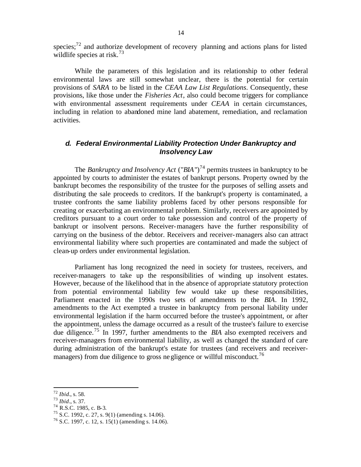species; $^{72}$  and authorize development of recovery planning and actions plans for listed wildlife species at risk.<sup>73</sup>

While the parameters of this legislation and its relationship to other federal environmental laws are still somewhat unclear, there is the potential for certain provisions of *SARA* to be listed in the *CEAA Law List Regulations*. Consequently, these provisions, like those under the *Fisheries Act*, also could become triggers for compliance with environmental assessment requirements under *CEAA* in certain circumstances, including in relation to abandoned mine land abatement, remediation, and reclamation activities.

# *d. Federal Environmental Liability Protection Under Bankruptcy and Insolvency Law*

The *Bankruptcy and Insolvency Act* ("*BIA*")<sup>74</sup> permits trustees in bankruptcy to be appointed by courts to administer the estates of bankrupt persons. Property owned by the bankrupt becomes the responsibility of the trustee for the purposes of selling assets and distributing the sale proceeds to creditors. If the bankrupt's property is contaminated, a trustee confronts the same liability problems faced by other persons responsible for creating or exacerbating an environmental problem. Similarly, receivers are appointed by creditors pursuant to a court order to take possession and control of the property of bankrupt or insolvent persons. Receiver-managers have the further responsibility of carrying on the business of the debtor. Receivers and receiver-managers also can attract environmental liability where such properties are contaminated and made the subject of clean-up orders under environmental legislation.

Parliament has long recognized the need in society for trustees, receivers, and receiver-managers to take up the responsibilities of winding up insolvent estates. However, because of the likelihood that in the absence of appropriate statutory protection from potential environmental liability few would take up these responsibilities, Parliament enacted in the 1990s two sets of amendments to the *BIA*. In 1992, amendments to the Act exempted a trustee in bankruptcy from personal liability under environmental legislation if the harm occurred before the trustee's appointment, or after the appointment, unless the damage occurred as a result of the trustee's failure to exercise due diligence.<sup>75</sup> In 1997, further amendments to the *BIA* also exempted receivers and receiver-managers from environmental liability, as well as changed the standard of care during administration of the bankrupt's estate for trustees (and receivers and receivermanagers) from due diligence to gross negligence or willful misconduct.<sup>76</sup>

<sup>72</sup> *Ibid.*, s. 58.

<sup>73</sup> *Ibid*., s. 37.

 $^{74}$  R.S.C. 1985, c. B-3.

<sup>75</sup> S.C. 1992, c. 27, s. 9(1) (amending s. 14.06).

 $76$  S.C. 1997, c. 12, s. 15(1) (amending s. 14.06).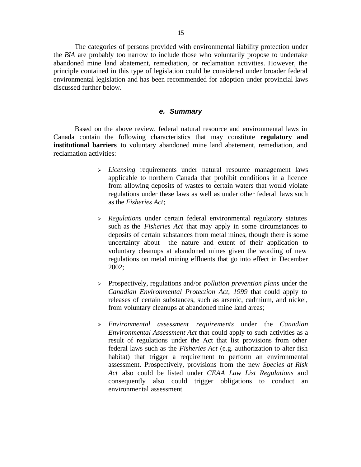The categories of persons provided with environmental liability protection under the *BIA* are probably too narrow to include those who voluntarily propose to undertake abandoned mine land abatement, remediation, or reclamation activities. However, the principle contained in this type of legislation could be considered under broader federal environmental legislation and has been recommended for adoption under provincial laws discussed further below.

#### *e. Summary*

Based on the above review, federal natural resource and environmental laws in Canada contain the following characteristics that may constitute **regulatory and institutional barriers** to voluntary abandoned mine land abatement, remediation, and reclamation activities:

- <sup>ÿ</sup> *Licensing* requirements under natural resource management laws applicable to northern Canada that prohibit conditions in a licence from allowing deposits of wastes to certain waters that would violate regulations under these laws as well as under other federal laws such as the *Fisheries Act*;
- <sup>ÿ</sup> *Regulations* under certain federal environmental regulatory statutes such as the *Fisheries Act* that may apply in some circumstances to deposits of certain substances from metal mines, though there is some uncertainty about the nature and extent of their application to voluntary cleanups at abandoned mines given the wording of new regulations on metal mining effluents that go into effect in December 2002;
- <sup>ÿ</sup> Prospectively, regulations and/or *pollution prevention plans* under the *Canadian Environmental Protection Act, 1999* that could apply to releases of certain substances, such as arsenic, cadmium, and nickel, from voluntary cleanups at abandoned mine land areas;
- <sup>ÿ</sup> *Environmental assessment requirements* under the *Canadian Environmental Assessment Act* that could apply to such activities as a result of regulations under the Act that list provisions from other federal laws such as the *Fisheries Act* (e.g. authorization to alter fish habitat) that trigger a requirement to perform an environmental assessment. Prospectively, provisions from the new *Species at Risk Act* also could be listed under *CEAA Law List Regulations* and consequently also could trigger obligations to conduct an environmental assessment.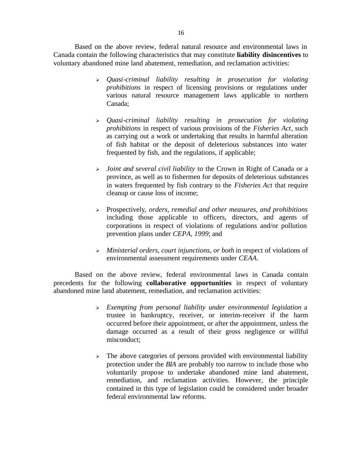Based on the above review, federal natural resource and environmental laws in Canada contain the following characteristics that may constitute **liability disincentives** to voluntary abandoned mine land abatement, remediation, and reclamation activities:

- <sup>ÿ</sup> *Quasi-criminal liability resulting in prosecution for violating prohibitions* in respect of licensing provisions or regulations under various natural resource management laws applicable to northern Canada;
- <sup>ÿ</sup> *Quasi-criminal liability resulting in prosecution for violating prohibitions* in respect of various provisions of the *Fisheries Act*, such as carrying out a work or undertaking that results in harmful alteration of fish habitat or the deposit of deleterious substances into water frequented by fish, and the regulations, if applicable;
- <sup>ÿ</sup> *Joint and several civil liability* to the Crown in Right of Canada or a province, as well as to fishermen for deposits of deleterious substances in waters frequented by fish contrary to the *Fisheries Act* that require cleanup or cause loss of income;
- <sup>ÿ</sup> Prospectively, *orders, remedial and other measures, and prohibitions* including those applicable to officers, directors, and agents of corporations in respect of violations of regulations and/or pollution prevention plans under *CEPA, 1999*; and
- <sup>ÿ</sup> *Ministerial orders, court injunctions, or both* in respect of violations of environmental assessment requirements under *CEAA*.

Based on the above review, federal environmental laws in Canada contain precedents for the following **collaborative opportunities** in respect of voluntary abandoned mine land abatement, remediation, and reclamation activities:

- <sup>ÿ</sup> *Exempting from personal liability under environmental legislation* a trustee in bankruptcy, receiver, or interim-receiver if the harm occurred before their appointment, or after the appointment, unless the damage occurred as a result of their gross negligence or willful misconduct;
- $\geq$  The above categories of persons provided with environmental liability protection under the *BIA* are probably too narrow to include those who voluntarily propose to undertake abandoned mine land abatement, remediation, and reclamation activities. However, the principle contained in this type of legislation could be considered under broader federal environmental law reforms.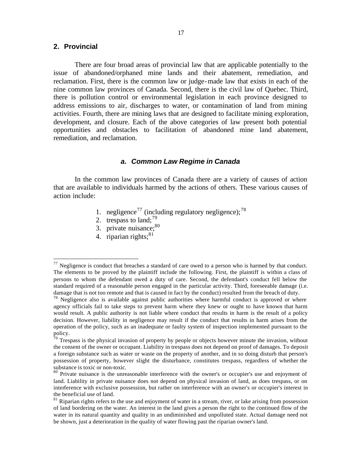## **2. Provincial**

 $\overline{a}$ 

There are four broad areas of provincial law that are applicable potentially to the issue of abandoned/orphaned mine lands and their abatement, remediation, and reclamation. First, there is the common law or judge-made law that exists in each of the nine common law provinces of Canada. Second, there is the civil law of Quebec. Third, there is pollution control or environmental legislation in each province designed to address emissions to air, discharges to water, or contamination of land from mining activities. Fourth, there are mining laws that are designed to facilitate mining exploration, development, and closure. Each of the above categories of law present both potential opportunities and obstacles to facilitation of abandoned mine land abatement, remediation, and reclamation.

#### *a. Common Law Regime in Canada*

In the common law provinces of Canada there are a variety of causes of action that are available to individuals harmed by the actions of others. These various causes of action include:

- 1. negligence<sup>77</sup> (including regulatory negligence);<sup>78</sup>
- 2. trespass to land;  $^{79}$
- 3. private nuisance; $80$
- 4. riparian rights: $81$

 $77$  Negligence is conduct that breaches a standard of care owed to a person who is harmed by that conduct. The elements to be proved by the plaintiff include the following. First, the plaintiff is within a class of persons to whom the defendant owed a duty of care. Second, the defendant's conduct fell below the standard required of a reasonable person engaged in the particular activity. Third, foreseeable damage (i.e. damage that is not too remote and that is caused in fact by the conduct) resulted from the breach of duty.

 $78$  Negligence also is available against public authorities where harmful conduct is approved or where agency officials fail to take steps to prevent harm where they knew or ought to have known that harm would result. A public authority is not liable where conduct that results in harm is the result of a policy decision. However, liability in negligence may result if the conduct that results in harm arises from the operation of the policy, such as an inadequate or faulty system of inspection implemented pursuant to the policy.

 $\frac{79}{7}$  Trespass is the physical invasion of property by people or objects however minute the invasion, without the consent of the owner or occupant. Liability in trespass does not depend on proof of damages. To deposit a foreign substance such as water or waste on the property of another, and in so doing disturb that person's possession of property, however slight the disturbance, constitutes trespass, regardless of whether the substance is toxic or non-toxic.

<sup>&</sup>lt;sup>80</sup> Private nuisance is the unreasonable interference with the owner's or occupier's use and enjoyment of land. Liability in private nuisance does not depend on physical invasion of land, as does trespass, or on interference with exclusive possession, but rather on interference with an owner's or occupier's interest in the beneficial use of land.

 $81$  Riparian rights refers to the use and enjoyment of water in a stream, river, or lake arising from possession of land bordering on the water. An interest in the land gives a person the right to the continued flow of the water in its natural quantity and quality in an undiminished and unpolluted state. Actual damage need not be shown, just a deterioration in the quality of water flowing past the riparian owner's land.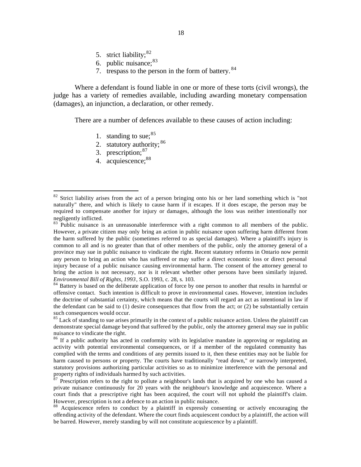- 5. strict liability;<sup>82</sup>
- 6. public nuisance;<sup>83</sup>
- 7. trespass to the person in the form of battery. <sup>84</sup>

Where a defendant is found liable in one or more of these torts (civil wrongs), the judge has a variety of remedies available, including awarding monetary compensation (damages), an injunction, a declaration, or other remedy.

There are a number of defences available to these causes of action including:

- 1. standing to sue;  $85$
- 2. statutory authority;  $86$
- 3. prescription; 87
- 4. acquiescence: 88

<sup>&</sup>lt;sup>82</sup> Strict liability arises from the act of a person bringing onto his or her land something which is "not naturally" there, and which is likely to cause harm if it escapes. If it does escape, the person may be required to compensate another for injury or damages, although the loss was neither intentionally nor negligently inflicted.

<sup>&</sup>lt;sup>83</sup> Public nuisance is an unreasonable interference with a right common to all members of the public. However, a private citizen may only bring an action in public nuisance upon suffering harm different from the harm suffered by the public (sometimes referred to as special damages). Where a plaintiff's injury is common to all and is no greater than that of other members of the public, only the attorney general of a province may sue in public nuisance to vindicate the right. Recent statutory reforms in Ontario now permit any person to bring an action who has suffered or may suffer a direct economic loss or direct personal injury because of a public nuisance causing environmental harm. The consent of the attorney general to bring the action is not necessary, nor is it relevant whether other persons have been similarly injured. *Environmental Bill of Rights, 1993*, S.O. 1993, c. 28, s. 103.

<sup>&</sup>lt;sup>84</sup> Battery is based on the deliberate application of force by one person to another that results in harmful or offensive contact. Such intention is difficult to prove in environmental cases. However, intention includes the doctrine of substantial certainty, which means that the courts will regard an act as intentional in law if the defendant can be said to  $(1)$  desire consequences that flow from the act; or  $(2)$  be substantially certain such consequences would occur.

<sup>&</sup>lt;sup>85</sup> Lack of standing to sue arises primarily in the context of a public nuisance action. Unless the plaintiff can demonstrate special damage beyond that suffered by the public, only the attorney general may sue in public nuisance to vindicate the right.

<sup>&</sup>lt;sup>86</sup> If a public authority has acted in conformity with its legislative mandate in approving or regulating an activity with potential environmental consequences, or if a member of the regulated community has complied with the terms and conditions of any permits issued to it, then these entities may not be liable for harm caused to persons or property. The courts have traditionally "read down," or narrowly interpreted, statutory provisions authorizing particular activities so as to minimize interference with the personal and property rights of individuals harmed by such activities.

 $87$  Prescription refers to the right to pollute a neighbour's lands that is acquired by one who has caused a private nuisance continuously for 20 years with the neighbour's knowledge and acquiescence. Where a court finds that a prescriptive right has been acquired, the court will not uphold the plaintiff's claim. However, prescription is not a defence to an action in public nuisance.

<sup>&</sup>lt;sup>88</sup> Acquiescence refers to conduct by a plaintiff in expressly consenting or actively encouraging the offending activity of the defendant. Where the court finds acquiescent conduct by a plaintiff, the action will be barred. However, merely standing by will not constitute acquiescence by a plaintiff.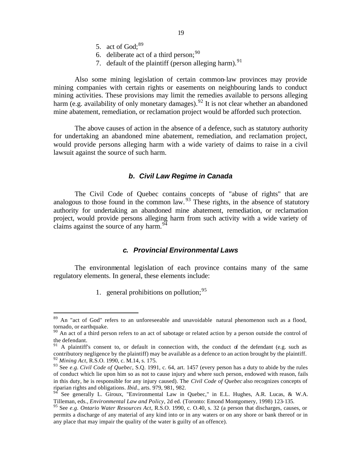- 5. act of  $God: <sup>89</sup>$
- 6. deliberate act of a third person;  $90$
- 7. default of the plaintiff (person alleging harm).  $91$

Also some mining legislation of certain common-law provinces may provide mining companies with certain rights or easements on neighbouring lands to conduct mining activities. These provisions may limit the remedies available to persons alleging harm (e.g. availability of only monetary damages).<sup>92</sup> It is not clear whether an abandoned mine abatement, remediation, or reclamation project would be afforded such protection.

The above causes of action in the absence of a defence, such as statutory authority for undertaking an abandoned mine abatement, remediation, and reclamation project, would provide persons alleging harm with a wide variety of claims to raise in a civil lawsuit against the source of such harm.

## *b. Civil Law Regime in Canada*

The Civil Code of Quebec contains concepts of "abuse of rights" that are analogous to those found in the common law.  $93$  These rights, in the absence of statutory authority for undertaking an abandoned mine abatement, remediation, or reclamation project, would provide persons alleging harm from such activity with a wide variety of claims against the source of any harm.<sup>94</sup>

#### *c. Provincial Environmental Laws*

The environmental legislation of each province contains many of the same regulatory elements. In general, these elements include:

1. general prohibitions on pollution;  $95$ 

<sup>&</sup>lt;sup>89</sup> An "act of God" refers to an unforeseeable and unavoidable natural phenomenon such as a flood, tornado, or earthquake.

 $90$  An act of a third person refers to an act of sabotage or related action by a person outside the control of the defendant.

 $91$  A plaintiff's consent to, or default in connection with, the conduct of the defendant (e.g. such as contributory negligence by the plaintiff) may be available as a defence to an action brought by the plaintiff. <sup>92</sup> *Mining Act*, R.S.O. 1990, c. M.14, s. 175.

<sup>93</sup> See *e.g. Civil Code of Quebec*, S.Q. 1991, c. 64, art. 1457 (every person has a duty to abide by the rules of conduct which lie upon him so as not to cause injury and where such person, endowed with reason, fails in this duty, he is responsible for any injury caused). The *Civil Code of Quebec* also recognizes concepts of riparian rights and obligations. *Ibid.,* arts. 979, 981, 982.

 $94$  See generally L. Giroux, "Environmental Law in Quebec," in E.L. Hughes, A.R. Lucas, & W.A. Tilleman, eds., *Environmental Law and Policy*, 2d ed. (Toronto: Emond Montgomery, 1998) 123-135.

<sup>95</sup> See *e.g. Ontario Water Resources Act*, R.S.O. 1990, c. O.40, s. 32 (a person that discharges, causes, or permits a discharge of any material of any kind into or in any waters or on any shore or bank thereof or in any place that may impair the quality of the water is guilty of an offence).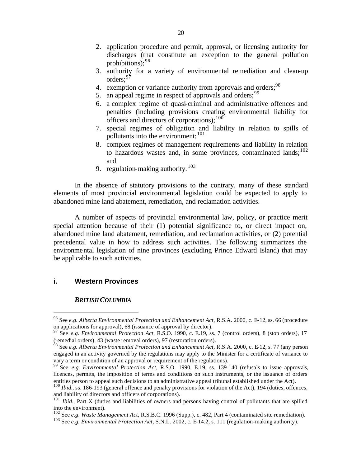- 2. application procedure and permit, approval, or licensing authority for discharges (that constitute an exception to the general pollution prohibitions):  $96$
- 3. authority for a variety of environmental remediation and clean-up orders: 97
- 4. exemption or variance authority from approvals and orders;<sup>98</sup>
- 5. an appeal regime in respect of approvals and orders;<sup>99</sup>
- 6. a complex regime of quasi-criminal and administrative offences and penalties (including provisions creating environmental liability for officers and directors of corporations):  $100$
- 7. special regimes of obligation and liability in relation to spills of pollutants into the environment;<sup>101</sup>
- 8. complex regimes of management requirements and liability in relation to hazardous wastes and, in some provinces, contaminated lands;  $^{102}$ and
- 9. regulation-making authority.  $103$

In the absence of statutory provisions to the contrary, many of these standard elements of most provincial environmental legislation could be expected to apply to abandoned mine land abatement, remediation, and reclamation activities.

A number of aspects of provincial environmental law, policy, or practice merit special attention because of their (1) potential significance to, or direct impact on, abandoned mine land abatement, remediation, and reclamation activities, or (2) potential precedental value in how to address such activities. The following summarizes the environmental legislation of nine provinces (excluding Prince Edward Island) that may be applicable to such activities.

#### **i. Western Provinces**

 $\overline{a}$ 

#### *BRITISH COLUMBIA*

<sup>96</sup> See *e.g. Alberta Environmental Protection and Enhancement Act*, R.S.A. 2000, c. E-12, ss. 66 (procedure on applications for approval), 68 (issuance of approval by director).

<sup>97</sup> See *e.g. Environmental Protection Act*, R.S.O. 1990, c. E.19, ss. 7 (control orders), 8 (stop orders), 17 (remedial orders), 43 (waste removal orders), 97 (restoration orders).

<sup>98</sup> See *e.g. Alberta Environmental Protection and Enhancement Act*, R.S.A. 2000, c. E-12, s. 77 (any person engaged in an activity governed by the regulations may apply to the Minister for a certificate of variance to vary a term or condition of an approval or requirement of the regulations).

<sup>99</sup> See *e.g. Environmental Protection Act*, R.S.O. 1990, E.19, ss. 139-140 (refusals to issue approvals, licences, permits, the imposition of terms and conditions on such instruments, or the issuance of orders entitles person to appeal such decisions to an administrative appeal tribunal established under the Act).

<sup>&</sup>lt;sup>100</sup> *Ibid.*, ss. 186-193 (general offence and penalty provisions for violation of the Act), 194 (duties, offences, and liability of directors and officers of corporations).

<sup>&</sup>lt;sup>101</sup> *Ibid.*, Part X (duties and liabilities of owners and persons having control of pollutants that are spilled into the environment).

<sup>102</sup> See *e.g. Waste Management Act*, R.S.B.C. 1996 (Supp.), c. 482, Part 4 (contaminated site remediation).

<sup>103</sup> See *e.g. Environmental Protection Act*, S.N.L. 2002, c. E-14.2, s. 111 (regulation-making authority).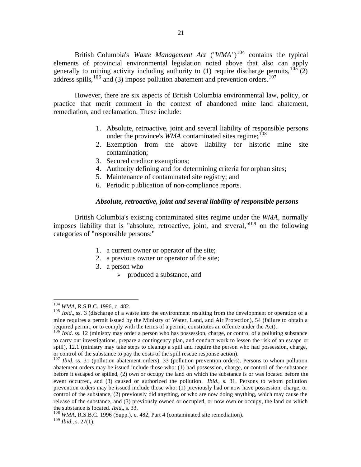British Columbia's *Waste Management Act* ("*WMA*")<sup>104</sup> contains the typical elements of provincial environmental legislation noted above that also can apply generally to mining activity including authority to (1) require discharge permits,  $^{105}$  (2) address spills,  $^{106}$  and (3) impose pollution abatement and prevention orders.<sup>107</sup>

However, there are six aspects of British Columbia environmental law, policy, or practice that merit comment in the context of abandoned mine land abatement, remediation, and reclamation. These include:

- 1. Absolute, retroactive, joint and several liability of responsible persons under the province's *WMA* contaminated sites regime;<sup>108</sup>
- 2. Exemption from the above liability for historic mine site contamination;
- 3. Secured creditor exemptions;
- 4. Authority defining and for determining criteria for orphan sites;
- 5. Maintenance of contaminated site registry; and
- 6. Periodic publication of non-compliance reports.

## *Absolute, retroactive, joint and several liability of responsible persons*

British Columbia's existing contaminated sites regime under the *WMA*, normally imposes liability that is "absolute, retroactive, joint, and several,"<sup>109</sup> on the following categories of "responsible persons:"

- 1. a current owner or operator of the site;
- 2. a previous owner or operator of the site;
- 3. a person who
	- $\triangleright$  produced a substance, and

<sup>104</sup> *WMA*, R.S.B.C. 1996, c. 482.

<sup>&</sup>lt;sup>105</sup> *Ibid.*, ss. 3 (discharge of a waste into the environment resulting from the development or operation of a mine requires a permit issued by the Ministry of Water, Land, and Air Protection), 54 (failure to obtain a required permit, or to comply with the terms of a permit, constitutes an offence under the Act).

<sup>&</sup>lt;sup>106</sup> *Ibid.* ss. 12 (ministry may order a person who has possession, charge, or control of a polluting substance to carry out investigations, prepare a contingency plan, and conduct work to lessen the risk of an escape or spill), 12.1 (ministry may take steps to cleanup a spill and require the person who had possession, charge, or control of the substance to pay the costs of the spill rescue response action).

<sup>&</sup>lt;sup>107</sup> *Ibid.* ss. 31 (pollution abatement orders), 33 (pollution prevention orders). Persons to whom pollution abatement orders may be issued include those who: (1) had possession, charge, or control of the substance before it escaped or spilled, (2) own or occupy the land on which the substance is or was located before the event occurred, and (3) caused or authorized the pollution. *Ibid.*, s. 31. Persons to whom pollution prevention orders may be issued include those who: (1) previously had or now have possession, charge, or control of the substance, (2) previously did anything, or who are now doing anything, which may cause the release of the substance, and (3) previously owned or occupied, or now own or occupy, the land on which the substance is located. *Ibid.*, s. 33.

<sup>&</sup>lt;sup>108</sup> WMA, R.S.B.C. 1996 (Supp.), c. 482, Part 4 (contaminated site remediation). <sup>109</sup> *Ibid.*, s. 27(1).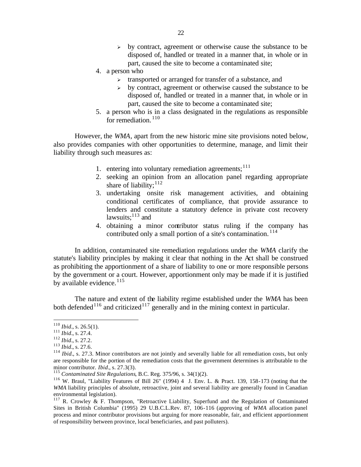- $\rightarrow$  by contract, agreement or otherwise cause the substance to be disposed of, handled or treated in a manner that, in whole or in part, caused the site to become a contaminated site;
- 4. a person who
	- > transported or arranged for transfer of a substance, and
	- $\rightarrow$  by contract, agreement or otherwise caused the substance to be disposed of, handled or treated in a manner that, in whole or in part, caused the site to become a contaminated site;
- 5. a person who is in a class designated in the regulations as responsible for remediation.  $110$

However, the *WMA*, apart from the new historic mine site provisions noted below, also provides companies with other opportunities to determine, manage, and limit their liability through such measures as:

- 1. entering into voluntary remediation agreements;  $111$
- 2. seeking an opinion from an allocation panel regarding appropriate share of liability; $^{112}$
- 3. undertaking onsite risk management activities, and obtaining conditional certificates of compliance, that provide assurance to lenders and constitute a statutory defence in private cost recovery lawsuits: $^{113}$  and
- 4. obtaining a minor contributor status ruling if the company has contributed only a small portion of a site's contamination.<sup>114</sup>

In addition, contaminated site remediation regulations under the *WMA* clarify the statute's liability principles by making it clear that nothing in the Act shall be construed as prohibiting the apportionment of a share of liability to one or more responsible persons by the government or a court. However, apportionment only may be made if it is justified by available evidence.  $115$ 

The nature and extent of the liability regime established under the *WMA* has been both defended<sup>116</sup> and criticized<sup>117</sup> generally and in the mining context in particular.

 $^{110}$  *Ibid.*, s. 26.5(1).

<sup>111</sup> *Ibid.*, s. 27.4.

<sup>112</sup> *Ibid.*, s. 27.2.

<sup>113</sup> *Ibid.*, s. 27.6.

<sup>&</sup>lt;sup>114</sup> *Ibid.*, s. 27.3. Minor contributors are not jointly and severally liable for all remediation costs, but only are responsible for the portion of the remediation costs that the government determines is attributable to the minor contributor. *Ibid.*, s. 27.3(3).

<sup>115</sup> *Contaminated Site Regulations*, B.C. Reg. 375/96, s. 34(1)(2).

<sup>116</sup> W. Braul, "Liability Features of Bill 26" (1994) 4 J. Env. L. & Pract. 139, 158-173 (noting that the *WMA* liability principles of absolute, retroactive, joint and several liability are generally found in Canadian environmental legislation).

<sup>&</sup>lt;sup>117</sup> R. Crowley & F. Thompson, "Retroactive Liability, Superfund and the Regulation of Contaminated Sites in British Columbia" (1995) 29 U.B.C.L.Rev. 87, 106-116 (approving of *WMA* allocation panel process and minor contributor provisions but arguing for more reasonable, fair, and efficient apportionment of responsibility between province, local beneficiaries, and past polluters).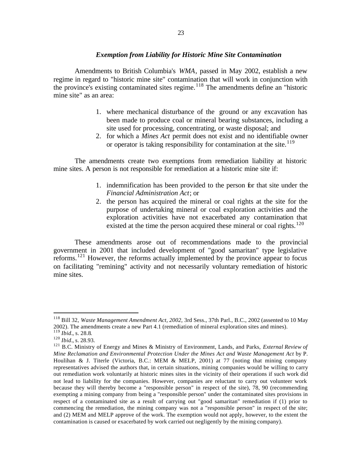#### *Exemption from Liability for Historic Mine Site Contamination*

Amendments to British Columbia's *WMA*, passed in May 2002, establish a new regime in regard to "historic mine site" contamination that will work in conjunction with the province's existing contaminated sites regime.<sup>118</sup> The amendments define an "historic mine site" as an area:

- 1. where mechanical disturbance of the ground or any excavation has been made to produce coal or mineral bearing substances, including a site used for processing, concentrating, or waste disposal; and
- 2. for which a *Mines Act* permit does not exist and no identifiable owner or operator is taking responsibility for contamination at the site.<sup>119</sup>

The amendments create two exemptions from remediation liability at historic mine sites. A person is not responsible for remediation at a historic mine site if:

- 1. indemnification has been provided to the person for that site under the *Financial Administration Act*; or
- 2. the person has acquired the mineral or coal rights at the site for the purpose of undertaking mineral or coal exploration activities and the exploration activities have not exacerbated any contamination that existed at the time the person acquired these mineral or coal rights.<sup>120</sup>

These amendments arose out of recommendations made to the provincial government in 2001 that included development of "good samaritan" type legislative reforms.<sup>121</sup> However, the reforms actually implemented by the province appear to focus on facilitating "remining" activity and not necessarily voluntary remediation of historic mine sites.

<sup>118</sup> Bill 32, *Waste Management Amendment Act, 2002*, 3rd Sess., 37th Parl., B.C., 2002 (assented to 10 May 2002). The amendments create a new Part 4.1 (remediation of mineral exploration sites and mines). <sup>119</sup> *Ibid.*, s. 28.8.

<sup>120</sup> *Ibid.*, s. 28.93.

<sup>121</sup> B.C. Ministry of Energy and Mines & Ministry of Environment, Lands, and Parks, *External Review of Mine Reclamation and Environmental Protection Under the Mines Act and Waste Management Act* by P. Houlihan & J. Titerle (Victoria, B.C.: MEM & MELP, 2001) at 77 (noting that mining company representatives advised the authors that, in certain situations, mining companies would be willing to carry out remediation work voluntarily at historic mines sites in the vicinity of their operations if such work did not lead to liability for the companies. However, companies are reluctant to carry out volunteer work because they will thereby become a "responsible person" in respect of the site), 78, 90 (recommending exempting a mining company from being a "responsible person" under the contaminated sites provisions in respect of a contaminated site as a result of carrying out "good samaritan" remediation if (1) prior to commencing the remediation, the mining company was not a "responsible person" in respect of the site; and (2) MEM and MELP approve of the work. The exemption would not apply, however, to the extent the contamination is caused or exacerbated by work carried out negligently by the mining company).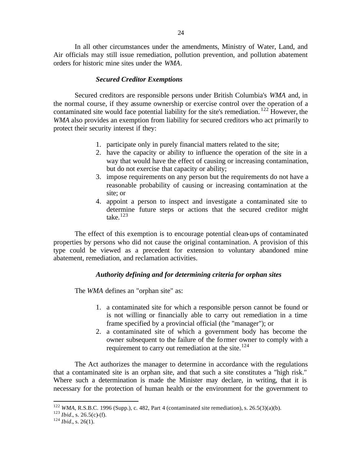In all other circumstances under the amendments, Ministry of Water, Land, and Air officials may still issue remediation, pollution prevention, and pollution abatement orders for historic mine sites under the *WMA*.

#### *Secured Creditor Exemptions*

Secured creditors are responsible persons under British Columbia's *WMA* and, in the normal course, if they assume ownership or exercise control over the operation of a contaminated site would face potential liability for the site's remediation. <sup>122</sup> However, the *WMA* also provides an exemption from liability for secured creditors who act primarily to protect their security interest if they:

- 1. participate only in purely financial matters related to the site;
- 2. have the capacity or ability to influence the operation of the site in a way that would have the effect of causing or increasing contamination, but do not exercise that capacity or ability;
- 3. impose requirements on any person but the requirements do not have a reasonable probability of causing or increasing contamination at the site; or
- 4. appoint a person to inspect and investigate a contaminated site to determine future steps or actions that the secured creditor might take. $123$

The effect of this exemption is to encourage potential clean-ups of contaminated properties by persons who did not cause the original contamination. A provision of this type could be viewed as a precedent for extension to voluntary abandoned mine abatement, remediation, and reclamation activities.

#### *Authority defining and for determining criteria for orphan sites*

The *WMA* defines an "orphan site" as:

- 1. a contaminated site for which a responsible person cannot be found or is not willing or financially able to carry out remediation in a time frame specified by a provincial official (the "manager"); or
- 2. a contaminated site of which a government body has become the owner subsequent to the failure of the former owner to comply with a requirement to carry out remediation at the site. $124$

The Act authorizes the manager to determine in accordance with the regulations that a contaminated site is an orphan site, and that such a site constitutes a "high risk." Where such a determination is made the Minister may declare, in writing, that it is necessary for the protection of human health or the environment for the government to

<sup>&</sup>lt;sup>122</sup> *WMA*, R.S.B.C. 1996 (Supp.), c. 482, Part 4 (contaminated site remediation), s. 26.5(3)(a)(b).

 $123$  *Ibid.*, s. 26.5(c)-(f).

<sup>124</sup> *Ibid.*, s. 26(1).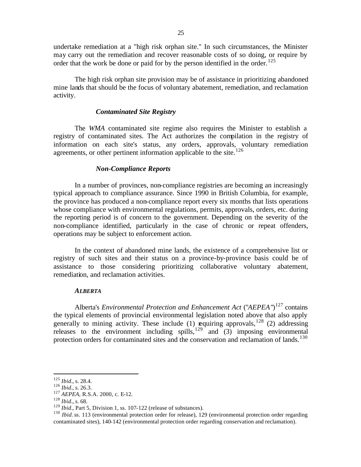undertake remediation at a "high risk orphan site." In such circumstances, the Minister may carry out the remediation and recover reasonable costs of so doing, or require by order that the work be done or paid for by the person identified in the order.<sup>125</sup>

The high risk orphan site provision may be of assistance in prioritizing abandoned mine lands that should be the focus of voluntary abatement, remediation, and reclamation activity.

#### *Contaminated Site Registry*

The *WMA* contaminated site regime also requires the Minister to establish a registry of contaminated sites. The Act authorizes the compilation in the registry of information on each site's status, any orders, approvals, voluntary remediation agreements, or other pertinent information applicable to the site. $126$ 

#### *Non-Compliance Reports*

In a number of provinces, non-compliance registries are becoming an increasingly typical approach to compliance assurance. Since 1990 in British Columbia, for example, the province has produced a non-compliance report every six months that lists operations whose compliance with environmental regulations, permits, approvals, orders, etc. during the reporting period is of concern to the government. Depending on the severity of the non-compliance identified, particularly in the case of chronic or repeat offenders, operations may be subject to enforcement action.

In the context of abandoned mine lands, the existence of a comprehensive list or registry of such sites and their status on a province-by-province basis could be of assistance to those considering prioritizing collaborative voluntary abatement, remediation, and reclamation activities.

#### *ALBERTA*

Alberta's *Environmental Protection and Enhancement Act* ("*AEPEA*")<sup>127</sup> contains the typical elements of provincial environmental legislation noted above that also apply generally to mining activity. These include (1) requiring approvals, <sup>128</sup> (2) addressing releases to the environment including spills,<sup>129</sup> and  $(3)$  imposing environmental protection orders for contaminated sites and the conservation and reclamation of lands.<sup>130</sup>

 $\overline{a}$ 

<sup>130</sup> *Ibid.* ss. 113 (environmental protection order for release), 129 (environmental protection order regarding contaminated sites), 140-142 (environmental protection order regarding conservation and reclamation).

<sup>125</sup> *Ibid.*, s. 28.4.

<sup>126</sup> *Ibid.*, s. 26.3.

<sup>127</sup> *AEPEA*, R.S.A. 2000, c. E-12.

<sup>128</sup> *Ibid.*, s. 68.

<sup>&</sup>lt;sup>129</sup> *Ibid.*, Part 5, Division 1, ss. 107-122 (release of substances).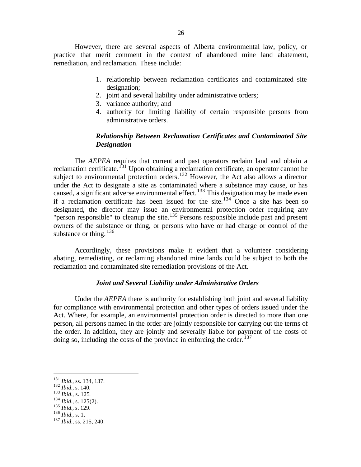However, there are several aspects of Alberta environmental law, policy, or practice that merit comment in the context of abandoned mine land abatement, remediation, and reclamation. These include:

- 1. relationship between reclamation certificates and contaminated site designation;
- 2. joint and several liability under administrative orders;
- 3. variance authority; and
- 4. authority for limiting liability of certain responsible persons from administrative orders.

# *Relationship Between Reclamation Certificates and Contaminated Site Designation*

The *AEPEA* requires that current and past operators reclaim land and obtain a reclamation certificate.<sup>131</sup> Upon obtaining a reclamation certificate, an operator cannot be subject to environmental protection orders.<sup>132</sup> However, the Act also allows a director under the Act to designate a site as contaminated where a substance may cause, or has caused, a significant adverse environmental effect.<sup>133</sup> This designation may be made even if a reclamation certificate has been issued for the site.<sup>134</sup> Once a site has been so designated, the director may issue an environmental protection order requiring any "person responsible" to cleanup the site.<sup>135</sup> Persons responsible include past and present owners of the substance or thing, or persons who have or had charge or control of the substance or thing.  $^{136}$ 

Accordingly, these provisions make it evident that a volunteer considering abating, remediating, or reclaming abandoned mine lands could be subject to both the reclamation and contaminated site remediation provisions of the Act.

#### *Joint and Several Liability under Administrative Orders*

Under the *AEPEA* there is authority for establishing both joint and several liability for compliance with environmental protection and other types of orders issued under the Act. Where, for example, an environmental protection order is directed to more than one person, all persons named in the order are jointly responsible for carrying out the terms of the order. In addition, they are jointly and severally liable for payment of the costs of doing so, including the costs of the province in enforcing the order.<sup>137</sup>

<sup>131</sup> *Ibid.*, ss. 134, 137.

<sup>132</sup> *Ibid.*, s. 140.

<sup>133</sup> *Ibid.*, s. 125.

 $134$  *Ibid.*, s. 125(2).

<sup>135</sup> *Ibid.*, s. 129.

 $^{136}$  *Ibid.*, s. 1.

<sup>137</sup> *Ibid.*, ss. 215, 240.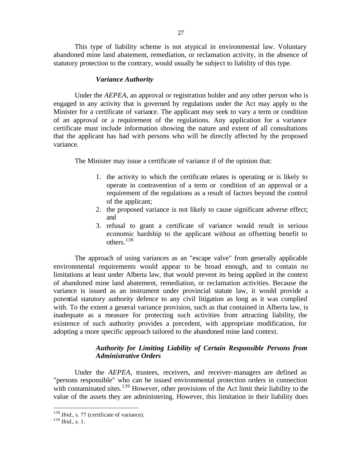This type of liability scheme is not atypical in environmental law. Voluntary abandoned mine land abatement, remediation, or reclamation activity, in the absence of statutory protection to the contrary, would usually be subject to liability of this type.

#### *Variance Authority*

Under the *AEPEA*, an approval or registration holder and any other person who is engaged in any activity that is governed by regulations under the Act may apply to the Minister for a certificate of variance. The applicant may seek to vary a term or condition of an approval or a requirement of the regulations. Any application for a variance certificate must include information showing the nature and extent of all consultations that the applicant has had with persons who will be directly affected by the proposed variance.

The Minister may issue a certificate of variance if of the opinion that:

- 1. the activity to which the certificate relates is operating or is likely to operate in contravention of a term or condition of an approval or a requirement of the regulations as a result of factors beyond the control of the applicant;
- 2. the proposed variance is not likely to cause significant adverse effect; and
- 3. refusal to grant a certificate of variance would result in serious economic hardship to the applicant without an offsetting benefit to others.<sup>138</sup>

The approach of using variances as an "escape valve" from generally applicable environmental requirements would appear to be broad enough, and to contain no limitations at least under Alberta law, that would prevent its being applied in the context of abandoned mine land abatement, remediation, or reclamation activities. Because the variance is issued as an instrument under provincial statute law, it would provide a potential statutory authority defence to any civil litigation as long as it was complied with. To the extent a general variance provision, such as that contained in Alberta law, is inadequate as a measure for protecting such activities from attracting liability, the existence of such authority provides a precedent, with appropriate modification, for adopting a more specific approach tailored to the abandoned mine land context.

## *Authority for Limiting Liability of Certain Responsible Persons from Administrative Orders*

Under the *AEPEA*, trustees, receivers, and receiver-managers are defined as "persons responsible" who can be issued environmental protection orders in connection with contaminated sites.<sup>139</sup> However, other provisions of the Act limit their liability to the value of the assets they are administering. However, this limitation in their liability does

<sup>&</sup>lt;sup>138</sup> *Ibid.*, s. 77 (certificate of variance).

<sup>139</sup> *Ibid.*, s. 1.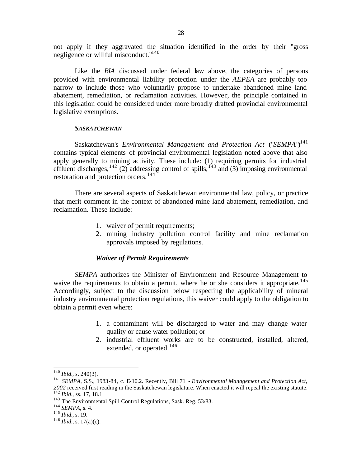not apply if they aggravated the situation identified in the order by their "gross negligence or willful misconduct."<sup>140</sup>

Like the *BIA* discussed under federal law above, the categories of persons provided with environmental liability protection under the *AEPEA* are probably too narrow to include those who voluntarily propose to undertake abandoned mine land abatement, remediation, or reclamation activities. However, the principle contained in this legislation could be considered under more broadly drafted provincial environmental legislative exemptions.

#### *SASKATCHEWAN*

Saskatchewan's *Environmental Management and Protection Act* ("*SEMPA*")<sup>141</sup> contains typical elements of provincial environmental legislation noted above that also apply generally to mining activity. These include: (1) requiring permits for industrial effluent discharges,<sup>142</sup> (2) addressing control of spills,<sup>143</sup> and (3) imposing environmental restoration and protection orders.<sup>144</sup>

There are several aspects of Saskatchewan environmental law, policy, or practice that merit comment in the context of abandoned mine land abatement, remediation, and reclamation. These include:

- 1. waiver of permit requirements;
- 2. mining industry pollution control facility and mine reclamation approvals imposed by regulations.

### *Waiver of Permit Requirements*

*SEMPA* authorizes the Minister of Environment and Resource Management to waive the requirements to obtain a permit, where he or she considers it appropriate.<sup>145</sup> Accordingly, subject to the discussion below respecting the applicability of mineral industry environmental protection regulations, this waiver could apply to the obligation to obtain a permit even where:

- 1. a contaminant will be discharged to water and may change water quality or cause water pollution; or
- 2. industrial effluent works are to be constructed, installed, altered, extended, or operated.<sup>146</sup>

 $140$  *Ibid.*, s. 240(3).

<sup>141</sup> *SEMPA*, S.S., 1983-84, c. E-10.2. Recently, Bill 71 - *Environmental Management and Protection Act, 2002* received first reading in the Saskatchewan legislature. When enacted it will repeal the existing statute. <sup>142</sup> *Ibid.*, ss. 17, 18.1.

<sup>143</sup> The Environmental Spill Control Regulations, Sask. Reg. 53/83.

<sup>144</sup> *SEMPA*, s. 4.

<sup>145</sup> *Ibid.*, s. 19.

<sup>146</sup> *Ibid.*, s. 17(a)(c).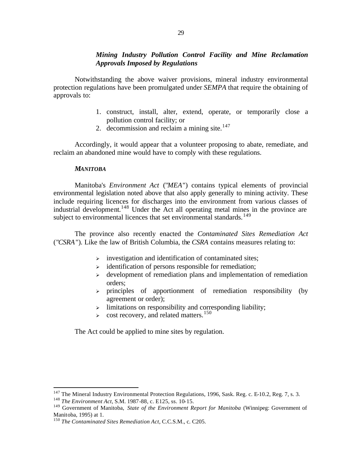# *Mining Industry Pollution Control Facility and Mine Reclamation Approvals Imposed by Regulations*

Notwithstanding the above waiver provisions, mineral industry environmental protection regulations have been promulgated under *SEMPA* that require the obtaining of approvals to:

- 1. construct, install, alter, extend, operate, or temporarily close a pollution control facility; or
- 2. decommission and reclaim a mining site. $147$

Accordingly, it would appear that a volunteer proposing to abate, remediate, and reclaim an abandoned mine would have to comply with these regulations.

## *MANITOBA*

Manitoba's *Environment Act* ("*MEA*") contains typical elements of provincial environmental legislation noted above that also apply generally to mining activity. These include requiring licences for discharges into the environment from various classes of industrial development.<sup>148</sup> Under the Act all operating metal mines in the province are subject to environmental licences that set environmental standards.<sup>149</sup>

The province also recently enacted the *Contaminated Sites Remediation Act* ("*CSRA*"). Like the law of British Columbia, the *CSRA* contains measures relating to:

- $\triangleright$  investigation and identification of contaminated sites;
- $\rightarrow$  identification of persons responsible for remediation;
- $\rightarrow$  development of remediation plans and implementation of remediation orders;
- $\ge$  principles of apportionment of remediation responsibility (by agreement or order);
- $\geq$  limitations on responsibility and corresponding liability;
- $\triangleright$  cost recovery, and related matters.<sup>150</sup>

The Act could be applied to mine sites by regulation.

 $147$  The Mineral Industry Environmental Protection Regulations, 1996, Sask. Reg. c. E-10.2, Reg. 7, s. 3.

<sup>148</sup> *The Environment Act*, S.M. 1987-88, c. E125, ss. 10-15.

<sup>149</sup> Government of Manitoba, *State of the Environment Report for Manitoba* (Winnipeg: Government of Manitoba, 1995) at 1.

<sup>150</sup> *The Contaminated Sites Remediation Act*, C.C.S.M., c. C205.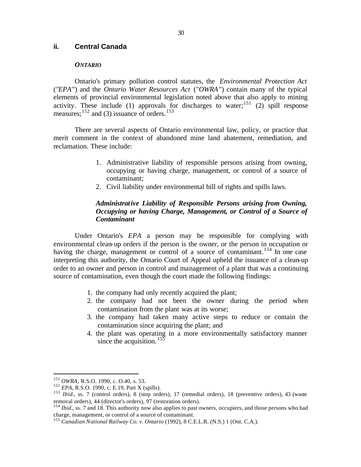## **ii. Central Canada**

### *ONTARIO*

Ontario's primary pollution control statutes, the *Environmental Protection Act*  ("*EPA*") and the *Ontario Water Resources Act* ("*OWRA*") contain many of the typical elements of provincial environmental legislation noted above that also apply to mining activity. These include (1) approvals for discharges to water;<sup>151</sup> (2) spill response measures;  $^{152}$  and (3) issuance of orders.<sup>153</sup>

There are several aspects of Ontario environmental law, policy, or practice that merit comment in the context of abandoned mine land abatement, remediation, and reclamation. These include:

- 1. Administrative liability of responsible persons arising from owning, occupying or having charge, management, or control of a source of contaminant;
- 2. Civil liability under environmental bill of rights and spills laws.

## *Administrative Liability of Responsible Persons arising from Owning, Occupying or having Charge, Management, or Control of a Source of Contaminant*

Under Ontario's *EPA* a person may be responsible for complying with environmental clean-up orders if the person is the owner, or the person in occupation or having the charge, management or control of a source of contaminant.<sup>154</sup> In one case interpreting this authority, the Ontario Court of Appeal upheld the issuance of a clean-up order to an owner and person in control and management of a plant that was a continuing source of contamination, even though the court made the following findings:

- 1. the company had only recently acquired the plant;
- 2. the company had not been the owner during the period when contamination from the plant was at its worse;
- 3. the company had taken many active steps to reduce or contain the contamination since acquiring the plant; and
- 4. the plant was operating in a more environmentally satisfactory manner since the acquisition.  $155$

<sup>151</sup> *OWRA*, R.S.O. 1990, c. O.40, s. 53.

<sup>152</sup> *EPA*, R.S.O. 1990, c. E.19, Part X (spills).

<sup>&</sup>lt;sup>153</sup> *Ibid.*, ss. 7 (control orders), 8 (stop orders), 17 (remedial orders), 18 (preventive orders), 43 (waste removal orders), 44 (director's orders), 97 (restoration orders).

<sup>&</sup>lt;sup>154</sup> *Ibid.*, ss. 7 and 18. This authority now also applies to past owners, occupiers, and those persons who had charge, management, or control of a source of contaminant.

<sup>155</sup> *Canadian National Railway Co. v. Ontario* (1992), 8 C.E.L.R. (N.S.) 1 (Ont. C.A.).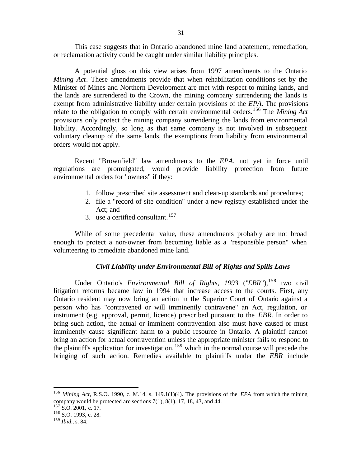This case suggests that in Ont ario abandoned mine land abatement, remediation, or reclamation activity could be caught under similar liability principles.

A potential gloss on this view arises from 1997 amendments to the Ontario *Mining Act*. These amendments provide that when rehabilitation conditions set by the Minister of Mines and Northern Development are met with respect to mining lands, and the lands are surrendered to the Crown, the mining company surrendering the lands is exempt from administrative liability under certain provisions of the *EPA*. The provisions relate to the obligation to comply with certain environmental orders.<sup>156</sup> The *Mining Act*  provisions only protect the mining company surrendering the lands from environmental liability. Accordingly, so long as that same company is not involved in subsequent voluntary cleanup of the same lands, the exemptions from liability from environmental orders would not apply.

Recent "Brownfield" law amendments to the *EPA*, not yet in force until regulations are promulgated, would provide liability protection from future environmental orders for "owners" if they:

- 1. follow prescribed site assessment and clean-up standards and procedures;
- 2. file a "record of site condition" under a new registry established under the Act; and
- 3. use a certified consultant.<sup>157</sup>

While of some precedental value, these amendments probably are not broad enough to protect a non-owner from becoming liable as a "responsible person" when volunteering to remediate abandoned mine land.

### *Civil Liability under Environmental Bill of Rights and Spills Laws*

Under Ontario's *Environmental Bill of Rights, 1993* ("*EBR*"),<sup>158</sup> two civil litigation reforms became law in 1994 that increase access to the courts. First, any Ontario resident may now bring an action in the Superior Court of Ontario against a person who has "contravened or will imminently contravene" an Act, regulation, or instrument (e.g. approval, permit, licence) prescribed pursuant to the *EBR*. In order to bring such action, the actual or imminent contravention also must have caused or must imminently cause significant harm to a public resource in Ontario. A plaintiff cannot bring an action for actual contravention unless the appropriate minister fails to respond to the plaintiff's application for investigation,  $159$  which in the normal course will precede the bringing of such action. Remedies available to plaintiffs under the *EBR* include

<sup>156</sup> *Mining Act*, R.S.O. 1990, c. M.14, s. 149.1(1)(4). The provisions of the *EPA* from which the mining company would be protected are sections 7(1), 8(1), 17, 18, 43, and 44.

 $157$  S.O. 2001, c. 17.

<sup>&</sup>lt;sup>158</sup> S.O. 1993, c. 28.

<sup>159</sup> *Ibid.*, s. 84.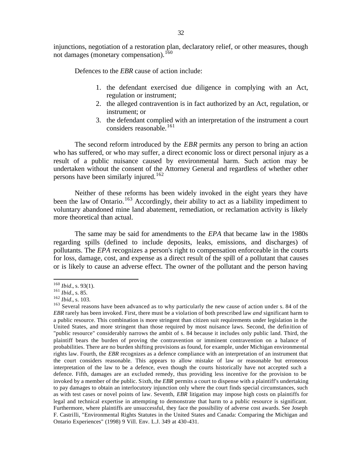injunctions, negotiation of a restoration plan, declaratory relief, or other measures, though not damages (monetary compensation).<sup>160</sup>

Defences to the *EBR* cause of action include:

- 1. the defendant exercised due diligence in complying with an Act, regulation or instrument;
- 2. the alleged contravention is in fact authorized by an Act, regulation, or instrument; or
- 3. the defendant complied with an interpretation of the instrument a court considers reasonable.<sup>161</sup>

The second reform introduced by the *EBR* permits any person to bring an action who has suffered, or who may suffer, a direct economic loss or direct personal injury as a result of a public nuisance caused by environmental harm. Such action may be undertaken without the consent of the Attorney General and regardless of whether other persons have been similarly injured.<sup>162</sup>

Neither of these reforms has been widely invoked in the eight years they have been the law of Ontario.<sup>163</sup> Accordingly, their ability to act as a liability impediment to voluntary abandoned mine land abatement, remediation, or reclamation activity is likely more theoretical than actual.

The same may be said for amendments to the *EPA* that became law in the 1980s regarding spills (defined to include deposits, leaks, emissions, and discharges) of pollutants. The *EPA* recognizes a person's right to compensation enforceable in the courts for loss, damage, cost, and expense as a direct result of the spill of a pollutant that causes or is likely to cause an adverse effect. The owner of the pollutant and the person having

<sup>160</sup> *Ibid.*, s. 93(1).

<sup>161</sup> *Ibid.*, s. 85.

<sup>162</sup> *Ibid.*, s. 103.

<sup>&</sup>lt;sup>163</sup> Several reasons have been advanced as to why particularly the new cause of action under s. 84 of the *EBR* rarely has been invoked. First, there must be a violation of both prescribed law *and* significant harm to a public resource. This combination is more stringent than citizen suit requirements under legislation in the United States, and more stringent than those required by most nuisance laws. Second, the definition of "public resource" considerably narrows the ambit of s. 84 because it includes only public land. Third, the plaintiff bears the burden of proving the contravention or imminent contravention on a balance of probabilities. There are no burden shifting provisions as found, for example, under Michigan environmental rights law. Fourth, the *EBR* recognizes as a defence compliance with an interpretation of an instrument that the court considers reasonable. This appears to allow mistake of law or reasonable but erroneous interpretation of the law to be a defence, even though the courts historically have not accepted such a defence. Fifth, damages are an excluded remedy, thus providing less incentive for the provision to be invoked by a member of the public. Sixth, the *EBR* permits a court to dispense with a plaintiff's undertaking to pay damages to obtain an interlocutory injunction only where the court finds special circumstances, such as with test cases or novel points of law. Seventh, *EBR* litigation may impose high costs on plaintiffs for legal and technical expertise in attempting to demonstrate that harm to a public resource is significant. Furthermore, where plaintiffs are unsuccessful, they face the possibility of adverse cost awards. See Joseph F. Castrilli, "Environmental Rights Statutes in the United States and Canada: Comparing the Michigan and Ontario Experiences" (1998) 9 Vill. Env. L.J. 349 at 430-431.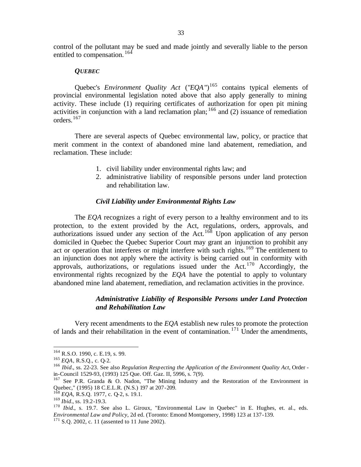control of the pollutant may be sued and made jointly and severally liable to the person entitled to compensation. <sup>164</sup>

### *QUEBEC*

Quebec's *Environment Quality Act* ("*EQA*")<sup>165</sup> contains typical elements of provincial environmental legislation noted above that also apply generally to mining activity. These include (1) requiring certificates of authorization for open pit mining activities in conjunction with a land reclamation plan;  $166$  and (2) issuance of remediation orders.<sup>167</sup>

There are several aspects of Quebec environmental law, policy, or practice that merit comment in the context of abandoned mine land abatement, remediation, and reclamation. These include:

- 1. civil liability under environmental rights law; and
- 2. administrative liability of responsible persons under land protection and rehabilitation law.

### *Civil Liability under Environmental Rights Law*

The *EQA* recognizes a right of every person to a healthy environment and to its protection, to the extent provided by the Act, regulations, orders, approvals, and authorizations issued under any section of the Act.<sup>168</sup> Upon application of any person domiciled in Quebec the Quebec Superior Court may grant an injunction to prohibit any act or operation that interferes or might interfere with such rights.<sup>169</sup> The entitlement to an injunction does not apply where the activity is being carried out in conformity with approvals, authorizations, or regulations issued under the Act. $170$  Accordingly, the environmental rights recognized by the *EQA* have the potential to apply to voluntary abandoned mine land abatement, remediation, and reclamation activities in the province.

## *Administrative Liability of Responsible Persons under Land Protection and Rehabilitation Law*

Very recent amendments to the *EQA* establish new rules to promote the protection of lands and their rehabilitation in the event of contamination.  $171$  Under the amendments,

<sup>164</sup> R.S.O. 1990, c. E.19, s. 99.

<sup>165</sup> *EQA*, R.S.Q., c. Q-2.

<sup>166</sup> *Ibid.*, ss. 22-23. See also *Regulation Respecting the Application of the Environment Quality Act*, Order in-Council 1529-93, (1993) 125 Que. Off. Gaz. II, 5996, s. 7(9).

<sup>&</sup>lt;sup>167</sup> See P.R. Granda & O. Nadon, "The Mining Industry and the Restoration of the Environment in Quebec," (1995) 18 C.E.L.R. (N.S.) 197 at 207-209.

<sup>168</sup> *EQA,* R.S.Q. 1977, c. Q-2, s. 19.1.

<sup>169</sup> *Ibid.*, ss. 19.2-19.3.

<sup>&</sup>lt;sup>170</sup> *Ibid.*, s. 19.7. See also L. Giroux, "Environmental Law in Quebec" in E. Hughes, et. al., eds. *Environmental Law and Policy*, 2d ed. (Toronto: Emond Montgomery, 1998) 123 at 137-139.

<sup>&</sup>lt;sup>171</sup> S.Q. 2002, c. 11 (assented to 11 June 2002).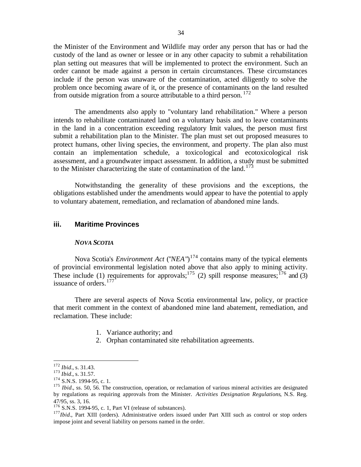the Minister of the Environment and Wildlife may order any person that has or had the custody of the land as owner or lessee or in any other capacity to submit a rehabilitation plan setting out measures that will be implemented to protect the environment. Such an order cannot be made against a person in certain circumstances. These circumstances include if the person was unaware of the contamination, acted diligently to solve the problem once becoming aware of it, or the presence of contaminants on the land resulted from outside migration from a source attributable to a third person.  $172$ 

The amendments also apply to "voluntary land rehabilitation." Where a person intends to rehabilitate contaminated land on a voluntary basis and to leave contaminants in the land in a concentration exceeding regulatory limit values, the person must first submit a rehabilitation plan to the Minister. The plan must set out proposed measures to protect humans, other living species, the environment, and property. The plan also must contain an implementation schedule, a toxicological and ecotoxicological risk assessment, and a groundwater impact assessment. In addition, a study must be submitted to the Minister characterizing the state of contamination of the land.<sup>173</sup>

Notwithstanding the generality of these provisions and the exceptions, the obligations established under the amendments would appear to have the potential to apply to voluntary abatement, remediation, and reclamation of abandoned mine lands.

## **iii. Maritime Provinces**

### *NOVA SCOTIA*

Nova Scotia's *Environment Act* ("*NEA*")<sup>174</sup> contains many of the typical elements of provincial environmental legislation noted above that also apply to mining activity. These include (1) requirements for approvals;<sup>175</sup> (2) spill response measures;<sup>176</sup> and (3) issuance of orders.<sup>177</sup>

There are several aspects of Nova Scotia environmental law, policy, or practice that merit comment in the context of abandoned mine land abatement, remediation, and reclamation. These include:

- 1. Variance authority; and
- 2. Orphan contaminated site rehabilitation agreements.

<sup>172</sup> *Ibid.*, s. 31.43.

<sup>173</sup> *Ibid.*, s. 31.57.

<sup>&</sup>lt;sup>174</sup> S.N.S. 1994-95, c. 1.

<sup>&</sup>lt;sup>175</sup> *Ibid.*, ss. 50, 56. The construction, operation, or reclamation of various mineral activities are designated by regulations as requiring approvals from the Minister. *Activities Designation Regulations*, N.S. Reg. 47/95, ss. 3, 16.

 $176$  S.N.S. 1994-95, c. 1, Part VI (release of substances).

<sup>&</sup>lt;sup>177</sup>*Ibid.*, Part XIII (orders). Administrative orders issued under Part XIII such as control or stop orders impose joint and several liability on persons named in the order.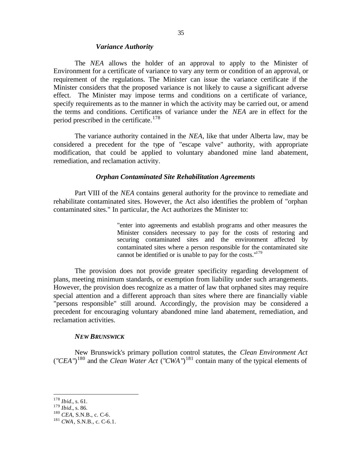### *Variance Authority*

The *NEA* allows the holder of an approval to apply to the Minister of Environment for a certificate of variance to vary any term or condition of an approval, or requirement of the regulations. The Minister can issue the variance certificate if the Minister considers that the proposed variance is not likely to cause a significant adverse effect. The Minister may impose terms and conditions on a certificate of variance, specify requirements as to the manner in which the activity may be carried out, or amend the terms and conditions. Certificates of variance under the *NEA* are in effect for the period prescribed in the certificate.<sup>178</sup>

The variance authority contained in the *NEA*, like that under Alberta law, may be considered a precedent for the type of "escape valve" authority, with appropriate modification, that could be applied to voluntary abandoned mine land abatement, remediation, and reclamation activity.

### *Orphan Contaminated Site Rehabilitation Agreements*

Part VIII of the *NEA* contains general authority for the province to remediate and rehabilitate contaminated sites. However, the Act also identifies the problem of "orphan contaminated sites." In particular, the Act authorizes the Minister to:

> "enter into agreements and establish programs and other measures the Minister considers necessary to pay for the costs of restoring and securing contaminated sites and the environment affected by contaminated sites where a person responsible for the contaminated site cannot be identified or is unable to pay for the costs." $179$

The provision does not provide greater specificity regarding development of plans, meeting minimum standards, or exemption from liability under such arrangements. However, the provision does recognize as a matter of law that orphaned sites may require special attention and a different approach than sites where there are financially viable "persons responsible" still around. Accordingly, the provision may be considered a precedent for encouraging voluntary abandoned mine land abatement, remediation, and reclamation activities.

#### *NEW BRUNSWICK*

New Brunswick's primary pollution control statutes, the *Clean Environment Act*  ("*CEA*")<sup>180</sup> and the *Clean Water Act* ("*CWA*")<sup>181</sup> contain many of the typical elements of

<sup>178</sup> *Ibid.*, s. 61.

<sup>179</sup> *Ibid.*, s. 86.

<sup>180</sup> *CEA*, S.N.B., c. C-6.

<sup>181</sup> *CWA*, S.N.B., c. C-6.1.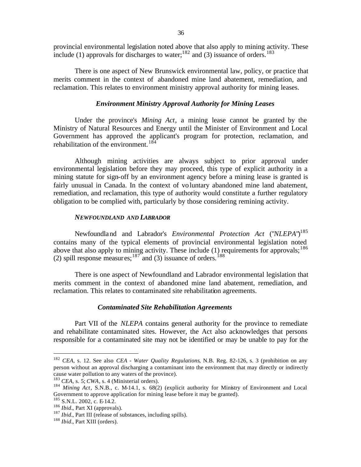provincial environmental legislation noted above that also apply to mining activity. These include (1) approvals for discharges to water;<sup>182</sup> and (3) issuance of orders.<sup>183</sup>

There is one aspect of New Brunswick environmental law, policy, or practice that merits comment in the context of abandoned mine land abatement, remediation, and reclamation. This relates to environment ministry approval authority for mining leases.

## *Environment Ministry Approval Authority for Mining Leases*

Under the province's *Mining Act*, a mining lease cannot be granted by the Ministry of Natural Resources and Energy until the Minister of Environment and Local Government has approved the applicant's program for protection, reclamation, and rehabilitation of the environment.<sup>184</sup>

Although mining activities are always subject to prior approval under environmental legislation before they may proceed, this type of explicit authority in a mining statute for sign-off by an environment agency before a mining lease is granted is fairly unusual in Canada. In the context of voluntary abandoned mine land abatement, remediation, and reclamation, this type of authority would constitute a further regulatory obligation to be complied with, particularly by those considering remining activity.

### *NEWFOUNDLAND AND LABRADOR*

Newfoundland and Labrador's *Environmental Protection Act* ("*NLEPA*")<sup>185</sup> contains many of the typical elements of provincial environmental legislation noted above that also apply to mining activity. These include  $(1)$  requirements for approvals;<sup>186</sup> (2) spill response measures;<sup>187</sup> and (3) issuance of orders.<sup>188</sup>

There is one aspect of Newfoundland and Labrador environmental legislation that merits comment in the context of abandoned mine land abatement, remediation, and reclamation. This relates to contaminated site rehabilitation agreements.

### *Contaminated Site Rehabilitation Agreements*

Part VII of the *NLEPA* contains general authority for the province to remediate and rehabilitate contaminated sites. However, the Act also acknowledges that persons responsible for a contaminated site may not be identified or may be unable to pay for the

<sup>182</sup> *CEA*, s. 12. See also *CEA - Water Quality Regulations*, N.B. Reg. 82-126, s. 3 (prohibition on any person without an approval discharging a contaminant into the environment that may directly or indirectly cause water pollution to any waters of the province).

<sup>183</sup> *CEA*, s. 5; *CWA*, s. 4 (Ministerial orders).

<sup>&</sup>lt;sup>184</sup> Mining Act, S.N.B., c. M-14.1, s. 68(2) (explicit authority for Ministry of Environment and Local Government to approve application for mining lease before it may be granted).

 $185$  S.N.L. 2002, c. E-14.2.

<sup>186</sup> *Ibid.*, Part XI (approvals).

<sup>187</sup> *Ibid.*, Part III (release of substances, including spills).

<sup>188</sup> *Ibid.*, Part XIII (orders).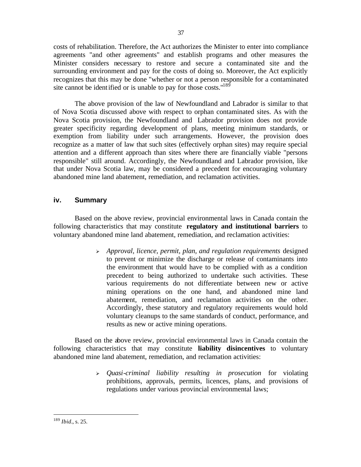costs of rehabilitation. Therefore, the Act authorizes the Minister to enter into compliance agreements "and other agreements" and establish programs and other measures the Minister considers necessary to restore and secure a contaminated site and the surrounding environment and pay for the costs of doing so. Moreover, the Act explicitly recognizes that this may be done "whether or not a person responsible for a contaminated site cannot be identified or is unable to pay for those costs."<sup>189</sup>

The above provision of the law of Newfoundland and Labrador is similar to that of Nova Scotia discussed above with respect to orphan contaminated sites. As with the Nova Scotia provision, the Newfoundland and Labrador provision does not provide greater specificity regarding development of plans, meeting minimum standards, or exemption from liability under such arrangements. However, the provision does recognize as a matter of law that such sites (effectively orphan sites) may require special attention and a different approach than sites where there are financially viable "persons responsible" still around. Accordingly, the Newfoundland and Labrador provision, like that under Nova Scotia law, may be considered a precedent for encouraging voluntary abandoned mine land abatement, remediation, and reclamation activities.

# **iv. Summary**

Based on the above review, provincial environmental laws in Canada contain the following characteristics that may constitute **regulatory and institutional barriers** to voluntary abandoned mine land abatement, remediation, and reclamation activities:

> <sup>ÿ</sup> *Approval, licence, permit, plan, and regulation requirements* designed to prevent or minimize the discharge or release of contaminants into the environment that would have to be complied with as a condition precedent to being authorized to undertake such activities. These various requirements do not differentiate between new or active mining operations on the one hand, and abandoned mine land abatement, remediation, and reclamation activities on the other. Accordingly, these statutory and regulatory requirements would hold voluntary cleanups to the same standards of conduct, performance, and results as new or active mining operations.

Based on the above review, provincial environmental laws in Canada contain the following characteristics that may constitute **liability disincentives** to voluntary abandoned mine land abatement, remediation, and reclamation activities:

> <sup>ÿ</sup> *Quasi-criminal liability resulting in prosecution* for violating prohibitions, approvals, permits, licences, plans, and provisions of regulations under various provincial environmental laws;

<sup>189</sup> *Ibid.*, s. 25.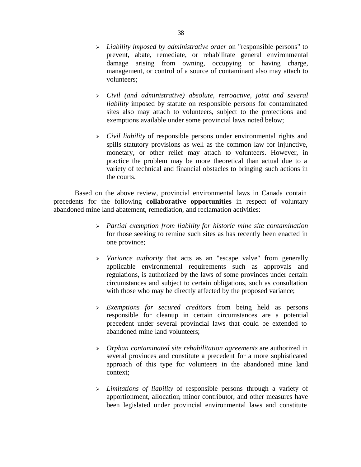- <sup>ÿ</sup> *Liability imposed by administrative order* on "responsible persons" to prevent, abate, remediate, or rehabilitate general environmental damage arising from owning, occupying or having charge, management, or control of a source of contaminant also may attach to volunteers;
- <sup>ÿ</sup> *Civil (and administrative) absolute, retroactive, joint and several liability* imposed by statute on responsible persons for contaminated sites also may attach to volunteers, subject to the protections and exemptions available under some provincial laws noted below;
- <sup>ÿ</sup> *Civil liability* of responsible persons under environmental rights and spills statutory provisions as well as the common law for injunctive, monetary, or other relief may attach to volunteers. However, in practice the problem may be more theoretical than actual due to a variety of technical and financial obstacles to bringing such actions in the courts.

Based on the above review, provincial environmental laws in Canada contain precedents for the following **collaborative opportunities** in respect of voluntary abandoned mine land abatement, remediation, and reclamation activities:

- <sup>ÿ</sup> *Partial exemption from liability for historic mine site contamination* for those seeking to remine such sites as has recently been enacted in one province;
- <sup>ÿ</sup> *Variance authority* that acts as an "escape valve" from generally applicable environmental requirements such as approvals and regulations, is authorized by the laws of some provinces under certain circumstances and subject to certain obligations, such as consultation with those who may be directly affected by the proposed variance;
- <sup>ÿ</sup> *Exemptions for secured creditors* from being held as persons responsible for cleanup in certain circumstances are a potential precedent under several provincial laws that could be extended to abandoned mine land volunteers;
- <sup>ÿ</sup> *Orphan contaminated site rehabilitation agreements* are authorized in several provinces and constitute a precedent for a more sophisticated approach of this type for volunteers in the abandoned mine land context;
- <sup>ÿ</sup> *Limitations of liability* of responsible persons through a variety of apportionment, allocation, minor contributor, and other measures have been legislated under provincial environmental laws and constitute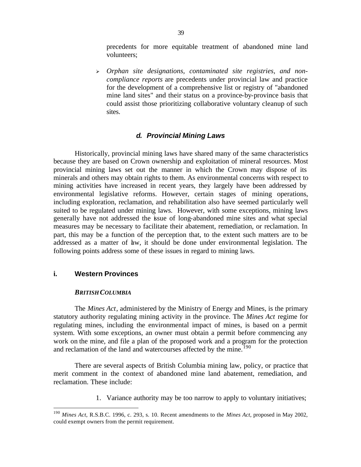precedents for more equitable treatment of abandoned mine land volunteers;

<sup>ÿ</sup> *Orphan site designations, contaminated site registries, and noncompliance reports* are precedents under provincial law and practice for the development of a comprehensive list or registry of "abandoned mine land sites" and their status on a province-by-province basis that could assist those prioritizing collaborative voluntary cleanup of such sites.

## *d. Provincial Mining Laws*

Historically, provincial mining laws have shared many of the same characteristics because they are based on Crown ownership and exploitation of mineral resources. Most provincial mining laws set out the manner in which the Crown may dispose of its minerals and others may obtain rights to them. As environmental concerns with respect to mining activities have increased in recent years, they largely have been addressed by environmental legislative reforms. However, certain stages of mining operations, including exploration, reclamation, and rehabilitation also have seemed particularly well suited to be regulated under mining laws. However, with some exceptions, mining laws generally have not addressed the issue of long-abandoned mine sites and what special measures may be necessary to facilitate their abatement, remediation, or reclamation. In part, this may be a function of the perception that, to the extent such matters are to be addressed as a matter of hw, it should be done under environmental legislation. The following points address some of these issues in regard to mining laws.

# **i. Western Provinces**

 $\overline{a}$ 

### *BRITISH COLUMBIA*

The *Mines Act*, administered by the Ministry of Energy and Mines, is the primary statutory authority regulating mining activity in the province. The *Mines Act* regime for regulating mines, including the environmental impact of mines, is based on a permit system. With some exceptions, an owner must obtain a permit before commencing any work on the mine, and file a plan of the proposed work and a program for the protection and reclamation of the land and watercourses affected by the mine.<sup>190</sup>

There are several aspects of British Columbia mining law, policy, or practice that merit comment in the context of abandoned mine land abatement, remediation, and reclamation. These include:

1. Variance authority may be too narrow to apply to voluntary initiatives;

<sup>190</sup> *Mines Act*, R.S.B.C. 1996, c. 293, s. 10. Recent amendments to the *Mines Act*, proposed in May 2002, could exempt owners from the permit requirement.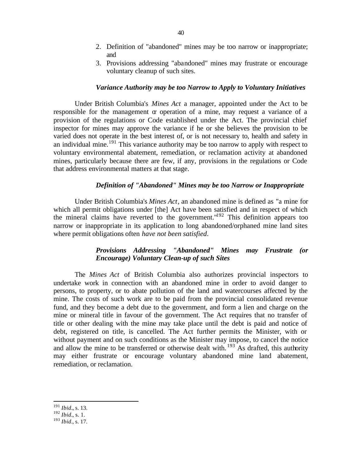- 2. Definition of "abandoned" mines may be too narrow or inappropriate; and
- 3. Provisions addressing "abandoned" mines may frustrate or encourage voluntary cleanup of such sites.

### *Variance Authority may be too Narrow to Apply to Voluntary Initiatives*

Under British Columbia's *Mines Act* a manager, appointed under the Act to be responsible for the management or operation of a mine, may request a variance of a provision of the regulations or Code established under the Act. The provincial chief inspector for mines may approve the variance if he or she believes the provision to be varied does not operate in the best interest of, or is not necessary to, health and safety in an individual mine.<sup>191</sup> This variance authority may be too narrow to apply with respect to voluntary environmental abatement, remediation, or reclamation activity at abandoned mines, particularly because there are few, if any, provisions in the regulations or Code that address environmental matters at that stage.

### *Definition of "Abandoned" Mines may be too Narrow or Inappropriate*

Under British Columbia's *Mines Act*, an abandoned mine is defined as "a mine for which all permit obligations under [the] Act have been satisfied and in respect of which the mineral claims have reverted to the government."<sup>192</sup> This definition appears too narrow or inappropriate in its application to long abandoned/orphaned mine land sites where permit obligations often *have not been satisfied*.

# *Provisions Addressing "Abandoned" Mines may Frustrate (or Encourage) Voluntary Clean-up of such Sites*

The *Mines Act* of British Columbia also authorizes provincial inspectors to undertake work in connection with an abandoned mine in order to avoid danger to persons, to property, or to abate pollution of the land and watercourses affected by the mine. The costs of such work are to be paid from the provincial consolidated revenue fund, and they become a debt due to the government, and form a lien and charge on the mine or mineral title in favour of the government. The Act requires that no transfer of title or other dealing with the mine may take place until the debt is paid and notice of debt, registered on title, is cancelled. The Act further permits the Minister, with or without payment and on such conditions as the Minister may impose, to cancel the notice and allow the mine to be transferred or otherwise dealt with.  $193$  As drafted, this authority may either frustrate or encourage voluntary abandoned mine land abatement, remediation, or reclamation.

<sup>191</sup> *Ibid.*, s. 13.

- $^{192}$  *Ibid.*, s. 1.
- <sup>193</sup> *Ibid.*, s. 17.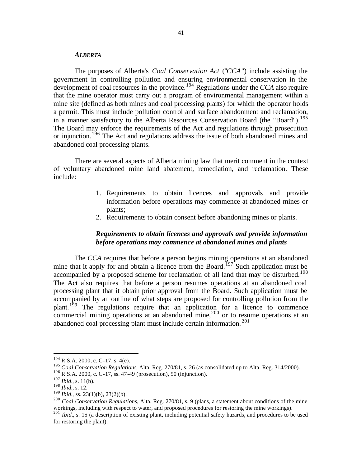### *ALBERTA*

The purposes of Alberta's *Coal Conservation Act* ("*CCA*") include assisting the government in controlling pollution and ensuring environmental conservation in the development of coal resources in the province.<sup>194</sup> Regulations under the *CCA* also require that the mine operator must carry out a program of environmental management within a mine site (defined as both mines and coal processing plants) for which the operator holds a permit. This must include pollution control and surface abandonment and reclamation, in a manner satisfactory to the Alberta Resources Conservation Board (the "Board").<sup>195</sup> The Board may enforce the requirements of the Act and regulations through prosecution or injunction.<sup>196</sup> The Act and regulations address the issue of both abandoned mines and abandoned coal processing plants.

There are several aspects of Alberta mining law that merit comment in the context of voluntary abandoned mine land abatement, remediation, and reclamation. These include:

- 1. Requirements to obtain licences and approvals and provide information before operations may commence at abandoned mines or plants;
- 2. Requirements to obtain consent before abandoning mines or plants.

# *Requirements to obtain licences and approvals and provide information before operations may commence at abandoned mines and plants*

The *CCA* requires that before a person begins mining operations at an abandoned mine that it apply for and obtain a licence from the Board.<sup>197</sup> Such application must be accompanied by a proposed scheme for reclamation of all land that may be disturbed.<sup>198</sup> The Act also requires that before a person resumes operations at an abandoned coal processing plant that it obtain prior approval from the Board. Such application must be accompanied by an outline of what steps are proposed for controlling pollution from the plant.<sup>199</sup> The regulations require that an application for a licence to commence commercial mining operations at an abandoned mine,  $200$  or to resume operations at an abandoned coal processing plant must include certain information. <sup>201</sup>

 $194$  R.S.A. 2000, c. C-17, s. 4(e).

<sup>195</sup> *Coal Conservation Regulations*, Alta. Reg. 270/81, s. 26 (as consolidated up to Alta. Reg. 314/2000).

<sup>196</sup> R.S.A. 2000, c. C-17, ss. 47-49 (prosecution), 50 (injunction).

<sup>197</sup> *Ibid.*, s. 11(b).

<sup>198</sup> *Ibid.*, s. 12.

<sup>199</sup> *Ibid.*, ss. 23(1)(b), 23(2)(b).

<sup>200</sup> *Coal Conservation Regulations*, Alta. Reg. 270/81, s. 9 (plans, a statement about conditions of the mine workings, including with respect to water, and proposed procedures for restoring the mine workings).

<sup>&</sup>lt;sup>201</sup> *Ibid.*, s. 15 (a description of existing plant, including potential safety hazards, and procedures to be used for restoring the plant).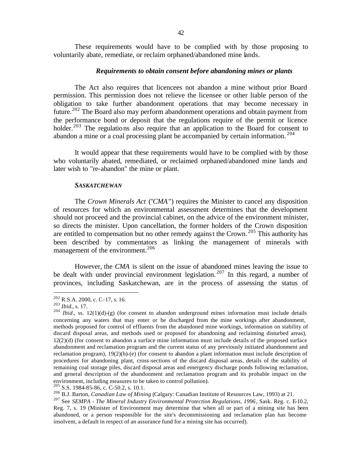These requirements would have to be complied with by those proposing to voluntarily abate, remediate, or reclaim orphaned/abandoned mine lands.

### *Requirements to obtain consent before abandoning mines or plants*

The Act also requires that licencees not abandon a mine without prior Board permission. This permission does not relieve the licensee or other liable person of the obligation to take further abandonment operations that may become necessary in future.<sup>202</sup> The Board also may perform abandonment operations and obtain payment from the performance bond or deposit that the regulations require of the permit or licence holder.<sup>203</sup> The regulations also require that an application to the Board for consent to abandon a mine or a coal processing plant be accompanied by certain information.<sup>204</sup>

It would appear that these requirements would have to be complied with by those who voluntarily abated, remediated, or reclaimed orphaned/abandoned mine lands and later wish to "re-abandon" the mine or plant.

### *SASKATCHEWAN*

The *Crown Minerals Act* ("*CMA*") requires the Minister to cancel any disposition of resources for which an environmental assessment determines that the development should not proceed and the provincial cabinet, on the advice of the environment minister, so directs the minister. Upon cancellation, the former holders of the Crown disposition are entitled to compensation but no other remedy against the Crown. <sup>205</sup> This authority has been described by commentators as linking the management of minerals with management of the environment.<sup>206</sup>

However, the *CMA* is silent on the issue of abandoned mines leaving the issue to be dealt with under provincial environment legislation.<sup>207</sup> In this regard, a number of provinces, including Saskatchewan, are in the process of assessing the status of

 $^{202}$  R.S.A. 2000, c. C-17, s. 16.

<sup>203</sup> *Ibid.*, s. 17.

 $204$  *Ibid.*, ss. 12(1)(d)-(g) (for consent to abandon underground mines information must include details concerning any waters that may enter or be discharged from the mine workings after abandonment, methods proposed for control of effluents from the abandoned mine workings, information on stability of discard disposal areas, and methods used or proposed for abandoning and reclaiming disturbed areas), 12(2)(d) (for consent to abandon a surface mine information must include details of the proposed surface abandonment and reclamation program and the current status of any previously initiated abandonment and reclamation program), 19(2)(b)-(e) (for consent to abandon a plant information must include description of procedures for abandoning plant, cross-sections of the discard disposal areas, details of the stability of remaining coal storage piles, discard disposal areas and emergency discharge ponds following reclamation, and general description of the abandonment and reclamation program and its probable impact on the environment, including measures to be taken to control pollution).

 $^{205}$  S.S. 1984-85-86, c. C-50.2, s. 10.1.

<sup>206</sup> B.J. Barton, *Canadian Law of Mining* (Calgary: Canadian Institute of Resources Law, 1993) at 21.

<sup>&</sup>lt;sup>207</sup> See *SEMPA - The Mineral Industry Environmental Protection Regulations, 1996*, Sask. Reg. c. E-10.2, Reg. 7, s. 19 (Minister of Environment may determine that when all or part of a mining site has been abandoned, or a person responsible for the site's decommissioning and reclamation plan has become insolvent, a default in respect of an assurance fund for a mining site has occurred).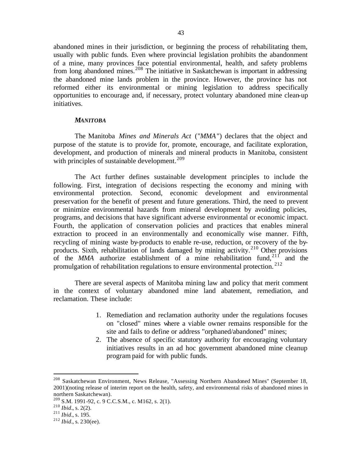abandoned mines in their jurisdiction, or beginning the process of rehabilitating them, usually with public funds. Even where provincial legislation prohibits the abandonment of a mine, many provinces face potential environmental, health, and safety problems from long abandoned mines.<sup>208</sup> The initiative in Saskatchewan is important in addressing the abandoned mine lands problem in the province. However, the province has not reformed either its environmental or mining legislation to address specifically opportunities to encourage and, if necessary, protect voluntary abandoned mine clean-up initiatives.

### *MANITOBA*

The Manitoba *Mines and Minerals Act* ("*MMA*") declares that the object and purpose of the statute is to provide for, promote, encourage, and facilitate exploration, development, and production of minerals and mineral products in Manitoba, consistent with principles of sustainable development.<sup>209</sup>

The Act further defines sustainable development principles to include the following. First, integration of decisions respecting the economy and mining with environmental protection. Second, economic development and environmental preservation for the benefit of present and future generations. Third, the need to prevent or minimize environmental hazards from mineral development by avoiding policies, programs, and decisions that have significant adverse environmental or economic impact. Fourth, the application of conservation policies and practices that enables mineral extraction to proceed in an environmentally and economically wise manner. Fifth, recycling of mining waste by-products to enable re-use, reduction, or recovery of the byproducts. Sixth, rehabilitation of lands damaged by mining activity.<sup>210</sup> Other provisions of the  $MMA$  authorize establishment of a mine rehabilitation fund,  $21<sup>11</sup>$  and the promulgation of rehabilitation regulations to ensure environmental protection. <sup>212</sup>

There are several aspects of Manitoba mining law and policy that merit comment in the context of voluntary abandoned mine land abatement, remediation, and reclamation. These include:

- 1. Remediation and reclamation authority under the regulations focuses on "closed" mines where a viable owner remains responsible for the site and fails to define or address "orphaned/abandoned" mines;
- 2. The absence of specific statutory authority for encouraging voluntary initiatives results in an ad hoc government abandoned mine cleanup program paid for with public funds.

<sup>&</sup>lt;sup>208</sup> Saskatchewan Environment, News Release, "Assessing Northern Abandoned Mines" (September 18, 2001)(noting release of interim report on the health, safety, and environmental risks of abandoned mines in northern Saskatchewan).

<sup>209</sup> S.M. 1991-92, c. 9 C.C.S.M., c. M162, s. 2(1).

 $^{210}$  *Ibid.*, s. 2(2).

<sup>211</sup> *Ibid.*, s. 195.

<sup>212</sup> *Ibid.*, s. 230(ee).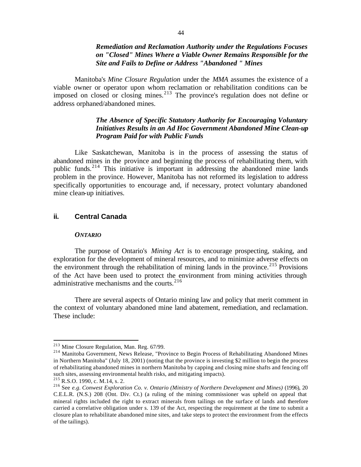# *Remediation and Reclamation Authority under the Regulations Focuses on "Closed" Mines Where a Viable Owner Remains Responsible for the Site and Fails to Define or Address "Abandoned " Mines*

Manitoba's *Mine Closure Regulation* under the *MMA* assumes the existence of a viable owner or operator upon whom reclamation or rehabilitation conditions can be imposed on closed or closing mines.<sup>213</sup> The province's regulation does not define or address orphaned/abandoned mines.

# *The Absence of Specific Statutory Authority for Encouraging Voluntary Initiatives Results in an Ad Hoc Government Abandoned Mine Clean-up Program Paid for with Public Funds*

Like Saskatchewan, Manitoba is in the process of assessing the status of abandoned mines in the province and beginning the process of rehabilitating them, with public funds.<sup>214</sup> This initiative is important in addressing the abandoned mine lands problem in the province. However, Manitoba has not reformed its legislation to address specifically opportunities to encourage and, if necessary, protect voluntary abandoned mine clean-up initiatives.

# **ii. Central Canada**

### *ONTARIO*

The purpose of Ontario's *Mining Act* is to encourage prospecting, staking, and exploration for the development of mineral resources, and to minimize adverse effects on the environment through the rehabilitation of mining lands in the province.<sup>215</sup> Provisions of the Act have been used to protect the environment from mining activities through administrative mechanisms and the courts.<sup>216</sup>

There are several aspects of Ontario mining law and policy that merit comment in the context of voluntary abandoned mine land abatement, remediation, and reclamation. These include:

<sup>213</sup> Mine Closure Regulation, Man. Reg. 67/99.

<sup>&</sup>lt;sup>214</sup> Manitoba Government, News Release, "Province to Begin Process of Rehabilitating Abandoned Mines in Northern Manitoba" (July 18, 2001) (noting that the province is investing \$2 million to begin the process of rehabilitating abandoned mines in northern Manitoba by capping and closing mine shafts and fencing off such sites, assessing environmental health risks, and mitigating impacts).

 $^{215}$  R.S.O. 1990, c. M.14, s. 2.

<sup>216</sup> See *e.g. Conwest Exploration Co. v. Ontario (Ministry of Northern Development and Mines)* (1996), 20 C.E.L.R. (N.S.) 208 (Ont. Div. Ct.) (a ruling of the mining commissioner was upheld on appeal that mineral rights included the right to extract minerals from tailings on the surface of lands and therefore carried a correlative obligation under s. 139 of the Act, respecting the requirement at the time to submit a closure plan to rehabilitate abandoned mine sites, and take steps to protect the environment from the effects of the tailings).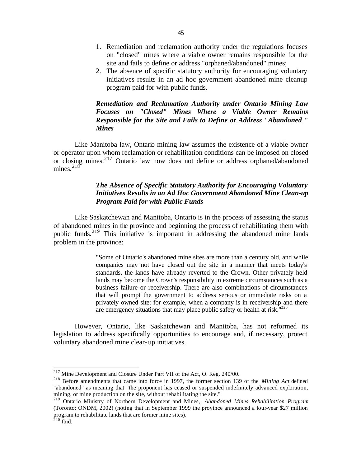- 1. Remediation and reclamation authority under the regulations focuses on "closed" mines where a viable owner remains responsible for the site and fails to define or address "orphaned/abandoned" mines;
- 2. The absence of specific statutory authority for encouraging voluntary initiatives results in an ad hoc government abandoned mine cleanup program paid for with public funds.

# *Remediation and Reclamation Authority under Ontario Mining Law Focuses on "Closed" Mines Where a Viable Owner Remains Responsible for the Site and Fails to Define or Address "Abandoned " Mines*

Like Manitoba law, Ontario mining law assumes the existence of a viable owner or operator upon whom reclamation or rehabilitation conditions can be imposed on closed or closing mines.<sup>217</sup> Ontario law now does not define or address orphaned/abandoned mines. $218$ 

# *The Absence of Specific Statutory Authority for Encouraging Voluntary Initiatives Results in an Ad Hoc Government Abandoned Mine Clean-up Program Paid for with Public Funds*

Like Saskatchewan and Manitoba, Ontario is in the process of assessing the status of abandoned mines in the province and beginning the process of rehabilitating them with public funds.<sup>219</sup> This initiative is important in addressing the abandoned mine lands problem in the province:

> "Some of Ontario's abandoned mine sites are more than a century old, and while companies may not have closed out the site in a manner that meets today's standards, the lands have already reverted to the Crown. Other privately held lands may become the Crown's responsibility in extreme circumstances such as a business failure or receivership. There are also combinations of circumstances that will prompt the government to address serious or immediate risks on a privately owned site: for example, when a company is in receivership and there are emergency situations that may place public safety or health at risk. $1220$

However, Ontario, like Saskatchewan and Manitoba, has not reformed its legislation to address specifically opportunities to encourage and, if necessary, protect voluntary abandoned mine clean-up initiatives.

 $2^{17}$  Mine Development and Closure Under Part VII of the Act, O. Reg. 240/00.

<sup>218</sup> Before amendments that came into force in 1997, the former section 139 of the *Mining Act* defined "abandoned" as meaning that "the proponent has ceased or suspended indefinitely advanced exploration, mining, or mine production on the site, without rehabilitating the site."

<sup>219</sup> Ontario Ministry of Northern Development and Mines, *Abandoned Mines Rehabilitation Program* (Toronto: ONDM, 2002) (noting that in September 1999 the province announced a four-year \$27 million program to rehabilitate lands that are former mine sites).  $220$  Ibid.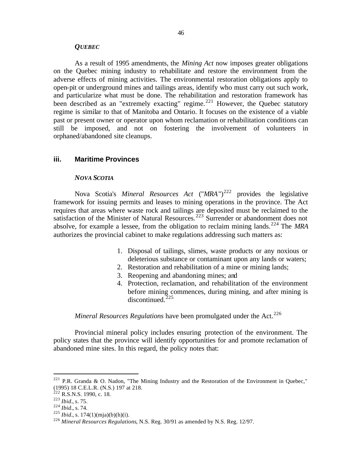### *QUEBEC*

As a result of 1995 amendments, the *Mining Act* now imposes greater obligations on the Quebec mining industry to rehabilitate and restore the environment from the adverse effects of mining activities. The environmental restoration obligations apply to open-pit or underground mines and tailings areas, identify who must carry out such work, and particularize what must be done. The rehabilitation and restoration framework has been described as an "extremely exacting" regime.<sup>221</sup> However, the Quebec statutory regime is similar to that of Manitoba and Ontario. It focuses on the existence of a viable past or present owner or operator upon whom reclamation or rehabilitation conditions can still be imposed, and not on fostering the involvement of volunteers in orphaned/abandoned site cleanups.

## **iii. Maritime Provinces**

#### *NOVA SCOTIA*

Nova Scotia's *Mineral Resources Act* ("*MRA*")<sup>222</sup> provides the legislative framework for issuing permits and leases to mining operations in the province. The Act requires that areas where waste rock and tailings are deposited must be reclaimed to the satisfaction of the Minister of Natural Resources.<sup>223</sup> Surrender or abandonment does not absolve, for example a lessee, from the obligation to reclaim mining lands.<sup>224</sup> The *MRA* authorizes the provincial cabinet to make regulations addressing such matters as:

- 1. Disposal of tailings, slimes, waste products or any noxious or deleterious substance or contaminant upon any lands or waters;
- 2. Restoration and rehabilitation of a mine or mining lands;
- 3. Reopening and abandoning mines; and
- 4. Protection, reclamation, and rehabilitation of the environment before mining commences, during mining, and after mining is  $discontinued.<sup>225</sup>$

# *Mineral Resources Regulations* have been promulgated under the Act.<sup>226</sup>

Provincial mineral policy includes ensuring protection of the environment. The policy states that the province will identify opportunities for and promote reclamation of abandoned mine sites. In this regard, the policy notes that:

<sup>&</sup>lt;sup>221</sup> P.R. Granda & O. Nadon, "The Mining Industry and the Restoration of the Environment in Quebec," (1995) 18 C.E.L.R. (N.S.) 197 at 218.

 $^{222}$  R.S.N.S. 1990, c. 18.

<sup>223</sup> *Ibid.*, s. 75.

<sup>224</sup> *Ibid.*, s. 74.

 $225$  *Ibid.*, s. 174(1)(mja)(b)(h)(i).

<sup>226</sup> *Mineral Resources Regulations*, N.S. Reg. 30/91 as amended by N.S. Reg. 12/97.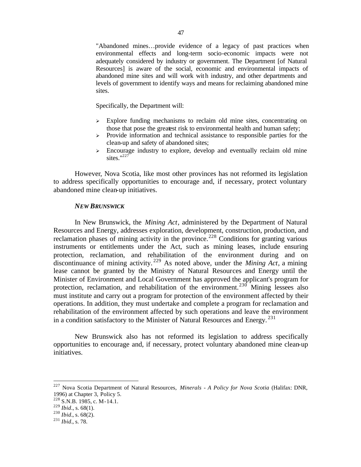"Abandoned mines…provide evidence of a legacy of past practices when environmental effects and long-term socio-economic impacts were not adequately considered by industry or government. The Department [of Natural Resources] is aware of the social, economic and environmental impacts of abandoned mine sites and will work with industry, and other departments and levels of government to identify ways and means for reclaiming abandoned mine sites.

Specifically, the Department will:

- $\geq$  Explore funding mechanisms to reclaim old mine sites, concentrating on those that pose the greatest risk to environmental health and human safety;
- $\geq$  Provide information and technical assistance to responsible parties for the clean-up and safety of abandoned sites;
- $\geq$  Encourage industry to explore, develop and eventually reclaim old mine sites." $^{227}$

However, Nova Scotia, like most other provinces has not reformed its legislation to address specifically opportunities to encourage and, if necessary, protect voluntary abandoned mine clean-up initiatives.

#### *NEW BRUNSWICK*

In New Brunswick, the *Mining Act*, administered by the Department of Natural Resources and Energy, addresses exploration, development, construction, production, and reclamation phases of mining activity in the province.<sup>228</sup> Conditions for granting various instruments or entitlements under the Act, such as mining leases, include ensuring protection, reclamation, and rehabilitation of the environment during and on discontinuance of mining activity. <sup>229</sup> As noted above, under the *Mining Act*, a mining lease cannot be granted by the Ministry of Natural Resources and Energy until the Minister of Environment and Local Government has approved the applicant's program for protection, reclamation, and rehabilitation of the environment.<sup>230</sup> Mining lessees also must institute and carry out a program for protection of the environment affected by their operations. In addition, they must undertake and complete a program for reclamation and rehabilitation of the environment affected by such operations and leave the environment in a condition satisfactory to the Minister of Natural Resources and Energy.<sup>231</sup>

New Brunswick also has not reformed its legislation to address specifically opportunities to encourage and, if necessary, protect voluntary abandoned mine clean-up initiatives.

<sup>227</sup> Nova Scotia Department of Natural Resources, *Minerals - A Policy for Nova Scotia* (Halifax: DNR, 1996) at Chapter 3, Policy 5.

<sup>228</sup> S.N.B. 1985, c. M-14.1.

<sup>229</sup> *Ibid*., s. 68(1).

<sup>230</sup> *Ibid.*, s. 68(2).

<sup>231</sup> *Ibid.*, s. 78.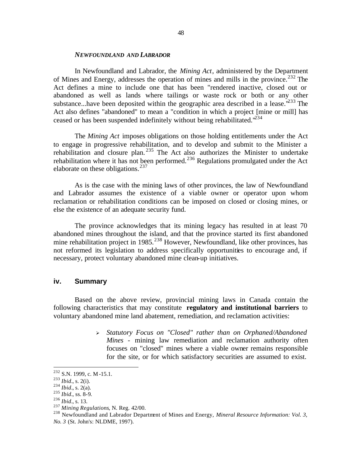#### *NEWFOUNDLAND AND LABRADOR*

In Newfoundland and Labrador, the *Mining Act*, administered by the Department of Mines and Energy, addresses the operation of mines and mills in the province.<sup>232</sup> The Act defines a mine to include one that has been "rendered inactive, closed out or abandoned as well as lands where tailings or waste rock or both or any other substance...have been deposited within the geographic area described in a lease.<sup> $233$ </sup> The Act also defines "abandoned" to mean a "condition in which a project [mine or mill] has ceased or has been suspended indefinitely without being rehabilitated.<sup>1234</sup>

The *Mining Act* imposes obligations on those holding entitlements under the Act to engage in progressive rehabilitation, and to develop and submit to the Minister a rehabilitation and closure plan. <sup>235</sup> The Act also authorizes the Minister to undertake rehabilitation where it has not been performed.<sup>236</sup> Regulations promulgated under the Act elaborate on these obligations.<sup>237</sup>

As is the case with the mining laws of other provinces, the law of Newfoundland and Labrador assumes the existence of a viable owner or operator upon whom reclamation or rehabilitation conditions can be imposed on closed or closing mines, or else the existence of an adequate security fund.

The province acknowledges that its mining legacy has resulted in at least 70 abandoned mines throughout the island, and that the province started its first abandoned mine rehabilitation project in 1985.<sup>238</sup> However, Newfoundland, like other provinces, has not reformed its legislation to address specifically opportunities to encourage and, if necessary, protect voluntary abandoned mine clean-up initiatives.

### **iv. Summary**

Based on the above review, provincial mining laws in Canada contain the following characteristics that may constitute **regulatory and institutional barriers** to voluntary abandoned mine land abatement, remediation, and reclamation activities:

> <sup>ÿ</sup> *Statutory Focus on "Closed" rather than on Orphaned/Abandoned Mines* - mining law remediation and reclamation authority often focuses on "closed" mines where a viable owner remains responsible for the site, or for which satisfactory securities are assumed to exist.

 $^{232}$  S.N. 1999, c. M -15.1.

<sup>233</sup> *Ibid.*, s. 2(i).

<sup>234</sup> *Ibid.*, s. 2(a).

<sup>235</sup> *Ibid.*, ss. 8-9.

<sup>236</sup> *Ibid.*, s. 13.

<sup>237</sup> *Mining Regulations*, N. Reg. 42/00.

<sup>238</sup> Newfoundland and Labrador Department of Mines and Energy, *Mineral Resource Information: Vol. 3,* 

*No. 3* (St. John's: NLDME, 1997).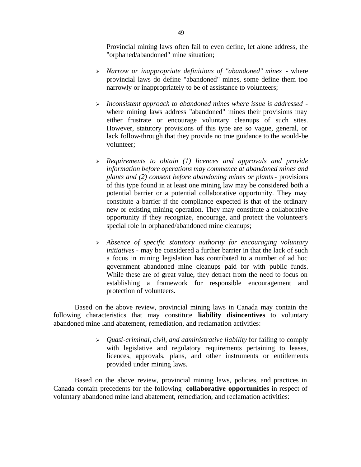Provincial mining laws often fail to even define, let alone address, the "orphaned/abandoned" mine situation;

- <sup>ÿ</sup> *Narrow or inappropriate definitions of "abandoned" mines -* where provincial laws do define "abandoned" mines, some define them too narrowly or inappropriately to be of assistance to volunteers;
- <sup>ÿ</sup> *Inconsistent approach to abandoned mines where issue is addressed*  where mining laws address "abandoned" mines their provisions may either frustrate or encourage voluntary cleanups of such sites. However, statutory provisions of this type are so vague, general, or lack follow-through that they provide no true guidance to the would-be volunteer;
- <sup>ÿ</sup> *Requirements to obtain (1) licences and approvals and provide information before operations may commence at abandoned mines and plants and (2) consent before abandoning mines or plants*- provisions of this type found in at least one mining law may be considered both a potential barrier or a potential collaborative opportunity. They may constitute a barrier if the compliance expected is that of the ordinary new or existing mining operation. They may constitute a collaborative opportunity if they recognize, encourage, and protect the volunteer's special role in orphaned/abandoned mine cleanups;
- <sup>ÿ</sup> *Absence of specific statutory authority for encouraging voluntary initiatives* - may be considered a further barrier in that the lack of such a focus in mining legislation has contributed to a number of ad hoc government abandoned mine cleanups paid for with public funds. While these are of great value, they detract from the need to focus on establishing a framework for responsible encouragement and protection of volunteers.

Based on the above review, provincial mining laws in Canada may contain the following characteristics that may constitute **liability disincentives** to voluntary abandoned mine land abatement, remediation, and reclamation activities:

> <sup>ÿ</sup> *Quasi-criminal, civil, and administrative liability* for failing to comply with legislative and regulatory requirements pertaining to leases, licences, approvals, plans, and other instruments or entitlements provided under mining laws.

Based on the above review, provincial mining laws, policies, and practices in Canada contain precedents for the following **collaborative opportunities** in respect of voluntary abandoned mine land abatement, remediation, and reclamation activities: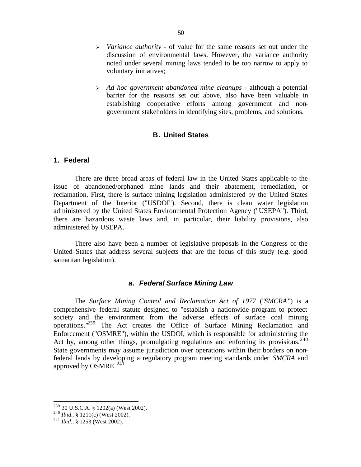- <sup>ÿ</sup> *Variance authority* of value for the same reasons set out under the discussion of environmental laws. However, the variance authority noted under several mining laws tended to be too narrow to apply to voluntary initiatives;
- <sup>ÿ</sup> *Ad hoc government abandoned mine cleanups* although a potential barrier for the reasons set out above, also have been valuable in establishing cooperative efforts among government and nongovernment stakeholders in identifying sites, problems, and solutions.

## **B. United States**

# **1. Federal**

There are three broad areas of federal law in the United States applicable to the issue of abandoned/orphaned mine lands and their abatement, remediation, or reclamation. First, there is surface mining legislation administered by the United States Department of the Interior ("USDOI"). Second, there is clean water legislation administered by the United States Environmental Protection Agency ("USEPA"). Third, there are hazardous waste laws and, in particular, their liability provisions, also administered by USEPA.

There also have been a number of legislative proposals in the Congress of the United States that address several subjects that are the focus of this study (e.g. good samaritan legislation).

## *a. Federal Surface Mining Law*

The *Surface Mining Control and Reclamation Act of 1977* ("*SMCRA*") is a comprehensive federal statute designed to "establish a nationwide program to protect society and the environment from the adverse effects of surface coal mining operations."<sup>239</sup> The Act creates the Office of Surface Mining Reclamation and Enforcement ("OSMRE"), within the USDOI, which is responsible for administering the Act by, among other things, promulgating regulations and enforcing its provisions.<sup>240</sup> State governments may assume jurisdiction over operations within their borders on nonfederal lands by developing a regulatory program meeting standards under *SMCRA* and approved by OSMRE. <sup>241</sup>

 $^{239}$  30 U.S.C.A. § 1202(a) (West 2002).

<sup>240</sup> *Ibid.*, § 1211(c) (West 2002).

<sup>241</sup> *Ibid.,* § 1253 (West 2002).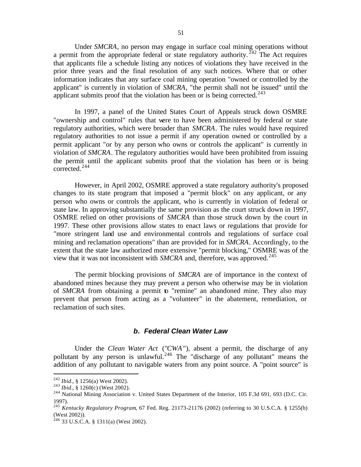Under *SMCRA*, no person may engage in surface coal mining operations without a permit from the appropriate federal or state regulatory authority.  $242$  The Act requires that applicants file a schedule listing any notices of violations they have received in the prior three years and the final resolution of any such notices. Where that or other information indicates that any surface coal mining operation "owned or controlled by the applicant" is currently in violation of *SMCRA*, "the permit shall not be issued" until the applicant submits proof that the violation has been or is being corrected.<sup>243</sup>

In 1997, a panel of the United States Court of Appeals struck down OSMRE "ownership and control" rules that were to have been administered by federal or state regulatory authorities, which were broader than *SMCRA*. The rules would have required regulatory authorities to not issue a permit if any operation owned or controlled by a permit applicant "or by any person who owns or controls the applicant" is currently in violation of *SMCRA*. The regulatory authorities would have been prohibited from issuing the permit until the applicant submits proof that the violation has been or is being corrected.<sup>244</sup>

However, in April 2002, OSMRE approved a state regulatory authority's proposed changes to its state program that imposed a "permit block" on any applicant, or any person who owns or controls the applicant, who is currently in violation of federal or state law. In approving substantially the same provision as the court struck down in 1997, OSMRE relied on other provisions of *SMCRA* than those struck down by the court in 1997. These other provisions allow states to enact laws or regulations that provide for "more stringent land use and environmental controls and regulations of surface coal mining and reclamation operations" than are provided for in *SMCRA*. Accordingly, to the extent that the state law authorized more extensive "permit blocking," OSMRE was of the view that it was not inconsistent with *SMCRA* and, therefore, was approved.<sup>245</sup>

The permit blocking provisions of *SMCRA* are of importance in the context of abandoned mines because they may prevent a person who otherwise may be in violation of *SMCRA* from obtaining a permit to "remine" an abandoned mine. They also may prevent that person from acting as a "volunteer" in the abatement, remediation, or reclamation of such sites.

# *b. Federal Clean Water Law*

Under the *Clean Water Act* ("*CWA*"), absent a permit, the discharge of any pollutant by any person is unlawful.<sup>246</sup> The "discharge of any pollutant" means the addition of any pollutant to navigable waters from any point source. A "point source" is

<sup>242</sup> *Ibid.*, § 1256(a) West 2002).

<sup>243</sup> *Ibid.*, § 1260(c) (West 2002).

<sup>&</sup>lt;sup>244</sup> National Mining Association v. United States Department of the Interior, 105 F.3d 691, 693 (D.C. Cir. 1997).

<sup>245</sup> *Kentucky Regulatory Program*, 67 Fed. Reg. 21173-21176 (2002) (referring to 30 U.S.C.A. § 1255(b) (West 2002)).

 $246$  33 U.S.C.A. § 1311(a) (West 2002).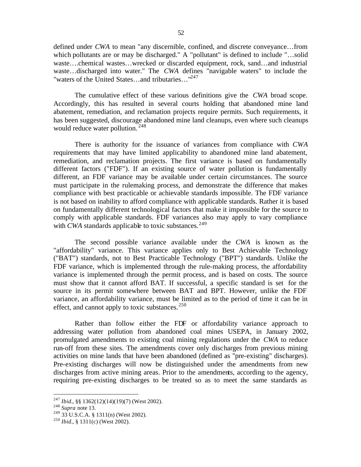defined under *CWA* to mean "any discernible, confined, and discrete conveyance…from which pollutants are or may be discharged." A "pollutant" is defined to include "...solid waste….chemical wastes…wrecked or discarded equipment, rock, sand…and industrial waste…discharged into water." The *CWA* defines "navigable waters" to include the "waters of the United States...and tributaries..."<sup>247</sup>

The cumulative effect of these various definitions give the *CWA* broad scope. Accordingly, this has resulted in several courts holding that abandoned mine land abatement, remediation, and reclamation projects require permits. Such requirements, it has been suggested, discourage abandoned mine land cleanups, even where such cleanups would reduce water pollution. <sup>248</sup>

There is authority for the issuance of variances from compliance with *CWA*  requirements that may have limited applicability to abandoned mine land abatement, remediation, and reclamation projects. The first variance is based on fundamentally different factors ("FDF"). If an existing source of water pollution is fundamentally different, an FDF variance may be available under certain circumstances. The source must participate in the rulemaking process, and demonstrate the difference that makes compliance with best practicable or achievable standards impossible. The FDF variance is not based on inability to afford compliance with applicable standards. Rather it is based on fundamentally different technological factors that make it impossible for the source to comply with applicable standards. FDF variances also may apply to vary compliance with *CWA* standards applicable to toxic substances.<sup>249</sup>

The second possible variance available under the *CWA* is known as the "affordability" variance. This variance applies only to Best Achievable Technology ("BAT") standards, not to Best Practicable Technology ("BPT") standards. Unlike the FDF variance, which is implemented through the rule-making process, the affordability variance is implemented through the permit process, and is based on costs. The source must show that it cannot afford BAT. If successful, a specific standard is set for the source in its permit somewhere between BAT and BPT. However, unlike the FDF variance, an affordability variance, must be limited as to the period of time it can be in effect, and cannot apply to toxic substances. $^{250}$ 

Rather than follow either the FDF or affordability variance approach to addressing water pollution from abandoned coal mines USEPA, in January 2002, promulgated amendments to existing coal mining regulations under the *CWA* to reduce run-off from these sites. The amendments cover only discharges from previous mining activities on mine lands that have been abandoned (defined as "pre-existing" discharges). Pre-existing discharges will now be distinguished under the amendments from new discharges from active mining areas. Prior to the amendments, according to the agency, requiring pre-existing discharges to be treated so as to meet the same standards as

<sup>247</sup> *Ibid.*, §§ 1362(12)(14)(19)(7) (West 2002).

<sup>248</sup> *Supra* note 13.

 $^{249}$  33 U.S.C.A. § 1311(n) (West 2002).

<sup>250</sup> *Ibid.*, § 1311(c) (West 2002).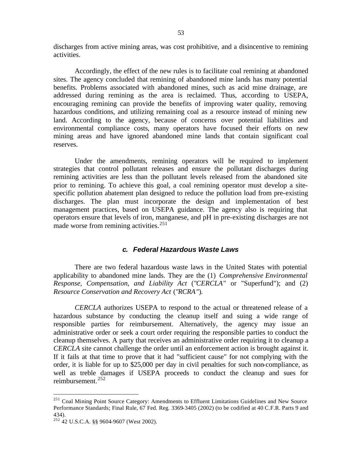discharges from active mining areas, was cost prohibitive, and a disincentive to remining activities.

Accordingly, the effect of the new rules is to facilitate coal remining at abandoned sites. The agency concluded that remining of abandoned mine lands has many potential benefits. Problems associated with abandoned mines, such as acid mine drainage, are addressed during remining as the area is reclaimed. Thus, according to USEPA, encouraging remining can provide the benefits of improving water quality, removing hazardous conditions, and utilizing remaining coal as a resource instead of mining new land. According to the agency, because of concerns over potential liabilities and environmental compliance costs, many operators have focused their efforts on new mining areas and have ignored abandoned mine lands that contain significant coal reserves.

Under the amendments, remining operators will be required to implement strategies that control pollutant releases and ensure the pollutant discharges during remining activities are less than the pollutant levels released from the abandoned site prior to remining. To achieve this goal, a coal remining operator must develop a sitespecific pollution abatement plan designed to reduce the pollution load from pre-existing discharges. The plan must incorporate the design and implementation of best management practices, based on USEPA guidance. The agency also is requiring that operators ensure that levels of iron, manganese, and pH in pre-existing discharges are not made worse from remining activities.<sup>251</sup>

## *c. Federal Hazardous Waste Laws*

There are two federal hazardous waste laws in the United States with potential applicability to abandoned mine lands. They are the (1) *Comprehensive Environmental Response, Compensation, and Liability Act* ("*CERCLA*" or "Superfund"); and (2) *Resource Conservation and Recovery Act* ("*RCRA*").

*CERCLA* authorizes USEPA to respond to the actual or threatened release of a hazardous substance by conducting the cleanup itself and suing a wide range of responsible parties for reimbursement. Alternatively, the agency may issue an administrative order or seek a court order requiring the responsible parties to conduct the cleanup themselves. A party that receives an administrative order requiring it to cleanup a *CERCLA* site cannot challenge the order until an enforcement action is brought against it. If it fails at that time to prove that it had "sufficient cause" for not complying with the order, it is liable for up to \$25,000 per day in civil penalties for such non-compliance, as well as treble damages if USEPA proceeds to conduct the cleanup and sues for reimbursement.<sup>252</sup>

<sup>&</sup>lt;sup>251</sup> Coal Mining Point Source Category: Amendments to Effluent Limitations Guidelines and New Source Performance Standards; Final Rule, 67 Fed. Reg. 3369-3405 (2002) (to be codified at 40 C.F.R. Parts 9 and 434).

<sup>252</sup> 42 U.S.C.A. §§ 9604-9607 (West 2002).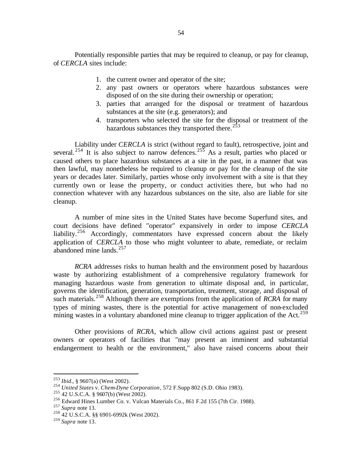Potentially responsible parties that may be required to cleanup, or pay for cleanup, of *CERCLA* sites include:

- 1. the current owner and operator of the site;
- 2. any past owners or operators where hazardous substances were disposed of on the site during their ownership or operation;
- 3. parties that arranged for the disposal or treatment of hazardous substances at the site (e.g. generators); and
- 4. transporters who selected the site for the disposal or treatment of the hazardous substances they transported there.<sup>253</sup>

Liability under *CERCLA* is strict (without regard to fault), retrospective, joint and several.<sup>254</sup> It is also subject to narrow defences.<sup>255</sup> As a result, parties who placed or caused others to place hazardous substances at a site in the past, in a manner that was then lawful, may nonetheless be required to cleanup or pay for the cleanup of the site years or decades later. Similarly, parties whose only involvement with a site is that they currently own or lease the property, or conduct activities there, but who had no connection whatever with any hazardous substances on the site, also are liable for site cleanup.

A number of mine sites in the United States have become Superfund sites, and court decisions have defined "operator" expansively in order to impose *CERCLA* liability.<sup>256</sup> Accordingly, commentators have expressed concern about the likely application of *CERCLA* to those who might volunteer to abate, remediate, or reclaim abandoned mine lands. $257$ 

*RCRA* addresses risks to human health and the environment posed by hazardous waste by authorizing establishment of a comprehensive regulatory framework for managing hazardous waste from generation to ultimate disposal and, in particular, governs the identification, generation, transportation, treatment, storage, and disposal of such materials.<sup>258</sup> Although there are exemptions from the application of *RCRA* for many types of mining wastes, there is the potential for active management of non-excluded mining wastes in a voluntary abandoned mine cleanup to trigger application of the Act.<sup>259</sup>

Other provisions of *RCRA*, which allow civil actions against past or present owners or operators of facilities that "may present an imminent and substantial endangerment to health or the environment," also have raised concerns about their

<sup>253</sup> *Ibid.*, § 9607(a) (West 2002).

<sup>254</sup> *United States* v. *Chem-Dyne Corporation*, 572 F.Supp 802 (S.D. Ohio 1983).

<sup>255</sup> 42 U.S.C.A. § 9607(b) (West 2002).

<sup>256</sup> Edward Hines Lumber Co. v. Vulcan Materials Co., 861 F.2d 155 (7th Cir. 1988).

<sup>257</sup> *Supra* note 13.

<sup>258</sup> 42 U.S.C.A. §§ 6901-6992k (West 2002).

<sup>259</sup> *Supra* note 13.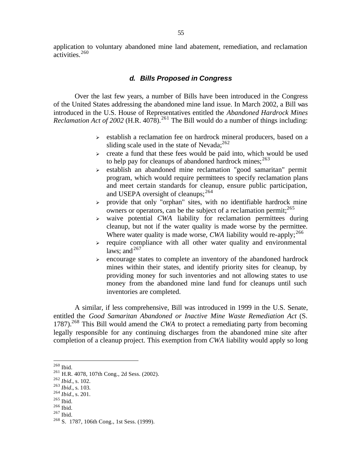application to voluntary abandoned mine land abatement, remediation, and reclamation activities.<sup>260</sup>

# *d. Bills Proposed in Congress*

Over the last few years, a number of Bills have been introduced in the Congress of the United States addressing the abandoned mine land issue. In March 2002, a Bill was introduced in the U.S. House of Representatives entitled the *Abandoned Hardrock Mines Reclamation Act of 2002* (H.R. 4078).<sup>261</sup> The Bill would do a number of things including:

- $\triangleright$  establish a reclamation fee on hardrock mineral producers, based on a sliding scale used in the state of Nevada; $^{262}$
- $\triangleright$  create a fund that these fees would be paid into, which would be used to help pay for cleanups of abandoned hardrock mines;  $263$
- $\ge$  establish an abandoned mine reclamation "good samaritan" permit program, which would require permittees to specify reclamation plans and meet certain standards for cleanup, ensure public participation, and USEPA oversight of cleanups;  $^{264}$
- $\triangleright$  provide that only "orphan" sites, with no identifiable hardrock mine owners or operators, can be the subject of a reclamation permit;  $265$
- <sup>ÿ</sup> waive potential *CWA* liability for reclamation permittees during cleanup, but not if the water quality is made worse by the permittee. Where water quality is made worse, *CWA* liability would re-apply;  $266$
- $\ge$  require compliance with all other water quality and environmental laws: and  $267$
- $\ge$  encourage states to complete an inventory of the abandoned hardrock mines within their states, and identify priority sites for cleanup, by providing money for such inventories and not allowing states to use money from the abandoned mine land fund for cleanups until such inventories are completed.

A similar, if less comprehensive, Bill was introduced in 1999 in the U.S. Senate, entitled the *Good Samaritan Abandoned or Inactive Mine Waste Remediation Act* (S. 1787).<sup>268</sup> This Bill would amend the *CWA* to protect a remediating party from becoming legally responsible for any continuing discharges from the abandoned mine site after completion of a cleanup project. This exemption from *CWA* liability would apply so long

 $\overline{a}$ 

 $267$  Ibid.

 $260$  Ibid.

<sup>261</sup> H.R. 4078, 107th Cong., 2d Sess. (2002).

<sup>262</sup> *Ibid.*, s. 102.

<sup>263</sup> *Ibid.*, s. 103.

<sup>264</sup> *Ibid.*, s. 201.

 $265$  Ibid.

 $266$  Ibid.

<sup>268</sup> S. 1787, 106th Cong., 1st Sess. (1999).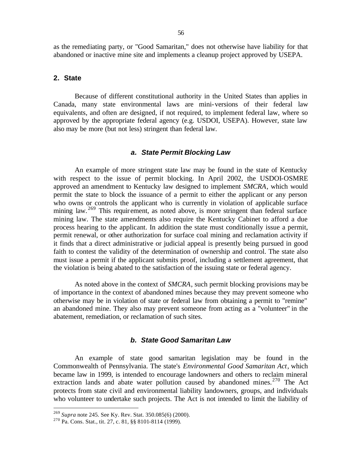as the remediating party, or "Good Samaritan," does not otherwise have liability for that abandoned or inactive mine site and implements a cleanup project approved by USEPA.

## **2. State**

Because of different constitutional authority in the United States than applies in Canada, many state environmental laws are mini-versions of their federal law equivalents, and often are designed, if not required, to implement federal law, where so approved by the appropriate federal agency (e.g. USDOI, USEPA). However, state law also may be more (but not less) stringent than federal law.

## *a. State Permit Blocking Law*

An example of more stringent state law may be found in the state of Kentucky with respect to the issue of permit blocking. In April 2002, the USDOI-OSMRE approved an amendment to Kentucky law designed to implement *SMCRA*, which would permit the state to block the issuance of a permit to either the applicant or any person who owns or controls the applicant who is currently in violation of applicable surface mining law. <sup>269</sup> This requirement, as noted above, is more stringent than federal surface mining law. The state amendments also require the Kentucky Cabinet to afford a due process hearing to the applicant. In addition the state must conditionally issue a permit, permit renewal, or other authorization for surface coal mining and reclamation activity if it finds that a direct administrative or judicial appeal is presently being pursued in good faith to contest the validity of the determination of ownership and control. The state also must issue a permit if the applicant submits proof, including a settlement agreement, that the violation is being abated to the satisfaction of the issuing state or federal agency.

As noted above in the context of *SMCRA*, such permit blocking provisions may be of importance in the context of abandoned mines because they may prevent someone who otherwise may be in violation of state or federal law from obtaining a permit to "remine" an abandoned mine. They also may prevent someone from acting as a "volunteer" in the abatement, remediation, or reclamation of such sites.

## *b. State Good Samaritan Law*

An example of state good samaritan legislation may be found in the Commonwealth of Pennsylvania. The state's *Environmental Good Samaritan Act*, which became law in 1999, is intended to encourage landowners and others to reclaim mineral extraction lands and abate water pollution caused by abandoned mines.<sup>270</sup> The Act protects from state civil and environmental liability landowners, groups, and individuals who volunteer to undertake such projects. The Act is not intended to limit the liability of

<sup>269</sup> *Supra* note 245. See Ky. Rev. Stat. 350.085(6) (2000).

<sup>270</sup> Pa. Cons. Stat., tit. 27, c. 81, §§ 8101-8114 (1999).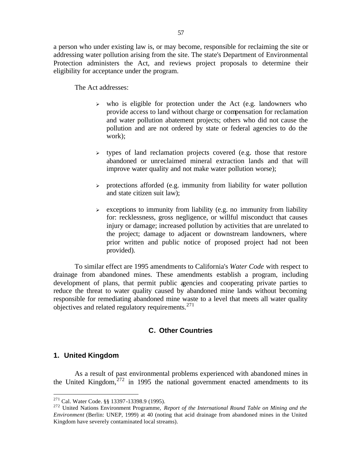a person who under existing law is, or may become, responsible for reclaiming the site or addressing water pollution arising from the site. The state's Department of Environmental Protection administers the Act, and reviews project proposals to determine their eligibility for acceptance under the program.

The Act addresses:

- $\geq$  who is eligible for protection under the Act (e.g. landowners who provide access to land without charge or compensation for reclamation and water pollution abatement projects; others who did not cause the pollution and are not ordered by state or federal agencies to do the work);
- $\rightarrow$  types of land reclamation projects covered (e.g. those that restore abandoned or unreclaimed mineral extraction lands and that will improve water quality and not make water pollution worse);
- $\ge$  protections afforded (e.g. immunity from liability for water pollution and state citizen suit law);
- $\ge$  exceptions to immunity from liability (e.g. no immunity from liability for: recklessness, gross negligence, or willful misconduct that causes injury or damage; increased pollution by activities that are unrelated to the project; damage to adjacent or downstream landowners, where prior written and public notice of proposed project had not been provided).

To similar effect are 1995 amendments to California's *Water Code* with respect to drainage from abandoned mines. These amendments establish a program, including development of plans, that permit public agencies and cooperating private parties to reduce the threat to water quality caused by abandoned mine lands without becoming responsible for remediating abandoned mine waste to a level that meets all water quality objectives and related regulatory requirements. $^{271}$ 

# **C. Other Countries**

## **1. United Kingdom**

 $\overline{a}$ 

As a result of past environmental problems experienced with abandoned mines in the United Kingdom, $272$  in 1995 the national government enacted amendments to its

<sup>&</sup>lt;sup>271</sup> Cal. Water Code. §§ 13397-13398.9 (1995).

<sup>272</sup> United Nations Environment Programme, *Report of the International Round Table on Mining and the Environment* (Berlin: UNEP, 1999) at 40 (noting that acid drainage from abandoned mines in the United Kingdom have severely contaminated local streams).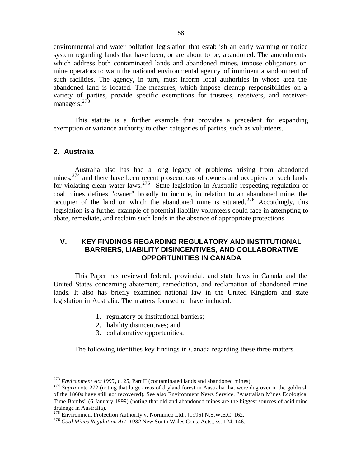environmental and water pollution legislation that establish an early warning or notice system regarding lands that have been, or are about to be, abandoned. The amendments, which address both contaminated lands and abandoned mines, impose obligations on mine operators to warn the national environmental agency of imminent abandonment of such facilities. The agency, in turn, must inform local authorities in whose area the abandoned land is located. The measures, which impose cleanup responsibilities on a variety of parties, provide specific exemptions for trustees, receivers, and receivermanagers.<sup>273</sup>

This statute is a further example that provides a precedent for expanding exemption or variance authority to other categories of parties, such as volunteers.

### **2. Australia**

 $\overline{a}$ 

Australia also has had a long legacy of problems arising from abandoned mines, $274$  and there have been recent prosecutions of owners and occupiers of such lands for violating clean water laws.<sup>275</sup> State legislation in Australia respecting regulation of coal mines defines "owner" broadly to include, in relation to an abandoned mine, the occupier of the land on which the abandoned mine is situated.<sup>276</sup> Accordingly, this legislation is a further example of potential liability volunteers could face in attempting to abate, remediate, and reclaim such lands in the absence of appropriate protections.

# **V. KEY FINDINGS REGARDING REGULATORY AND INSTITUTIONAL BARRIERS, LIABILITY DISINCENTIVES, AND COLLABORATIVE OPPORTUNITIES IN CANADA**

This Paper has reviewed federal, provincial, and state laws in Canada and the United States concerning abatement, remediation, and reclamation of abandoned mine lands. It also has briefly examined national law in the United Kingdom and state legislation in Australia. The matters focused on have included:

- 1. regulatory or institutional barriers;
- 2. liability disincentives; and
- 3. collaborative opportunities.

The following identifies key findings in Canada regarding these three matters.

<sup>273</sup> *Environment Act 1995*, c. 25, Part II (contaminated lands and abandoned mines).

<sup>&</sup>lt;sup>274</sup> Supra note 272 (noting that large areas of dryland forest in Australia that were dug over in the goldrush of the 1860s have still not recovered). See also Environment News Service, "Australian Mines Ecological Time Bombs" (6 January 1999) (noting that old and abandoned mines are the biggest sources of acid mine drainage in Australia).

<sup>&</sup>lt;sup>275</sup> Environment Protection Authority v. Norminco Ltd., [1996] N.S.W.E.C. 162.

<sup>276</sup> *Coal Mines Regulation Act, 1982* New South Wales Cons. Acts., ss. 124, 146.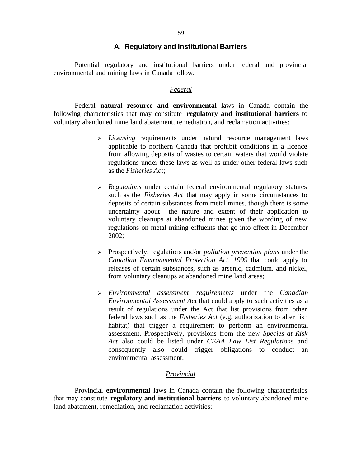## **A. Regulatory and Institutional Barriers**

Potential regulatory and institutional barriers under federal and provincial environmental and mining laws in Canada follow.

### *Federal*

Federal **natural resource and environmental** laws in Canada contain the following characteristics that may constitute **regulatory and institutional barriers** to voluntary abandoned mine land abatement, remediation, and reclamation activities:

- <sup>ÿ</sup> *Licensing* requirements under natural resource management laws applicable to northern Canada that prohibit conditions in a licence from allowing deposits of wastes to certain waters that would violate regulations under these laws as well as under other federal laws such as the *Fisheries Act*;
- <sup>ÿ</sup> *Regulations* under certain federal environmental regulatory statutes such as the *Fisheries Act* that may apply in some circumstances to deposits of certain substances from metal mines, though there is some uncertainty about the nature and extent of their application to voluntary cleanups at abandoned mines given the wording of new regulations on metal mining effluents that go into effect in December 2002;
- <sup>ÿ</sup> Prospectively, regulations and/or *pollution prevention plans* under the *Canadian Environmental Protection Act, 1999* that could apply to releases of certain substances, such as arsenic, cadmium, and nickel, from voluntary cleanups at abandoned mine land areas;
- <sup>ÿ</sup> *Environmental assessment requirements* under the *Canadian Environmental Assessment Act* that could apply to such activities as a result of regulations under the Act that list provisions from other federal laws such as the *Fisheries Act* (e.g. authorization to alter fish habitat) that trigger a requirement to perform an environmental assessment. Prospectively, provisions from the new *Species at Risk Act* also could be listed under *CEAA Law List Regulations* and consequently also could trigger obligations to conduct an environmental assessment.

## *Provincial*

Provincial **environmental** laws in Canada contain the following characteristics that may constitute **regulatory and institutional barriers** to voluntary abandoned mine land abatement, remediation, and reclamation activities: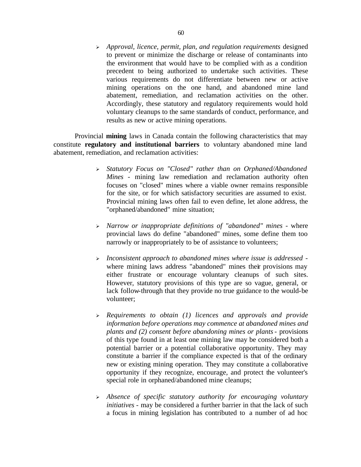<sup>ÿ</sup> *Approval, licence, permit, plan, and regulation requirements* designed to prevent or minimize the discharge or release of contaminants into the environment that would have to be complied with as a condition precedent to being authorized to undertake such activities. These various requirements do not differentiate between new or active mining operations on the one hand, and abandoned mine land abatement, remediation, and reclamation activities on the other. Accordingly, these statutory and regulatory requirements would hold voluntary cleanups to the same standards of conduct, performance, and results as new or active mining operations.

Provincial **mining** laws in Canada contain the following characteristics that may constitute **regulatory and institutional barriers** to voluntary abandoned mine land abatement, remediation, and reclamation activities:

- <sup>ÿ</sup> *Statutory Focus on "Closed" rather than on Orphaned/Abandoned Mines* - mining law remediation and reclamation authority often focuses on "closed" mines where a viable owner remains responsible for the site, or for which satisfactory securities are assumed to exist. Provincial mining laws often fail to even define, let alone address, the "orphaned/abandoned" mine situation;
- <sup>ÿ</sup> *Narrow or inappropriate definitions of "abandoned" mines -* where provincial laws do define "abandoned" mines, some define them too narrowly or inappropriately to be of assistance to volunteers;
- <sup>ÿ</sup> *Inconsistent approach to abandoned mines where issue is addressed*  where mining laws address "abandoned" mines their provisions may either frustrate or encourage voluntary cleanups of such sites. However, statutory provisions of this type are so vague, general, or lack follow-through that they provide no true guidance to the would-be volunteer;
- <sup>ÿ</sup> *Requirements to obtain (1) licences and approvals and provide information before operations may commence at abandoned mines and plants and (2) consent before abandoning mines or plants*- provisions of this type found in at least one mining law may be considered both a potential barrier or a potential collaborative opportunity. They may constitute a barrier if the compliance expected is that of the ordinary new or existing mining operation. They may constitute a collaborative opportunity if they recognize, encourage, and protect the volunteer's special role in orphaned/abandoned mine cleanups;
- <sup>ÿ</sup> *Absence of specific statutory authority for encouraging voluntary initiatives* - may be considered a further barrier in that the lack of such a focus in mining legislation has contributed to a number of ad hoc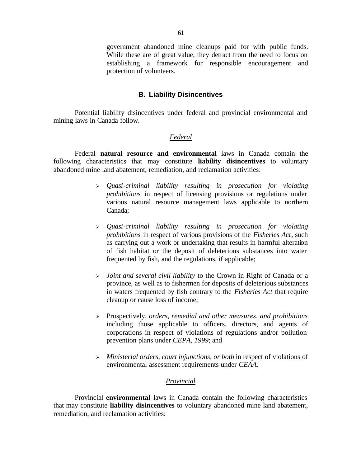government abandoned mine cleanups paid for with public funds. While these are of great value, they detract from the need to focus on establishing a framework for responsible encouragement and protection of volunteers.

## **B. Liability Disincentives**

Potential liability disincentives under federal and provincial environmental and mining laws in Canada follow.

## *Federal*

Federal **natural resource and environmental** laws in Canada contain the following characteristics that may constitute **liability disincentives** to voluntary abandoned mine land abatement, remediation, and reclamation activities:

- <sup>ÿ</sup> *Quasi-criminal liability resulting in prosecution for violating prohibitions* in respect of licensing provisions or regulations under various natural resource management laws applicable to northern Canada;
- <sup>ÿ</sup> *Quasi-criminal liability resulting in prosecution for violating prohibitions* in respect of various provisions of the *Fisheries Act*, such as carrying out a work or undertaking that results in harmful alteration of fish habitat or the deposit of deleterious substances into water frequented by fish, and the regulations, if applicable;
- <sup>ÿ</sup> *Joint and several civil liability* to the Crown in Right of Canada or a province, as well as to fishermen for deposits of deleterious substances in waters frequented by fish contrary to the *Fisheries Act* that require cleanup or cause loss of income;
- <sup>ÿ</sup> Prospectively, *orders, remedial and other measures, and prohibitions* including those applicable to officers, directors, and agents of corporations in respect of violations of regulations and/or pollution prevention plans under *CEPA, 1999*; and
- <sup>ÿ</sup> *Ministerial orders, court injunctions, or both* in respect of violations of environmental assessment requirements under *CEAA*.

## *Provincial*

Provincial **environmental** laws in Canada contain the following characteristics that may constitute **liability disincentives** to voluntary abandoned mine land abatement, remediation, and reclamation activities: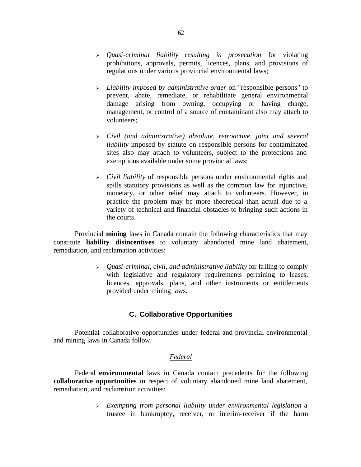- <sup>ÿ</sup> *Quasi-criminal liability resulting in prosecution* for violating prohibitions, approvals, permits, licences, plans, and provisions of regulations under various provincial environmental laws;
- <sup>ÿ</sup> *Liability imposed by administrative order* on "responsible persons" to prevent, abate, remediate, or rehabilitate general environmental damage arising from owning, occupying or having charge, management, or control of a source of contaminant also may attach to volunteers;
- <sup>ÿ</sup> *Civil (and administrative) absolute, retroactive, joint and several liability* imposed by statute on responsible persons for contaminated sites also may attach to volunteers, subject to the protections and exemptions available under some provincial laws;
- <sup>ÿ</sup> *Civil liability* of responsible persons under environmental rights and spills statutory provisions as well as the common law for injunctive, monetary, or other relief may attach to volunteers. However, in practice the problem may be more theoretical than actual due to a variety of technical and financial obstacles to bringing such actions in the courts.

Provincial **mining** laws in Canada contain the following characteristics that may constitute **liability disincentives** to voluntary abandoned mine land abatement, remediation, and reclamation activities:

> <sup>ÿ</sup> *Quasi-criminal, civil, and administrative liability* for failing to comply with legislative and regulatory requirements pertaining to leases, licences, approvals, plans, and other instruments or entitlements provided under mining laws.

# **C. Collaborative Opportunities**

Potential collaborative opportunities under federal and provincial environmental and mining laws in Canada follow.

## *Federal*

Federal **environmental** laws in Canada contain precedents for the following **collaborative opportunities** in respect of voluntary abandoned mine land abatement, remediation, and reclamation activities:

> <sup>ÿ</sup> *Exempting from personal liability under environmental legislation* a trustee in bankruptcy, receiver, or interim-receiver if the harm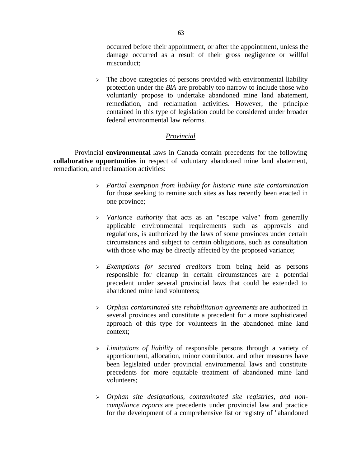occurred before their appointment, or after the appointment, unless the damage occurred as a result of their gross negligence or willful misconduct;

 $\geq$  The above categories of persons provided with environmental liability protection under the *BIA* are probably too narrow to include those who voluntarily propose to undertake abandoned mine land abatement, remediation, and reclamation activities. However, the principle contained in this type of legislation could be considered under broader federal environmental law reforms.

# *Provincial*

Provincial **environmental** laws in Canada contain precedents for the following **collaborative opportunities** in respect of voluntary abandoned mine land abatement, remediation, and reclamation activities:

- <sup>ÿ</sup> *Partial exemption from liability for historic mine site contamination* for those seeking to remine such sites as has recently been enacted in one province;
- <sup>ÿ</sup> *Variance authority* that acts as an "escape valve" from generally applicable environmental requirements such as approvals and regulations, is authorized by the laws of some provinces under certain circumstances and subject to certain obligations, such as consultation with those who may be directly affected by the proposed variance;
- <sup>ÿ</sup> *Exemptions for secured creditors* from being held as persons responsible for cleanup in certain circumstances are a potential precedent under several provincial laws that could be extended to abandoned mine land volunteers;
- <sup>ÿ</sup> *Orphan contaminated site rehabilitation agreements* are authorized in several provinces and constitute a precedent for a more sophisticated approach of this type for volunteers in the abandoned mine land context;
- <sup>ÿ</sup> *Limitations of liability* of responsible persons through a variety of apportionment, allocation, minor contributor, and other measures have been legislated under provincial environmental laws and constitute precedents for more equitable treatment of abandoned mine land volunteers;
- <sup>ÿ</sup> *Orphan site designations, contaminated site registries, and noncompliance reports* are precedents under provincial law and practice for the development of a comprehensive list or registry of "abandoned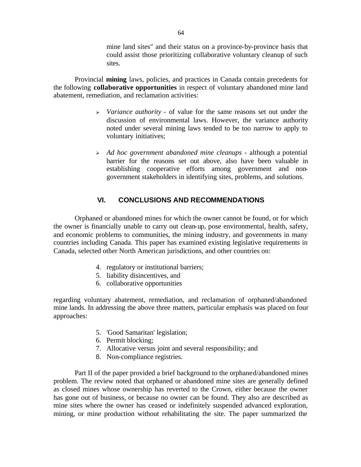mine land sites" and their status on a province-by-province basis that could assist those prioritizing collaborative voluntary cleanup of such sites.

Provincial **mining** laws, policies, and practices in Canada contain precedents for the following **collaborative opportunities** in respect of voluntary abandoned mine land abatement, remediation, and reclamation activities:

- <sup>ÿ</sup> *Variance authority* of value for the same reasons set out under the discussion of environmental laws. However, the variance authority noted under several mining laws tended to be too narrow to apply to voluntary initiatives;
- <sup>ÿ</sup> *Ad hoc government abandoned mine cleanups* although a potential barrier for the reasons set out above, also have been valuable in establishing cooperative efforts among government and nongovernment stakeholders in identifying sites, problems, and solutions.

## **VI. CONCLUSIONS AND RECOMMENDATIONS**

Orphaned or abandoned mines for which the owner cannot be found, or for which the owner is financially unable to carry out clean-up, pose environmental, health, safety, and economic problems to communities, the mining industry, and governments in many countries including Canada. This paper has examined existing legislative requirements in Canada, selected other North American jurisdictions, and other countries on:

- 4. regulatory or institutional barriers;
- 5. liability disincentives, and
- 6. collaborative opportunities

regarding voluntary abatement, remediation, and reclamation of orphaned/abandoned mine lands. In addressing the above three matters, particular emphasis was placed on four approaches:

- 5. 'Good Samaritan' legislation;
- 6. Permit blocking;
- 7. Allocative versus joint and several responsibility; and
- 8. Non-compliance registries.

Part II of the paper provided a brief background to the orphaned/abandoned mines problem. The review noted that orphaned or abandoned mine sites are generally defined as closed mines whose ownership has reverted to the Crown, either because the owner has gone out of business, or because no owner can be found. They also are described as mine sites where the owner has ceased or indefinitely suspended advanced exploration, mining, or mine production without rehabilitating the site. The paper summarized the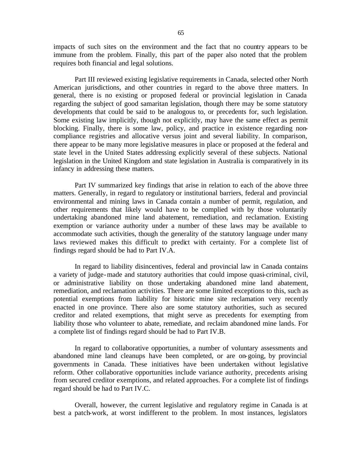impacts of such sites on the environment and the fact that no country appears to be immune from the problem. Finally, this part of the paper also noted that the problem requires both financial and legal solutions.

Part III reviewed existing legislative requirements in Canada, selected other North American jurisdictions, and other countries in regard to the above three matters. In general, there is no existing or proposed federal or provincial legislation in Canada regarding the subject of good samaritan legislation, though there may be some statutory developments that could be said to be analogous to, or precedents for, such legislation. Some existing law implicitly, though not explicitly, may have the same effect as permit blocking. Finally, there is some law, policy, and practice in existence regarding noncompliance registries and allocative versus joint and several liability. In comparison, there appear to be many more legislative measures in place or proposed at the federal and state level in the United States addressing explicitly several of these subjects. National legislation in the United Kingdom and state legislation in Australia is comparatively in its infancy in addressing these matters.

Part IV summarized key findings that arise in relation to each of the above three matters. Generally, in regard to regulatory or institutional barriers, federal and provincial environmental and mining laws in Canada contain a number of permit, regulation, and other requirements that likely would have to be complied with by those voluntarily undertaking abandoned mine land abatement, remediation, and reclamation. Existing exemption or variance authority under a number of these laws may be available to accommodate such activities, though the generality of the statutory language under many laws reviewed makes this difficult to predict with certainty. For a complete list of findings regard should be had to Part IV.A.

In regard to liability disincentives, federal and provincial law in Canada contains a variety of judge-made and statutory authorities that could impose quasi-criminal, civil, or administrative liability on those undertaking abandoned mine land abatement, remediation, and reclamation activities. There are some limited exceptions to this, such as potential exemptions from liability for historic mine site reclamation very recently enacted in one province. There also are some statutory authorities, such as secured creditor and related exemptions, that might serve as precedents for exempting from liability those who volunteer to abate, remediate, and reclaim abandoned mine lands. For a complete list of findings regard should be had to Part IV.B.

In regard to collaborative opportunities, a number of voluntary assessments and abandoned mine land cleanups have been completed, or are on-going, by provincial governments in Canada. These initiatives have been undertaken without legislative reform. Other collaborative opportunities include variance authority, precedents arising from secured creditor exemptions, and related approaches. For a complete list of findings regard should be had to Part IV.C.

Overall, however, the current legislative and regulatory regime in Canada is at best a patch-work, at worst indifferent to the problem. In most instances, legislators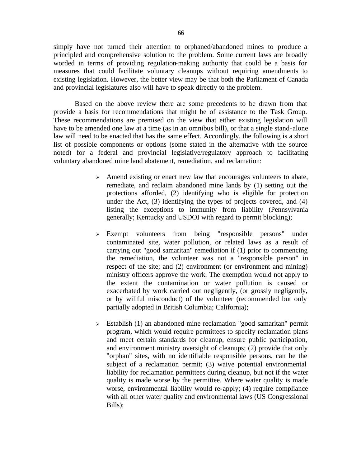simply have not turned their attention to orphaned/abandoned mines to produce a principled and comprehensive solution to the problem. Some current laws are broadly worded in terms of providing regulation-making authority that could be a basis for measures that could facilitate voluntary cleanups without requiring amendments to existing legislation. However, the better view may be that both the Parliament of Canada and provincial legislatures also will have to speak directly to the problem.

Based on the above review there are some precedents to be drawn from that provide a basis for recommendations that might be of assistance to the Task Group. These recommendations are premised on the view that either existing legislation will have to be amended one law at a time (as in an omnibus bill), or that a single stand-alone law will need to be enacted that has the same effect. Accordingly, the following is a short list of possible components or options (some stated in the alternative with the source noted) for a federal and provincial legislative/regulatory approach to facilitating voluntary abandoned mine land abatement, remediation, and reclamation:

- $\triangleright$  Amend existing or enact new law that encourages volunteers to abate, remediate, and reclaim abandoned mine lands by (1) setting out the protections afforded, (2) identifying who is eligible for protection under the Act, (3) identifying the types of projects covered, and (4) listing the exceptions to immunity from liability (Pennsylvania generally; Kentucky and USDOI with regard to permit blocking);
- <sup>ÿ</sup> Exempt volunteers from being "responsible persons" under contaminated site, water pollution, or related laws as a result of carrying out "good samaritan" remediation if (1) prior to commencing the remediation, the volunteer was not a "responsible person" in respect of the site; and (2) environment (or environment and mining) ministry officers approve the work. The exemption would not apply to the extent the contamination or water pollution is caused or exacerbated by work carried out negligently, (or grossly negligently, or by willful misconduct) of the volunteer (recommended but only partially adopted in British Columbia; California);
- $\geq$  Establish (1) an abandoned mine reclamation "good samaritan" permit program, which would require permittees to specify reclamation plans and meet certain standards for cleanup, ensure public participation, and environment ministry oversight of cleanups; (2) provide that only "orphan" sites, with no identifiable responsible persons, can be the subject of a reclamation permit; (3) waive potential environmental liability for reclamation permittees during cleanup, but not if the water quality is made worse by the permittee. Where water quality is made worse, environmental liability would re-apply; (4) require compliance with all other water quality and environmental laws (US Congressional Bills);